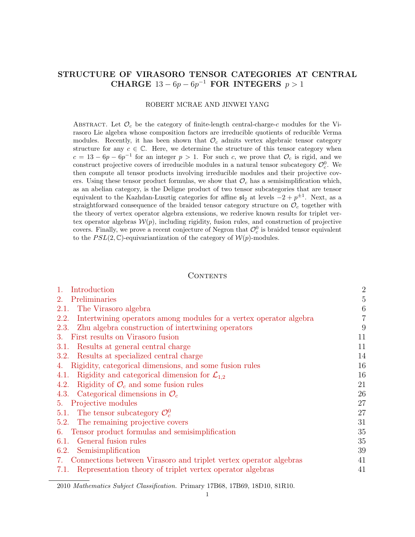# STRUCTURE OF VIRASORO TENSOR CATEGORIES AT CENTRAL CHARGE  $13 - 6p - 6p^{-1}$  FOR INTEGERS  $p > 1$

#### ROBERT MCRAE AND JINWEI YANG

ABSTRACT. Let  $\mathcal{O}_c$  be the category of finite-length central-charge-c modules for the Virasoro Lie algebra whose composition factors are irreducible quotients of reducible Verma modules. Recently, it has been shown that  $\mathcal{O}_c$  admits vertex algebraic tensor category structure for any  $c \in \mathbb{C}$ . Here, we determine the structure of this tensor category when  $c = 13 - 6p - 6p^{-1}$  for an integer  $p > 1$ . For such c, we prove that  $\mathcal{O}_c$  is rigid, and we construct projective covers of irreducible modules in a natural tensor subcategory  $\mathcal{O}_c^0$ . We then compute all tensor products involving irreducible modules and their projective covers. Using these tensor product formulas, we show that  $\mathcal{O}_c$  has a semisimplification which, as an abelian category, is the Deligne product of two tensor subcategories that are tensor equivalent to the Kazhdan-Lusztig categories for affine  $\mathfrak{sl}_2$  at levels  $-2 + p^{\pm 1}$ . Next, as a straightforward consequence of the braided tensor category structure on  $\mathcal{O}_c$  together with the theory of vertex operator algebra extensions, we rederive known results for triplet vertex operator algebras  $W(p)$ , including rigidity, fusion rules, and construction of projective covers. Finally, we prove a recent conjecture of Negron that  $\mathcal{O}_c^0$  is braided tensor equivalent to the  $PSL(2, \mathbb{C})$ -equivariantization of the category of  $\mathcal{W}(p)$ -modules.

#### CONTENTS

| Introduction<br>1.                                                         | $\overline{2}$ |
|----------------------------------------------------------------------------|----------------|
| Preliminaries<br>2.                                                        | 5              |
| The Virasoro algebra<br>2.1.                                               | 6              |
| Intertwining operators among modules for a vertex operator algebra<br>2.2. | $\overline{7}$ |
| Zhu algebra construction of intertwining operators<br>2.3.                 | 9              |
| 3. First results on Virasoro fusion                                        | 11             |
| Results at general central charge<br>3.1.                                  | 11             |
| Results at specialized central charge<br>3.2.                              | 14             |
| Rigidity, categorical dimensions, and some fusion rules<br>4.              | 16             |
| Rigidity and categorical dimension for $\mathcal{L}_{1,2}$<br>4.1.         | 16             |
| Rigidity of $\mathcal{O}_c$ and some fusion rules<br>4.2.                  | 21             |
| 4.3. Categorical dimensions in $\mathcal{O}_c$                             | 26             |
| Projective modules<br>5.                                                   | 27             |
| The tensor subcategory $\mathcal{O}_c^0$<br>5.1.                           | 27             |
| The remaining projective covers<br>5.2.                                    | 31             |
| 6. Tensor product formulas and semisimplification                          | 35             |
| General fusion rules<br>6.1.                                               | 35             |
| Semisimplification<br>6.2.                                                 | 39             |
| Connections between Virasoro and triplet vertex operator algebras<br>7.    | 41             |
| Representation theory of triplet vertex operator algebras<br>7.1.          | 41             |
|                                                                            |                |

<sup>2010</sup> Mathematics Subject Classification. Primary 17B68, 17B69, 18D10, 81R10.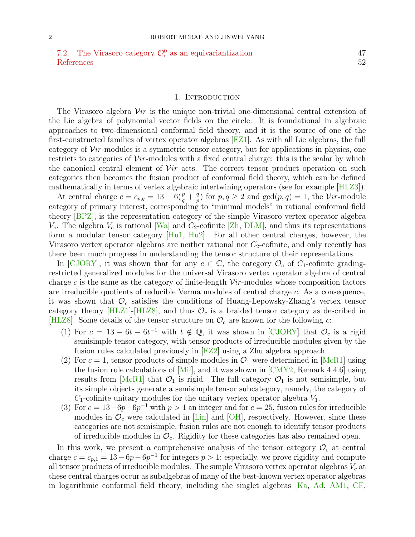[7.2. The Virasoro category](#page-46-0)  $\mathcal{O}_c^0$  as an equivariantization 47 [References](#page-51-0) 52

#### 1. INTRODUCTION

<span id="page-1-0"></span>The Virasoro algebra  $Vir$  is the unique non-trivial one-dimensional central extension of the Lie algebra of polynomial vector fields on the circle. It is foundational in algebraic approaches to two-dimensional conformal field theory, and it is the source of one of the first-constructed families of vertex operator algebras [\[FZ1\]](#page-52-0). As with all Lie algebras, the full category of  $Vir$ -modules is a symmetric tensor category, but for applications in physics, one restricts to categories of  $Vir$ -modules with a fixed central charge: this is the scalar by which the canonical central element of  $Vir$  acts. The correct tensor product operation on such categories then becomes the fusion product of conformal field theory, which can be defined mathematically in terms of vertex algebraic intertwining operators (see for example [\[HLZ3\]](#page-53-0)).

At central charge  $c = c_{p,q} = 13 - 6(\frac{p}{q} + \frac{q}{p})$  $_p^{\underline{q}}$ ) for  $p, q \geq 2$  and  $gcd(p, q) = 1$ , the *Vir*-module category of primary interest, corresponding to "minimal models" in rational conformal field theory [\[BPZ\]](#page-51-1), is the representation category of the simple Virasoro vertex operator algebra  $V_c$ . The algebra  $V_c$  is rational [\[Wa\]](#page-54-0) and  $C_2$ -cofinite [\[Zh,](#page-54-1) [DLM\]](#page-52-1), and thus its representations form a modular tensor category [\[Hu1,](#page-52-2) [Hu2\]](#page-52-3). For all other central charges, however, the Virasoro vertex operator algebras are neither rational nor  $C_2$ -cofinite, and only recently has there been much progress in understanding the tensor structure of their representations.

In  $\text{[CJORY]}$ , it was shown that for any  $c \in \mathbb{C}$ , the category  $\mathcal{O}_c$  of  $C_1$ -cofinite gradingrestricted generalized modules for the universal Virasoro vertex operator algebra of central charge c is the same as the category of finite-length  $Vir$ -modules whose composition factors are irreducible quotients of reducible Verma modules of central charge c. As a consequence, it was shown that  $\mathcal{O}_c$  satisfies the conditions of Huang-Lepowsky-Zhang's vertex tensor category theory [\[HLZ1\]](#page-52-4)-[\[HLZ8\]](#page-53-1), and thus  $\mathcal{O}_c$  is a braided tensor category as described in [\[HLZ8\]](#page-53-1). Some details of the tensor structure on  $\mathcal{O}_c$  are known for the following c:

- (1) For  $c = 13 6t 6t^{-1}$  with  $t \notin \mathbb{Q}$ , it was shown in [\[CJORY\]](#page-51-2) that  $\mathcal{O}_c$  is a rigid semisimple tensor category, with tensor products of irreducible modules given by the fusion rules calculated previously in [\[FZ2\]](#page-52-5) using a Zhu algebra approach.
- (2) For  $c = 1$ , tensor products of simple modules in  $\mathcal{O}_1$  were determined in [\[McR1\]](#page-53-2) using the fusion rule calculations of [\[Mil\]](#page-53-3), and it was shown in [\[CMY2,](#page-51-3) Remark 4.4.6] using results from [\[McR1\]](#page-53-2) that  $\mathcal{O}_1$  is rigid. The full category  $\mathcal{O}_1$  is not semisimple, but its simple objects generate a semisimple tensor subcategory, namely, the category of  $C_1$ -cofinite unitary modules for the unitary vertex operator algebra  $V_1$ .
- (3) For  $c = 13-6p-6p^{-1}$  with  $p > 1$  an integer and for  $c = 25$ , fusion rules for irreducible modules in  $\mathcal{O}_c$  were calculated in [\[Lin\]](#page-53-4) and [\[OH\]](#page-54-2), respectively. However, since these categories are not semisimple, fusion rules are not enough to identify tensor products of irreducible modules in  $\mathcal{O}_c$ . Rigidity for these categories has also remained open.

In this work, we present a comprehensive analysis of the tensor category  $\mathcal{O}_c$  at central charge  $c = c_{p,1} = 13 - 6p - 6p^{-1}$  for integers  $p > 1$ ; especially, we prove rigidity and compute all tensor products of irreducible modules. The simple Virasoro vertex operator algebras  $V_c$  at these central charges occur as subalgebras of many of the best-known vertex operator algebras in logarithmic conformal field theory, including the singlet algebras [\[Ka,](#page-53-5) [Ad,](#page-51-4) [AM1,](#page-51-5) [CF,](#page-51-6)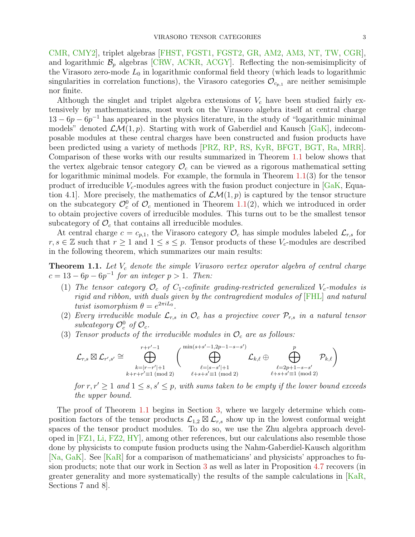[CMR,](#page-52-6) [CMY2\]](#page-51-3), triplet algebras [\[FHST,](#page-52-7) [FGST1,](#page-52-8) [FGST2,](#page-52-9) [GR,](#page-52-10) [AM2,](#page-51-7) [AM3,](#page-51-8) [NT,](#page-54-3) [TW,](#page-54-4) [CGR\]](#page-51-9), and logarithmic  $\mathcal{B}_p$  algebras [\[CRW,](#page-52-11) [ACKR,](#page-51-10) [ACGY\]](#page-51-11). Reflecting the non-semisimplicity of the Virasoro zero-mode  $L_0$  in logarithmic conformal field theory (which leads to logarithmic singularities in correlation functions), the Virasoro categories  $\mathcal{O}_{c_{p,1}}$  are neither semisimple nor finite.

Although the singlet and triplet algebra extensions of  $V_c$  have been studied fairly extensively by mathematicians, most work on the Virasoro algebra itself at central charge  $13 - 6p - 6p^{-1}$  has appeared in the physics literature, in the study of "logarithmic minimal" models" denoted  $\mathcal{LM}(1,p)$ . Starting with work of Gaberdiel and Kausch [\[GaK\]](#page-52-12), indecomposable modules at these central charges have been constructed and fusion products have been predicted using a variety of methods [\[PRZ,](#page-54-5) [RP,](#page-54-6) [RS,](#page-54-7) [KyR,](#page-53-6) [BFGT,](#page-51-12) [BGT,](#page-51-13) [Ra,](#page-54-8) [MRR\]](#page-53-7). Comparison of these works with our results summarized in Theorem [1.1](#page-2-0) below shows that the vertex algebraic tensor category  $\mathcal{O}_c$  can be viewed as a rigorous mathematical setting for logarithmic minimal models. For example, the formula in Theorem [1.1\(](#page-2-0)3) for the tensor product of irreducible  $V_c$ -modules agrees with the fusion product conjecture in  $\sqrt{GaK}$ , Equation 4.1. More precisely, the mathematics of  $\mathcal{LM}(1,p)$  is captured by the tensor structure on the subcategory  $\mathcal{O}_c^0$  of  $\mathcal{O}_c$  mentioned in Theorem [1.1\(](#page-2-0)2), which we introduced in order to obtain projective covers of irreducible modules. This turns out to be the smallest tensor subcategory of  $\mathcal{O}_c$  that contains all irreducible modules.

At central charge  $c = c_{p,1}$ , the Virasoro category  $\mathcal{O}_c$  has simple modules labeled  $\mathcal{L}_{r,s}$  for  $r, s \in \mathbb{Z}$  such that  $r \geq 1$  and  $1 \leq s \leq p$ . Tensor products of these  $V_c$ -modules are described in the following theorem, which summarizes our main results:

<span id="page-2-0"></span>**Theorem 1.1.** Let  $V_c$  denote the simple Virasoro vertex operator algebra of central charge  $c = 13 - 6p - 6p^{-1}$  for an integer  $p > 1$ . Then:

- (1) The tensor category  $\mathcal{O}_c$  of  $C_1$ -cofinite grading-restricted generalized  $V_c$ -modules is rigid and ribbon, with duals given by the contragredient modules of [\[FHL\]](#page-52-13) and natural twist isomorphism  $\theta = e^{2\pi i L_0}$ .
- (2) Every irreducible module  $\mathcal{L}_{r,s}$  in  $\mathcal{O}_c$  has a projective cover  $\mathcal{P}_{r,s}$  in a natural tensor subcategory  $\mathcal{O}_c^0$  of  $\mathcal{O}_c$ .
- (3) Tensor products of the irreducible modules in  $\mathcal{O}_c$  are as follows:

$$
\mathcal{L}_{r,s} \boxtimes \mathcal{L}_{r',s'} \cong \bigoplus_{\substack{k=|r-r'|+1\\k+r+r'\equiv 1\;(\text{mod}\;2)}}^{r+r'-1} \Big(\bigoplus_{\substack{\ell=|s-s'|+1\\ \ell+s+s'\equiv 1\;(\text{mod}\;2)}}^{\min(s+s'-1,2p-1-s-s')}\mathcal{L}_{k,\ell} \oplus \bigoplus_{\substack{\ell=2p+1-s-s'\\ \ell+s+s'\equiv 1\;(\text{mod}\;2)}}^p\mathcal{P}_{k,\ell}\Big)
$$

for  $r, r' \geq 1$  and  $1 \leq s, s' \leq p$ , with sums taken to be empty if the lower bound exceeds the upper bound.

The proof of Theorem [1.1](#page-2-0) begins in Section [3,](#page-10-0) where we largely determine which composition factors of the tensor products  $\mathcal{L}_{1,2} \boxtimes \mathcal{L}_{r,s}$  show up in the lowest conformal weight spaces of the tensor product modules. To do so, we use the Zhu algebra approach developed in [\[FZ1,](#page-52-0) [Li,](#page-53-8) [FZ2,](#page-52-5) [HY\]](#page-53-9), among other references, but our calculations also resemble those done by physicists to compute fusion products using the Nahm-Gaberdiel-Kausch algorithm [\[Na,](#page-54-9) [GaK\]](#page-52-12). See [\[KaR\]](#page-53-10) for a comparison of mathematicians' and physicists' approaches to fusion products; note that our work in Section [3](#page-10-0) as well as later in Proposition [4.7](#page-22-0) recovers (in greater generality and more systematically) the results of the sample calculations in  $KaR$ , Sections 7 and 8].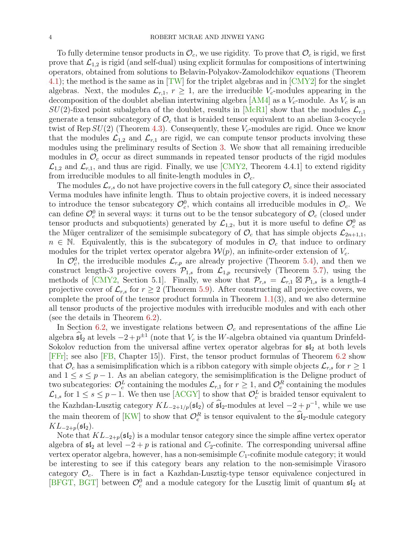To fully determine tensor products in  $\mathcal{O}_c$ , we use rigidity. To prove that  $\mathcal{O}_c$  is rigid, we first prove that  $\mathcal{L}_{1,2}$  is rigid (and self-dual) using explicit formulas for compositions of intertwining operators, obtained from solutions to Belavin-Polyakov-Zamolodchikov equations (Theorem [4.1\)](#page-16-0); the method is the same as in  $[TW]$  for the triplet algebras and in  $[CMY2]$  for the singlet algebras. Next, the modules  $\mathcal{L}_{r,1}$ ,  $r \geq 1$ , are the irreducible  $V_c$ -modules appearing in the decomposition of the doublet abelian intertwining algebra  $[AM4]$  as a  $V_c$ -module. As  $V_c$  is an  $SU(2)$ -fixed point subalgebra of the doublet, results in [\[McR1\]](#page-53-2) show that the modules  $\mathcal{L}_{r,1}$ generate a tensor subcategory of  $\mathcal{O}_c$  that is braided tensor equivalent to an abelian 3-cocycle twist of Rep  $SU(2)$  (Theorem [4.3\)](#page-20-1). Consequently, these  $V_c$ -modules are rigid. Once we know that the modules  $\mathcal{L}_{1,2}$  and  $\mathcal{L}_{r,1}$  are rigid, we can compute tensor products involving these modules using the preliminary results of Section [3.](#page-10-0) We show that all remaining irreducible modules in  $\mathcal{O}_c$  occur as direct summands in repeated tensor products of the rigid modules  $\mathcal{L}_{1,2}$  and  $\mathcal{L}_{r,1}$ , and thus are rigid. Finally, we use [\[CMY2,](#page-51-3) Theorem 4.4.1] to extend rigidity from irreducible modules to all finite-length modules in  $\mathcal{O}_c$ .

The modules  $\mathcal{L}_{r,s}$  do not have projective covers in the full category  $\mathcal{O}_c$  since their associated Verma modules have infinite length. Thus to obtain projective covers, it is indeed necessary to introduce the tensor subcategory  $\mathcal{O}_c^0$ , which contains all irreducible modules in  $\mathcal{O}_c$ . We can define  $\mathcal{O}_c^0$  in several ways: it turns out to be the tensor subcategory of  $\mathcal{O}_c$  (closed under tensor products and subquotients) generated by  $\mathcal{L}_{1,2}$ , but it is more useful to define  $\mathcal{O}_c^0$  as the Müger centralizer of the semisimple subcategory of  $\mathcal{O}_c$  that has simple objects  $\mathcal{L}_{2n+1,1}$ ,  $n \in \mathbb{N}$ . Equivalently, this is the subcategory of modules in  $\mathcal{O}_c$  that induce to ordinary modules for the triplet vertex operator algebra  $\mathcal{W}(p)$ , an infinite-order extension of  $V_c$ .

In  $\mathcal{O}_c^0$ , the irreducible modules  $\mathcal{L}_{r,p}$  are already projective (Theorem [5.4\)](#page-27-0), and then we construct length-3 projective covers  $\mathcal{P}_{1,s}$  from  $\mathcal{L}_{1,p}$  recursively (Theorem [5.7\)](#page-32-0), using the methods of [\[CMY2,](#page-51-3) Section 5.1]. Finally, we show that  $\mathcal{P}_{r,s} = \mathcal{L}_{r,1} \boxtimes \mathcal{P}_{1,s}$  is a length-4 projective cover of  $\mathcal{L}_{r,s}$  for  $r \geq 2$  (Theorem [5.9\)](#page-33-0). After constructing all projective covers, we complete the proof of the tensor product formula in Theorem  $1.1(3)$  $1.1(3)$ , and we also determine all tensor products of the projective modules with irreducible modules and with each other (see the details in Theorem [6.2\)](#page-35-0).

In Section [6.2,](#page-38-0) we investigate relations between  $\mathcal{O}_c$  and representations of the affine Lie algebra  $\widehat{\mathfrak{sl}}_2$  at levels  $-2 + p^{\pm 1}$  (note that  $V_c$  is the W-algebra obtained via quantum Drinfeld-Sokolov reduction from the universal affine vertex operator algebras for  $5\ell_2$  at both levels [\[FFr\]](#page-52-14); see also [\[FB,](#page-52-15) Chapter 15]). First, the tensor product formulas of Theorem [6.2](#page-35-0) show that  $\mathcal{O}_c$  has a semisimplification which is a ribbon category with simple objects  $\mathcal{L}_{r,s}$  for  $r \geq 1$ and  $1 \leq s \leq p-1$ . As an abelian category, the semisimplification is the Deligne product of two subcategories:  $\mathcal{O}_c^L$  containing the modules  $\mathcal{L}_{r,1}$  for  $r \geq 1$ , and  $\mathcal{O}_c^R$  containing the modules  $\mathcal{L}_{1,s}$  for  $1 \leq s \leq p-1$ . We then use  $[ACGY]$  to show that  $\mathcal{O}_c^L$  is braided tensor equivalent to the Kazhdan-Lusztig category  $KL_{-2+1/p}(\mathfrak{sl}_2)$  of  $\widehat{\mathfrak{sl}}_2$ -modules at level  $-2 + p^{-1}$ , while we use the main theorem of [\[KW\]](#page-53-11) to show that  $\mathcal{O}_c^R$  is tensor equivalent to the  $\mathfrak{sl}_2$ -module category  $KL_{-2+p}(\mathfrak{sl}_2).$ 

Note that  $KL_{-2+p}(\mathfrak{sl}_2)$  is a modular tensor category since the simple affine vertex operator algebra of  $\mathfrak{sl}_2$  at level  $-2 + p$  is rational and  $C_2$ -cofinite. The corresponding universal affine vertex operator algebra, however, has a non-semisimple  $C_1$ -cofinite module category; it would be interesting to see if this category bears any relation to the non-semisimple Virasoro category  $\mathcal{O}_c$ . There is in fact a Kazhdan-Lusztig-type tensor equivalence conjectured in [\[BFGT,](#page-51-12) [BGT\]](#page-51-13) between  $\mathcal{O}_c^0$  and a module category for the Lusztig limit of quantum  $\mathfrak{sl}_2$  at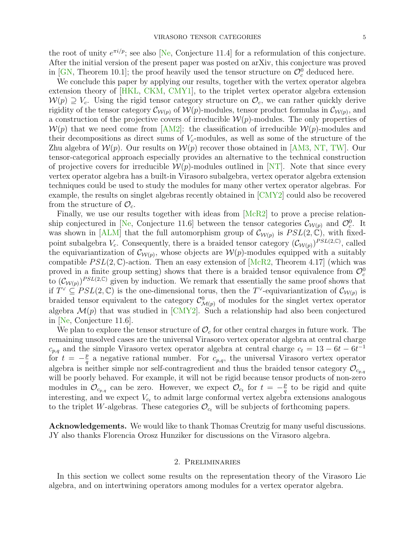the root of unity  $e^{\pi i/p}$ ; see also [\[Ne,](#page-54-10) Conjecture 11.4] for a reformulation of this conjecture. After the initial version of the present paper was posted on arXiv, this conjecture was proved in [\[GN,](#page-52-16) Theorem 10.1]; the proof heavily used the tensor structure on  $\mathcal{O}_c^0$  deduced here.

We conclude this paper by applying our results, together with the vertex operator algebra extension theory of [\[HKL,](#page-52-17) [CKM,](#page-51-15) [CMY1\]](#page-51-16), to the triplet vertex operator algebra extension  $W(p) \supseteq V_c$ . Using the rigid tensor category structure on  $\mathcal{O}_c$ , we can rather quickly derive rigidity of the tensor category  $\mathcal{C}_{W(p)}$  of  $W(p)$ -modules, tensor product formulas in  $\mathcal{C}_{W(p)}$ , and a construction of the projective covers of irreducible  $W(p)$ -modules. The only properties of  $W(p)$  that we need come from [\[AM2\]](#page-51-7): the classification of irreducible  $W(p)$ -modules and their decompositions as direct sums of  $V_c$ -modules, as well as some of the structure of the Zhu algebra of  $W(p)$ . Our results on  $W(p)$  recover those obtained in [\[AM3,](#page-51-8) [NT,](#page-54-3) [TW\]](#page-54-4). Our tensor-categorical approach especially provides an alternative to the technical construction of projective covers for irreducible  $W(p)$ -modules outlined in [\[NT\]](#page-54-3). Note that since every vertex operator algebra has a built-in Virasoro subalgebra, vertex operator algebra extension techniques could be used to study the modules for many other vertex operator algebras. For example, the results on singlet algebras recently obtained in [\[CMY2\]](#page-51-3) could also be recovered from the structure of  $\mathcal{O}_c$ .

Finally, we use our results together with ideas from  $[\text{McR2}]$  to prove a precise relation-ship conjectured in [\[Ne,](#page-54-10) Conjecture 11.6] between the tensor categories  $\mathcal{C}_{\mathcal{W}(p)}$  and  $\mathcal{O}_c^0$ . It was shown in [\[ALM\]](#page-51-17) that the full automorphism group of  $\mathcal{C}_{\mathcal{W}(p)}$  is  $PSL(2,\mathbb{C})$ , with fixedpoint subalgebra  $V_c$ . Consequently, there is a braided tensor category  $(\mathcal{C}_{\mathcal{W}(p)})^{PSL(2,\mathbb{C})}$ , called the equivariantization of  $\mathcal{C}_{\mathcal{W}(p)}$ , whose objects are  $\mathcal{W}(p)$ -modules equipped with a suitably compatible  $PSL(2, \mathbb{C})$ -action. Then an easy extension of [\[McR2,](#page-53-12) Theorem 4.17] (which was proved in a finite group setting) shows that there is a braided tensor equivalence from  $\mathcal{O}_c^0$ to  $(\mathcal{C}_{\mathcal{W}(p)})^{PSL(2,\mathbb{C})}$  given by induction. We remark that essentially the same proof shows that if  $T^{\vee} \subseteq PSL(2,\mathbb{C})$  is the one-dimensional torus, then the T<sup>V</sup>-equivariantization of  $\mathcal{C}_{\mathcal{W}(p)}$  is braided tensor equivalent to the category  $\mathcal{C}^0_{\mathcal{M}(p)}$  of modules for the singlet vertex operator algebra  $\mathcal{M}(p)$  that was studied in [\[CMY2\]](#page-51-3). Such a relationship had also been conjectured in [\[Ne,](#page-54-10) Conjecture 11.6].

We plan to explore the tensor structure of  $\mathcal{O}_c$  for other central charges in future work. The remaining unsolved cases are the universal Virasoro vertex operator algebra at central charge  $c_{p,q}$  and the simple Virasoro vertex operator algebra at central charge  $c_t = 13 - 6t - 6t^{-1}$ for  $t = -\frac{p}{q}$  $\frac{p}{q}$  a negative rational number. For  $c_{p,q}$ , the universal Virasoro vertex operator algebra is neither simple nor self-contragredient and thus the braided tensor category  $\mathcal{O}_{c_{p,q}}$ will be poorly behaved. For example, it will not be rigid because tensor products of non-zero modules in  $\mathcal{O}_{c_{p,q}}$  can be zero. However, we expect  $\mathcal{O}_{c_t}$  for  $t = -\frac{p}{q}$  $\frac{p}{q}$  to be rigid and quite interesting, and we expect  $V_{c_t}$  to admit large conformal vertex algebra extensions analogous to the triplet W-algebras. These categories  $\mathcal{O}_{c_t}$  will be subjects of forthcoming papers.

Acknowledgements. We would like to thank Thomas Creutzig for many useful discussions. JY also thanks Florencia Orosz Hunziker for discussions on the Virasoro algebra.

### 2. Preliminaries

<span id="page-4-0"></span>In this section we collect some results on the representation theory of the Virasoro Lie algebra, and on intertwining operators among modules for a vertex operator algebra.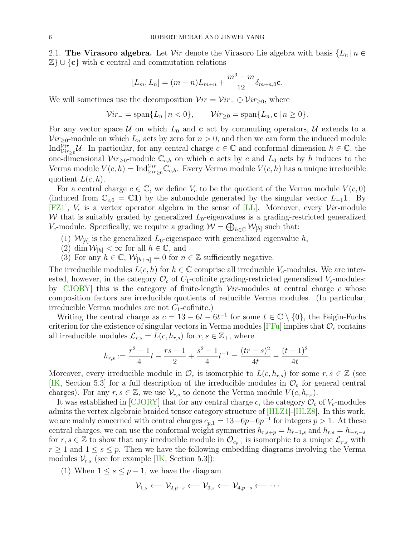<span id="page-5-0"></span>2.1. The Virasoro algebra. Let  $Vir$  denote the Virasoro Lie algebra with basis  ${L_n | n \in \mathbb{R}^n}$  $\mathbb{Z}\}\cup\{\mathbf{c}\}\$  with  $\mathbf c$  central and commutation relations

$$
[L_m, L_n] = (m - n)L_{m+n} + \frac{m^3 - m}{12} \delta_{m+n,0} \mathbf{c}.
$$

We will sometimes use the decomposition  $Vir = Vir_0 \oplus Vir_{\geq 0}$ , where

$$
\mathcal{V}ir_{-} = \operatorname{span}\{L_n \mid n < 0\}, \qquad \mathcal{V}ir_{\geq 0} = \operatorname{span}\{L_n, \mathbf{c} \mid n \geq 0\}.
$$

For any vector space  $U$  on which  $L_0$  and c act by commuting operators,  $U$  extends to a  $Vir_{\geq 0}$ -module on which  $L_n$  acts by zero for  $n > 0$ , and then we can form the induced module Ind $\overline{V}^{ir}_{\nu}$  U. In particular, for any central charge  $c \in \mathbb{C}$  and conformal dimension  $h \in \mathbb{C}$ , the one-dimensional  $Vir_{>0}$ -module  $\mathbb{C}_{c,h}$  on which c acts by c and  $L_0$  acts by h induces to the Verma module  $V(c, \overline{h}) = \text{Ind}_{Vir>0}^{\mathcal{V}ir} \mathbb{C}_{c,h}$ . Every Verma module  $V(c, h)$  has a unique irreducible quotient  $L(c, h)$ .

For a central charge  $c \in \mathbb{C}$ , we define  $V_c$  to be the quotient of the Verma module  $V(c, 0)$ (induced from  $\mathbb{C}_{c,0} = \mathbb{C}1$ ) by the submodule generated by the singular vector  $L_{-1}1$ . By [\[FZ1\]](#page-52-0),  $V_c$  is a vertex operator algebra in the sense of [\[LL\]](#page-53-13). Moreover, every  $Vir$ -module W that is suitably graded by generalized  $L_0$ -eigenvalues is a grading-restricted generalized  $V_c$ -module. Specifically, we require a grading  $W = \bigoplus_{h \in \mathbb{C}} W_{[h]}$  such that:

- (1)  $\mathcal{W}_{[h]}$  is the generalized  $L_0$ -eigenspace with generalized eigenvalue h,
- (2) dim  $\mathcal{W}_{[h]} < \infty$  for all  $h \in \mathbb{C}$ , and
- (3) For any  $h \in \mathbb{C}$ ,  $\mathcal{W}_{[h+n]} = 0$  for  $n \in \mathbb{Z}$  sufficiently negative.

The irreducible modules  $L(c, h)$  for  $h \in \mathbb{C}$  comprise all irreducible  $V_c$ -modules. We are interested, however, in the category  $\mathcal{O}_c$  of  $C_1$ -cofinite grading-restricted generalized  $V_c$ -modules: by  $\overline{CJORY}$  this is the category of finite-length  $Vir$ -modules at central charge c whose composition factors are irreducible quotients of reducible Verma modules. (In particular, irreducible Verma modules are not  $C_1$ -cofinite.)

Writing the central charge as  $c = 13 - 6t - 6t^{-1}$  for some  $t \in \mathbb{C} \setminus \{0\}$ , the Feigin-Fuchs criterion for the existence of singular vectors in Verma modules  $[FFu]$  implies that  $\mathcal{O}_c$  contains all irreducible modules  $\mathcal{L}_{r,s} = L(c, h_{r,s})$  for  $r, s \in \mathbb{Z}_+$ , where

$$
h_{r,s} := \frac{r^2 - 1}{4}t - \frac{rs - 1}{2} + \frac{s^2 - 1}{4}t^{-1} = \frac{(tr - s)^2}{4t} - \frac{(t - 1)^2}{4t}.
$$

Moreover, every irreducible module in  $\mathcal{O}_c$  is isomorphic to  $L(c, h_{r,s})$  for some  $r, s \in \mathbb{Z}$  (see [\[IK,](#page-53-14) Section 5.3] for a full description of the irreducible modules in  $\mathcal{O}_c$  for general central charges). For any  $r, s \in \mathbb{Z}$ , we use  $\mathcal{V}_{r,s}$  to denote the Verma module  $V(c, h_{r,s})$ .

It was established in [\[CJORY\]](#page-51-2) that for any central charge c, the category  $\mathcal{O}_c$  of  $V_c$ -modules admits the vertex algebraic braided tensor category structure of [\[HLZ1\]](#page-52-4)-[\[HLZ8\]](#page-53-1). In this work, we are mainly concerned with central charges  $c_{p,1} = 13-6p-6p^{-1}$  for integers  $p > 1$ . At these central charges, we can use the conformal weight symmetries  $h_{r,s+p} = h_{r-1,s}$  and  $h_{r,s} = h_{-r,-s}$ for  $r, s \in \mathbb{Z}$  to show that any irreducible module in  $\mathcal{O}_{c_{p,1}}$  is isomorphic to a unique  $\mathcal{L}_{r,s}$  with  $r \geq 1$  and  $1 \leq s \leq p$ . Then we have the following embedding diagrams involving the Verma modules  $\mathcal{V}_{r,s}$  (see for example [\[IK,](#page-53-14) Section 5.3]):

(1) When  $1 \leq s \leq p-1$ , we have the diagram

$$
\mathcal{V}_{1,s} \longleftarrow \mathcal{V}_{2,p-s} \longleftarrow \mathcal{V}_{3,s} \longleftarrow \mathcal{V}_{4,p-s} \longleftarrow \cdots
$$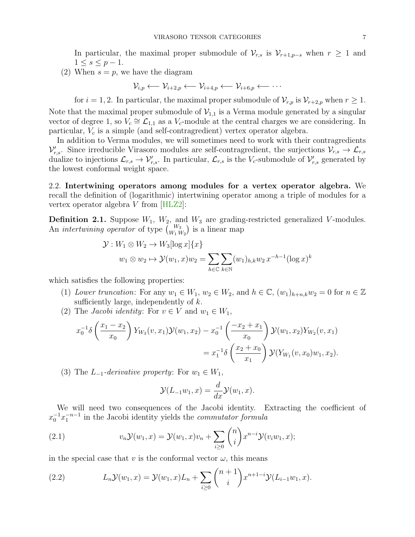In particular, the maximal proper submodule of  $\mathcal{V}_{r,s}$  is  $\mathcal{V}_{r+1,p-s}$  when  $r \geq 1$  and  $1 \leq s \leq p-1$ .

(2) When  $s = p$ , we have the diagram

$$
\mathcal{V}_{i,p} \longleftarrow \mathcal{V}_{i+2,p} \longleftarrow \mathcal{V}_{i+4,p} \longleftarrow \mathcal{V}_{i+6,p} \longleftarrow \cdots
$$

for  $i = 1, 2$ . In particular, the maximal proper submodule of  $\mathcal{V}_{r,p}$  is  $\mathcal{V}_{r+2,p}$  when  $r \geq 1$ . Note that the maximal proper submodule of  $\mathcal{V}_{1,1}$  is a Verma module generated by a singular vector of degree 1, so  $V_c \cong \mathcal{L}_{1,1}$  as a  $V_c$ -module at the central charges we are considering. In particular,  $V_c$  is a simple (and self-contragredient) vertex operator algebra.

In addition to Verma modules, we will sometimes need to work with their contragredients  $\mathcal{V}_{r,s}'$ . Since irreducible Virasoro modules are self-contragredient, the surjections  $\mathcal{V}_{r,s} \to \mathcal{L}_{r,s}$ dualize to injections  $\mathcal{L}_{r,s} \to \mathcal{V}'_{r,s}$ . In particular,  $\mathcal{L}_{r,s}$  is the  $V_c$ -submodule of  $\mathcal{V}'_{r,s}$  generated by the lowest conformal weight space.

<span id="page-6-0"></span>2.2. Intertwining operators among modules for a vertex operator algebra. We recall the definition of (logarithmic) intertwining operator among a triple of modules for a vertex operator algebra V from [\[HLZ2\]](#page-53-15):

**Definition 2.1.** Suppose  $W_1$ ,  $W_2$ , and  $W_3$  are grading-restricted generalized V-modules. An *intertwining operator* of type  $\binom{W_3}{W_1 W_2}$  is a linear map

$$
\mathcal{Y}: W_1 \otimes W_2 \to W_3[\log x] \{x\}
$$
  

$$
w_1 \otimes w_2 \mapsto \mathcal{Y}(w_1, x)w_2 = \sum_{h \in \mathbb{C}} \sum_{k \in \mathbb{N}} (w_1)_{h,k} w_2 x^{-h-1} (\log x)^k
$$

which satisfies the following properties:

- (1) Lower truncation: For any  $w_1 \in W_1$ ,  $w_2 \in W_2$ , and  $h \in \mathbb{C}$ ,  $(w_1)_{h+n,k}w_2 = 0$  for  $n \in \mathbb{Z}$ sufficiently large, independently of  $k$ .
- (2) The *Jacobi identity*: For  $v \in V$  and  $w_1 \in W_1$ ,

$$
x_0^{-1}\delta\left(\frac{x_1 - x_2}{x_0}\right)Y_{W_3}(v, x_1)\mathcal{Y}(w_1, x_2) - x_0^{-1}\left(\frac{-x_2 + x_1}{x_0}\right)\mathcal{Y}(w_1, x_2)Y_{W_2}(v, x_1)
$$
  
=  $x_1^{-1}\delta\left(\frac{x_2 + x_0}{x_1}\right)\mathcal{Y}(Y_{W_1}(v, x_0)w_1, x_2).$ 

(3) The  $L_{-1}$ -derivative property: For  $w_1 \in W_1$ ,

<span id="page-6-1"></span>
$$
\mathcal{Y}(L_{-1}w_1, x) = \frac{d}{dx}\mathcal{Y}(w_1, x).
$$

We will need two consequences of the Jacobi identity. Extracting the coefficient of  $x_0^{-1}x_1^{-n-1}$  in the Jacobi identity yields the *commutator formula* 

(2.1) 
$$
v_n \mathcal{Y}(w_1, x) = \mathcal{Y}(w_1, x)v_n + \sum_{i \geq 0} {n \choose i} x^{n-i} \mathcal{Y}(v_i w_1, x);
$$

in the special case that v is the conformal vector  $\omega$ , this means

<span id="page-6-2"></span>(2.2) 
$$
L_n \mathcal{Y}(w_1, x) = \mathcal{Y}(w_1, x)L_n + \sum_{i \geq 0} {n+1 \choose i} x^{n+1-i} \mathcal{Y}(L_{i-1}w_1, x).
$$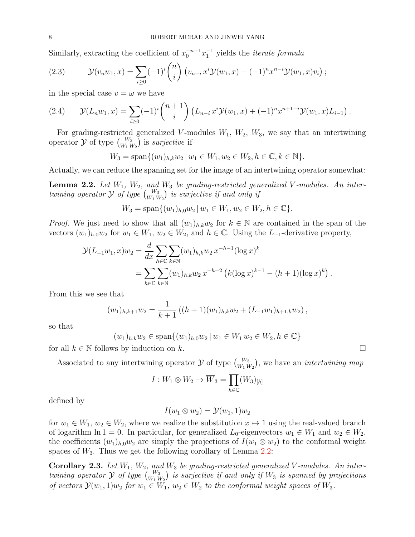Similarly, extracting the coefficient of  $x_0^{-n-1}x_1^{-1}$  yields the *iterate formula* 

(2.3) 
$$
\mathcal{Y}(v_n w_1, x) = \sum_{i \geq 0} (-1)^i {n \choose i} (v_{n-i} x^i \mathcal{Y}(w_1, x) - (-1)^n x^{n-i} \mathcal{Y}(w_1, x) v_i);
$$

in the special case  $v = \omega$  we have

<span id="page-7-2"></span>
$$
(2.4) \qquad \mathcal{Y}(L_n w_1, x) = \sum_{i \geq 0} (-1)^i \binom{n+1}{i} \left( L_{n-i} x^i \mathcal{Y}(w_1, x) + (-1)^n x^{n+1-i} \mathcal{Y}(w_1, x) L_{i-1} \right).
$$

For grading-restricted generalized V-modules  $W_1, W_2, W_3$ , we say that an intertwining operator  $\mathcal Y$  of type  ${W_3 \choose W_1 W_2}$  is surjective if

 $W_3 = \text{span}\{(w_1)_{h,k}w_2 \mid w_1 \in W_1, w_2 \in W_2, h \in \mathbb{C}, k \in \mathbb{N}\}.$ 

Actually, we can reduce the spanning set for the image of an intertwining operator somewhat:

<span id="page-7-0"></span>**Lemma 2.2.** Let  $W_1$ ,  $W_2$ , and  $W_3$  be grading-restricted generalized V-modules. An intertwining operator  $\mathcal Y$  of type  ${W_3 \choose W_1\, W_2}$  is surjective if and only if

$$
W_3 = \text{span}\{(w_1)_{h,0}w_2 \mid w_1 \in W_1, w_2 \in W_2, h \in \mathbb{C}\}.
$$

*Proof.* We just need to show that all  $(w_1)_{h,k}w_2$  for  $k \in \mathbb{N}$  are contained in the span of the vectors  $(w_1)_{h,0}w_2$  for  $w_1 \in W_1$ ,  $w_2 \in W_2$ , and  $h \in \mathbb{C}$ . Using the  $L_{-1}$ -derivative property,

$$
\mathcal{Y}(L_{-1}w_1, x)w_2 = \frac{d}{dx} \sum_{h \in \mathbb{C}} \sum_{k \in \mathbb{N}} (w_1)_{h,k} w_2 x^{-h-1} (\log x)^k
$$
  
= 
$$
\sum_{h \in \mathbb{C}} \sum_{k \in \mathbb{N}} (w_1)_{h,k} w_2 x^{-h-2} (k (\log x)^{k-1} - (h+1) (\log x)^k).
$$

From this we see that

$$
(w_1)_{h,k+1}w_2 = \frac{1}{k+1} ((h+1)(w_1)_{h,k}w_2 + (L_{-1}w_1)_{h+1,k}w_2),
$$

so that

 $(w_1)_{h,k}w_2 \in \text{span}\{(w_1)_{h,0}w_2 \mid w_1 \in W_1 \ w_2 \in W_2, h \in \mathbb{C}\}\$ 

for all  $k \in \mathbb{N}$  follows by induction on k.

Associated to any intertwining operator  $\mathcal Y$  of type  ${W_3 \choose W_1 W_2}$ , we have an *intertwining map* 

$$
I: W_1 \otimes W_2 \to \overline{W}_3 = \prod_{h \in \mathbb{C}} (W_3)_{[h]}
$$

defined by

$$
I(w_1 \otimes w_2) = \mathcal{Y}(w_1, 1)w_2
$$

for  $w_1 \in W_1$ ,  $w_2 \in W_2$ , where we realize the substitution  $x \mapsto 1$  using the real-valued branch of logarithm ln 1 = 0. In particular, for generalized  $L_0$ -eigenvectors  $w_1 \in W_1$  and  $w_2 \in W_2$ , the coefficients  $(w_1)_{h,0}w_2$  are simply the projections of  $I(w_1 \otimes w_2)$  to the conformal weight spaces of  $W_3$ . Thus we get the following corollary of Lemma [2.2:](#page-7-0)

<span id="page-7-1"></span>**Corollary 2.3.** Let  $W_1$ ,  $W_2$ , and  $W_3$  be grading-restricted generalized V-modules. An intertwining operator  $\mathcal Y$  of type  ${W_3 \choose W_1 W_2}$  is surjective if and only if  $W_3$  is spanned by projections of vectors  $\mathcal{Y}(w_1, 1)w_2$  for  $w_1 \in W_1$ ,  $w_2 \in W_2$  to the conformal weight spaces of  $W_3$ .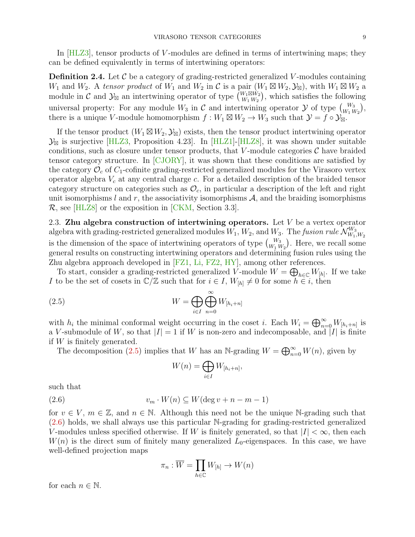In [\[HLZ3\]](#page-53-0), tensor products of V-modules are defined in terms of intertwining maps; they can be defined equivalently in terms of intertwining operators:

**Definition 2.4.** Let  $\mathcal{C}$  be a category of grading-restricted generalized V-modules containing  $W_1$  and  $W_2$ . A tensor product of  $W_1$  and  $W_2$  in C is a pair  $(W_1 \boxtimes W_2, \mathcal{Y}_{\boxtimes})$ , with  $W_1 \boxtimes W_2$  a module in C and  $\mathcal{Y}_{\boxtimes}$  an intertwining operator of type  $\begin{pmatrix} W_1 \boxtimes W_2 \\ W_2 \end{pmatrix}$  $\binom{W_1 \boxtimes W_2}{W_1 \ W_2}$ , which satisfies the following universal property: For any module  $W_3$  in  $\mathcal C$  and intertwining operator  $\mathcal Y$  of type  ${W_3 \choose W_1 W_2}$ , there is a unique V-module homomorphism  $f: W_1 \boxtimes W_2 \to W_3$  such that  $\mathcal{Y} = f \circ \mathcal{Y}$ .

If the tensor product  $(W_1 \boxtimes W_2, \mathcal{Y}_{\boxtimes})$  exists, then the tensor product intertwining operator  $\mathcal{Y}_{\boxtimes}$  is surjective [\[HLZ3,](#page-53-0) Proposition 4.23]. In [\[HLZ1\]](#page-52-4)-[\[HLZ8\]](#page-53-1), it was shown under suitable conditions, such as closure under tensor products, that V-module categories  $\mathcal C$  have braided tensor category structure. In [\[CJORY\]](#page-51-2), it was shown that these conditions are satisfied by the category  $\mathcal{O}_c$  of  $C_1$ -cofinite grading-restricted generalized modules for the Virasoro vertex operator algebra  $V_c$  at any central charge c. For a detailed description of the braided tensor category structure on categories such as  $\mathcal{O}_c$ , in particular a description of the left and right unit isomorphisms  $l$  and  $r$ , the associativity isomorphisms  $A$ , and the braiding isomorphisms  $\mathcal{R}$ , see [\[HLZ8\]](#page-53-1) or the exposition in [\[CKM,](#page-51-15) Section 3.3].

<span id="page-8-0"></span>2.3. Zhu algebra construction of intertwining operators. Let  $V$  be a vertex operator algebra with grading-restricted generalized modules  $W_1, W_2$ , and  $W_3$ . The fusion rule  $\mathcal{N}_{W_1}^{W_3}$  $W_1,W_2$ is the dimension of the space of intertwining operators of type  $\binom{W_3}{W_1 W_2}$ . Here, we recall some general results on constructing intertwining operators and determining fusion rules using the Zhu algebra approach developed in [\[FZ1,](#page-52-0) [Li,](#page-53-8) [FZ2,](#page-52-5) [HY\]](#page-53-9), among other references.

To start, consider a grading-restricted generalized V-module  $W = \bigoplus_{h \in \mathbb{C}} W_{[h]}$ . If we take I to be the set of cosets in  $\mathbb{C}/\mathbb{Z}$  such that for  $i \in I$ ,  $W_{[h]} \neq 0$  for some  $h \in i$ , then

(2.5) 
$$
W = \bigoplus_{i \in I} \bigoplus_{n=0}^{\infty} W_{[h_i + n]}
$$

with  $h_i$  the minimal conformal weight occurring in the coset i. Each  $W_i = \bigoplus_{n=0}^{\infty} W_{[h_i+n]}$  is a V-submodule of W, so that  $|I|=1$  if W is non-zero and indecomposable, and  $|I|$  is finite if W is finitely generated.

The decomposition [\(2.5\)](#page-8-1) implies that W has an N-grading  $W = \bigoplus_{n=0}^{\infty} W(n)$ , given by

<span id="page-8-2"></span><span id="page-8-1"></span>
$$
W(n) = \bigoplus_{i \in I} W_{[h_i + n]},
$$

such that

$$
(2.6) \t v_m \cdot W(n) \subseteq W(\deg v + n - m - 1)
$$

for  $v \in V$ ,  $m \in \mathbb{Z}$ , and  $n \in \mathbb{N}$ . Although this need not be the unique N-grading such that [\(2.6\)](#page-8-2) holds, we shall always use this particular N-grading for grading-restricted generalized V-modules unless specified otherwise. If W is finitely generated, so that  $|I| < \infty$ , then each  $W(n)$  is the direct sum of finitely many generalized  $L_0$ -eigenspaces. In this case, we have well-defined projection maps

$$
\pi_n : \overline{W} = \prod_{h \in \mathbb{C}} W_{[h]} \to W(n)
$$

for each  $n \in \mathbb{N}$ .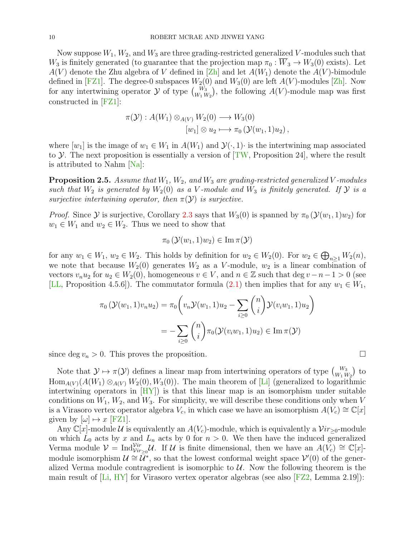Now suppose  $W_1, W_2$ , and  $W_3$  are three grading-restricted generalized V-modules such that  $W_3$  is finitely generated (to guarantee that the projection map  $\pi_0 : \overline{W}_3 \to W_3(0)$  exists). Let  $A(V)$  denote the Zhu algebra of V defined in [\[Zh\]](#page-54-1) and let  $A(W_1)$  denote the  $A(V)$ -bimodule defined in [\[FZ1\]](#page-52-0). The degree-0 subspaces  $W_2(0)$  and  $W_3(0)$  are left  $A(V)$ -modules [\[Zh\]](#page-54-1). Now for any intertwining operator  $\mathcal Y$  of type  $\binom{W_3}{W_1 W_2}$ , the following  $A(V)$ -module map was first constructed in [\[FZ1\]](#page-52-0):

$$
\pi(\mathcal{Y}): A(W_1) \otimes_{A(V)} W_2(0) \longrightarrow W_3(0)
$$

$$
[w_1] \otimes u_2 \longmapsto \pi_0(\mathcal{Y}(w_1, 1)u_2),
$$

where  $[w_1]$  is the image of  $w_1 \in W_1$  in  $A(W_1)$  and  $\mathcal{Y}(\cdot, 1)$  is the intertwining map associated to  $\mathcal Y$ . The next proposition is essentially a version of  $\langle TW, P$ roposition 24, where the result is attributed to Nahm [\[Na\]](#page-54-9):

<span id="page-9-0"></span>**Proposition 2.5.** Assume that  $W_1$ ,  $W_2$ , and  $W_3$  are grading-restricted generalized V-modules such that  $W_2$  is generated by  $W_2(0)$  as a V-module and  $W_3$  is finitely generated. If  $\mathcal Y$  is a surjective intertwining operator, then  $\pi(\mathcal{Y})$  is surjective.

*Proof.* Since  $\mathcal Y$  is surjective, Corollary [2.3](#page-7-1) says that  $W_3(0)$  is spanned by  $\pi_0(\mathcal Y(w_1, 1)w_2)$  for  $w_1 \in W_1$  and  $w_2 \in W_2$ . Thus we need to show that

$$
\pi_0(\mathcal{Y}(w_1, 1)w_2) \in \operatorname{Im} \pi(\mathcal{Y})
$$

for any  $w_1 \in W_1$ ,  $w_2 \in W_2$ . This holds by definition for  $w_2 \in W_2(0)$ . For  $w_2 \in \bigoplus_{n \geq 1} W_2(n)$ , we note that because  $W_2(0)$  generates  $W_2$  as a V-module,  $w_2$  is a linear combination of vectors  $v_nu_2$  for  $u_2 \in W_2(0)$ , homogeneous  $v \in V$ , and  $n \in \mathbb{Z}$  such that deg  $v - n - 1 > 0$  (see [\[LL,](#page-53-13) Proposition 4.5.6]). The commutator formula [\(2.1\)](#page-6-1) then implies that for any  $w_1 \in W_1$ ,

$$
\pi_0(\mathcal{Y}(w_1, 1)v_n u_2) = \pi_0\left(v_n \mathcal{Y}(w_1, 1)u_2 - \sum_{i \ge 0} {n \choose i} \mathcal{Y}(v_i w_1, 1)u_2\right)
$$

$$
= -\sum_{i \ge 0} {n \choose i} \pi_0(\mathcal{Y}(v_i w_1, 1)u_2) \in \text{Im}\,\pi(\mathcal{Y})
$$

since deg  $v_n > 0$ . This proves the proposition.

Note that  $\mathcal{Y} \mapsto \pi(\mathcal{Y})$  defines a linear map from intertwining operators of type  $\binom{W_3}{W_1 W_2}$  to  $\text{Hom}_{A(V)}(A(W_1) \otimes_{A(V)} W_2(0), W_3(0)).$  The main theorem of [\[Li\]](#page-53-8) (generalized to logarithmic intertwining operators in  $[HY]$ ) is that this linear map is an isomorphism under suitable conditions on  $W_1, W_2$ , and  $W_3$ . For simplicity, we will describe these conditions only when V is a Virasoro vertex operator algebra  $V_c$ , in which case we have an isomorphism  $A(V_c) \cong \mathbb{C}[x]$ given by  $[\omega] \mapsto x$  [\[FZ1\]](#page-52-0).

Any C[x]-module U is equivalently an  $A(V_c)$ -module, which is equivalently a  $Vir_{\geq 0}$ -module on which  $L_0$  acts by x and  $L_n$  acts by 0 for  $n > 0$ . We then have the induced generalized Verma module  $\mathcal{V} = \text{Ind}_{\mathcal{V}ir_{\geq 0}}^{\mathcal{V}ir} \mathcal{U}$ . If  $\mathcal{U}$  is finite dimensional, then we have an  $A(\mathcal{V}_c) \cong \mathbb{C}[x]$ . module isomorphism  $\mathcal{U} \cong \mathcal{U}^*$ , so that the lowest conformal weight space  $\mathcal{V}'(0)$  of the generalized Verma module contragredient is isomorphic to  $\mathcal{U}$ . Now the following theorem is the main result of [\[Li,](#page-53-8) [HY\]](#page-53-9) for Virasoro vertex operator algebras (see also  $[{\rm FZ2, Lemma 2.19}]$ ):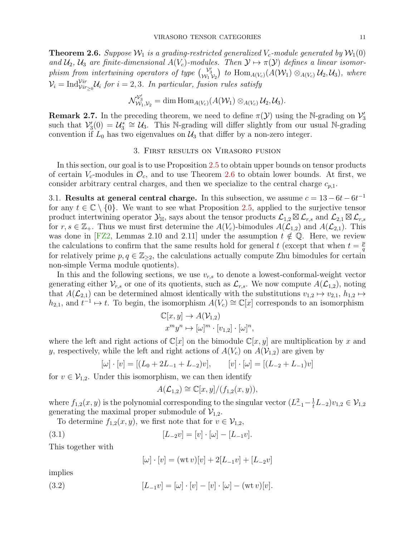<span id="page-10-2"></span>**Theorem 2.6.** Suppose  $W_1$  is a grading-restricted generalized  $V_c$ -module generated by  $W_1(0)$ and  $\mathcal{U}_2$ ,  $\mathcal{U}_3$  are finite-dimensional  $A(V_c)$ -modules. Then  $\mathcal{Y} \mapsto \pi(\mathcal{Y})$  defines a linear isomorphism from intertwining operators of type  $\begin{pmatrix} V_3' \ W_1 \ V_2 \end{pmatrix}$  to  $\text{Hom}_{A(V_c)}(A(W_1) \otimes_{A(V_c)} U_2, U_3)$ , where  $\mathcal{V}_i = \text{Ind}_{\mathcal{V}ir_{\geq 0}}^{\mathcal{V}ir} \mathcal{U}_i$  for  $i = 2, 3$ . In particular, fusion rules satisfy

$$
\mathcal{N}_{\mathcal{W}_1,\mathcal{V}_2}^{\mathcal{V}_3'} = \dim \mathrm{Hom}_{A(V_c)}(A(\mathcal{W}_1) \otimes_{A(V_c)} \mathcal{U}_2, \mathcal{U}_3).
$$

<span id="page-10-4"></span>**Remark 2.7.** In the preceding theorem, we need to define  $\pi(\mathcal{Y})$  using the N-grading on  $\mathcal{V}'_3$ such that  $\mathcal{V}'_3(0) = \mathcal{U}^*_3 \cong \mathcal{U}_3$ . This N-grading will differ slightly from our usual N-grading convention if  $L_0$  has two eigenvalues on  $\mathcal{U}_3$  that differ by a non-zero integer.

#### 3. First results on Virasoro fusion

<span id="page-10-0"></span>In this section, our goal is to use Proposition [2.5](#page-9-0) to obtain upper bounds on tensor products of certain  $V_c$ -modules in  $\mathcal{O}_c$ , and to use Theorem [2.6](#page-10-2) to obtain lower bounds. At first, we consider arbitrary central charges, and then we specialize to the central charge  $c_{p,1}$ .

<span id="page-10-1"></span>3.1. Results at general central charge. In this subsection, we assume  $c = 13 - 6t - 6t^{-1}$ for any  $t \in \mathbb{C} \setminus \{0\}$ . We want to see what Proposition [2.5,](#page-9-0) applied to the surjective tensor product intertwining operator  $\mathcal{Y}_{\boxtimes}$ , says about the tensor products  $\mathcal{L}_{1,2} \boxtimes \mathcal{L}_{r,s}$  and  $\mathcal{L}_{2,1} \boxtimes \mathcal{L}_{r,s}$ for  $r, s \in \mathbb{Z}_+$ . Thus we must first determine the  $A(V_c)$ -bimodules  $A(\mathcal{L}_{1,2})$  and  $A(\mathcal{L}_{2,1})$ . This was done in [\[FZ2,](#page-52-5) Lemmas 2.10 and 2.11] under the assumption  $t \notin \mathbb{Q}$ . Here, we review the calculations to confirm that the same results hold for general t (except that when  $t = \frac{p}{q}$ q for relatively prime  $p, q \in \mathbb{Z}_{\geq 2}$ , the calculations actually compute Zhu bimodules for certain non-simple Verma module quotients).

In this and the following sections, we use  $v_{r,s}$  to denote a lowest-conformal-weight vector generating either  $\mathcal{V}_{r,s}$  or one of its quotients, such as  $\mathcal{L}_{r,s}$ . We now compute  $A(\mathcal{L}_{1,2})$ , noting that  $A(\mathcal{L}_{2,1})$  can be determined almost identically with the substitutions  $v_{1,2} \mapsto v_{2,1}, h_{1,2} \mapsto$  $h_{2,1}$ , and  $t^{-1} \mapsto t$ . To begin, the isomorphism  $A(V_c) \cong \mathbb{C}[x]$  corresponds to an isomorphism

$$
\mathbb{C}[x,y] \to A(\mathcal{V}_{1,2})
$$
  

$$
x^m y^n \mapsto [\omega]^m \cdot [v_{1,2}] \cdot [\omega]^n
$$

,

where the left and right actions of  $\mathbb{C}[x]$  on the bimodule  $\mathbb{C}[x, y]$  are multiplication by x and y, respectively, while the left and right actions of  $A(V_c)$  on  $A(V_{1,2})$  are given by

$$
[\omega] \cdot [\nu] = [(L_0 + 2L_{-1} + L_{-2})\nu], \qquad [\nu] \cdot [\omega] = [(L_{-2} + L_{-1})\nu]
$$

for  $v \in V_{1,2}$ . Under this isomorphism, we can then identify

$$
A(\mathcal{L}_{1,2}) \cong \mathbb{C}[x,y]/(f_{1,2}(x,y)),
$$

where  $f_{1,2}(x, y)$  is the polynomial corresponding to the singular vector  $(L_{-1}^2 - \frac{1}{t})$  $\frac{1}{t}L_{-2})v_{1,2}\in \mathcal{V}_{1,2}$ generating the maximal proper submodule of  $\mathcal{V}_{1,2}$ .

To determine  $f_{1,2}(x, y)$ , we first note that for  $v \in \mathcal{V}_{1,2}$ ,

(3.1) 
$$
[L_{-2}v] = [v] \cdot [\omega] - [L_{-1}v].
$$

This together with

<span id="page-10-5"></span><span id="page-10-3"></span>
$$
[\omega] \cdot [v] = (\text{wt } v)[v] + 2[L_{-1}v] + [L_{-2}v]
$$

implies

(3.2) 
$$
[L_{-1}v] = [\omega] \cdot [v] - [v] \cdot [\omega] - (\text{wt } v)[v].
$$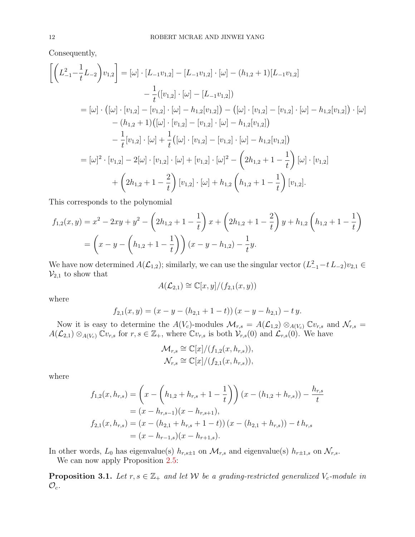Consequently,

$$
\begin{aligned}\n\left[ \left( L_{-1}^{2} - \frac{1}{t} L_{-2} \right) v_{1,2} \right] &= [\omega] \cdot [L_{-1} v_{1,2}] - [L_{-1} v_{1,2}] \cdot [\omega] - (h_{1,2} + 1)[L_{-1} v_{1,2}] \\
&\quad - \frac{1}{t} ([v_{1,2}] \cdot [\omega] - [L_{-1} v_{1,2}]) \\
&= [\omega] \cdot \left( [\omega] \cdot [v_{1,2}] - [v_{1,2}] \cdot [\omega] - h_{1,2}[v_{1,2}] \right) - \left( [\omega] \cdot [v_{1,2}] - [v_{1,2}] \cdot [\omega] - h_{1,2}[v_{1,2}] \right) \cdot [\omega] \\
&\quad - (h_{1,2} + 1) ([\omega] \cdot [v_{1,2}] - [v_{1,2}] \cdot [\omega] - h_{1,2}[v_{1,2}] ) \\
&\quad - \frac{1}{t} [v_{1,2}] \cdot [\omega] + \frac{1}{t} ([\omega] \cdot [v_{1,2}] - [v_{1,2}] \cdot [\omega] - h_{1,2}[v_{1,2}] ) \\
&\quad = [\omega]^2 \cdot [v_{1,2}] - 2[\omega] \cdot [v_{1,2}] \cdot [\omega] + [v_{1,2}] \cdot [\omega]^2 - \left( 2h_{1,2} + 1 - \frac{1}{t} \right) [\omega] \cdot [v_{1,2}] \\
&\quad + \left( 2h_{1,2} + 1 - \frac{2}{t} \right) [v_{1,2}] \cdot [\omega] + h_{1,2} \left( h_{1,2} + 1 - \frac{1}{t} \right) [v_{1,2}].\n\end{aligned}
$$

This corresponds to the polynomial

$$
f_{1,2}(x,y) = x^2 - 2xy + y^2 - \left(2h_{1,2} + 1 - \frac{1}{t}\right)x + \left(2h_{1,2} + 1 - \frac{2}{t}\right)y + h_{1,2}\left(h_{1,2} + 1 - \frac{1}{t}\right)
$$
  
=  $\left(x - y - \left(h_{1,2} + 1 - \frac{1}{t}\right)\right)(x - y - h_{1,2}) - \frac{1}{t}y.$ 

We have now determined  $A(\mathcal{L}_{1,2})$ ; similarly, we can use the singular vector  $(L_{-1}^2-t L_{-2})v_{2,1} \in$  $\mathcal{V}_{2,1}$  to show that

$$
A(\mathcal{L}_{2,1}) \cong \mathbb{C}[x,y]/(f_{2,1}(x,y))
$$

where

$$
f_{2,1}(x,y) = (x - y - (h_{2,1} + 1 - t)) (x - y - h_{2,1}) - ty.
$$

Now it is easy to determine the  $A(V_c)$ -modules  $\mathcal{M}_{r,s} = A(\mathcal{L}_{1,2}) \otimes_{A(V_c)} \mathbb{C}v_{r,s}$  and  $\mathcal{N}_{r,s} =$  $A(\mathcal{L}_{2,1}) \otimes_{A(V_c)} \mathbb{C}v_{r,s}$  for  $r, s \in \mathbb{Z}_+$ , where  $\mathbb{C}v_{r,s}$  is both  $\mathcal{V}_{r,s}(0)$  and  $\mathcal{L}_{r,s}(0)$ . We have

$$
\mathcal{M}_{r,s} \cong \mathbb{C}[x]/(f_{1,2}(x,h_{r,s})),
$$
  

$$
\mathcal{N}_{r,s} \cong \mathbb{C}[x]/(f_{2,1}(x,h_{r,s})),
$$

where

$$
f_{1,2}(x, h_{r,s}) = \left(x - \left(h_{1,2} + h_{r,s} + 1 - \frac{1}{t}\right)\right)(x - (h_{1,2} + h_{r,s})) - \frac{h_{r,s}}{t}
$$
  
=  $(x - h_{r,s-1})(x - h_{r,s+1}),$   

$$
f_{2,1}(x, h_{r,s}) = (x - (h_{2,1} + h_{r,s} + 1 - t))(x - (h_{2,1} + h_{r,s})) - t h_{r,s}
$$
  
=  $(x - h_{r-1,s})(x - h_{r+1,s}).$ 

In other words,  $L_0$  has eigenvalue(s)  $h_{r,s\pm 1}$  on  $\mathcal{M}_{r,s}$  and eigenvalue(s)  $h_{r\pm 1,s}$  on  $\mathcal{N}_{r,s}$ .

We can now apply Proposition [2.5:](#page-9-0)

<span id="page-11-0"></span>**Proposition 3.1.** Let  $r, s \in \mathbb{Z}_+$  and let W be a grading-restricted generalized  $V_c$ -module in  $\mathcal{O}_c$ .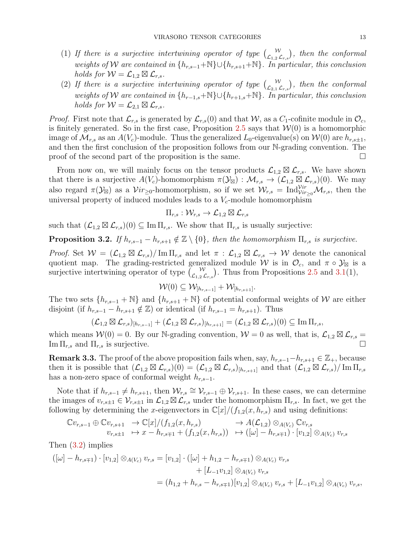- (1) If there is a surjective intertwining operator of type  $\binom{W}{\mathcal{L}_{1,2}\mathcal{L}_{r,s}}$ , then the conformal weights of W are contained in  $\{h_{r,s-1}+\mathbb{N}\}\cup\{h_{r,s+1}+\mathbb{N}\}\$ . In particular, this conclusion holds for  $\mathcal{W} = \mathcal{L}_{1,2} \boxtimes \mathcal{L}_{r,s}$ .
- (2) If there is a surjective intertwining operator of type  $\binom{W}{\mathcal{L}_{2,1}\mathcal{L}_{r,s}}$ , then the conformal weights of W are contained in  $\{h_{r-1,s}+\mathbb{N}\}\cup\{h_{r+1,s}+\mathbb{N}\}\$ . In particular, this conclusion holds for  $\mathcal{W} = \mathcal{L}_{2,1} \boxtimes \mathcal{L}_{r,s}$ .

*Proof.* First note that  $\mathcal{L}_{r,s}$  is generated by  $\mathcal{L}_{r,s}(0)$  and that W, as a  $C_1$ -cofinite module in  $\mathcal{O}_c$ , is finitely generated. So in the first case, Proposition [2.5](#page-9-0) says that  $W(0)$  is a homomorphic image of  $\mathcal{M}_{r,s}$  as an  $A(V_c)$ -module. Thus the generalized  $L_0$ -eigenvalue(s) on  $\mathcal{W}(0)$  are  $h_{r,s+1}$ , and then the first conclusion of the proposition follows from our N-grading convention. The proof of the second part of the proposition is the same.  $\Box$ 

From now on, we will mainly focus on the tensor products  $\mathcal{L}_{1,2} \boxtimes \mathcal{L}_{r,s}$ . We have shown that there is a surjective  $A(V_c)$ -homomorphism  $\pi(\mathcal{Y}_{\boxtimes}) : \mathcal{M}_{r,s} \to (\mathcal{L}_{1,2} \boxtimes \mathcal{L}_{r,s})(0)$ . We may also regard  $\pi(\mathcal{Y}_{\boxtimes})$  as a  $Vir_{\geq 0}$ -homomorphism, so if we set  $\mathcal{W}_{r,s} = \text{Ind}_{Vir_{\geq 0}}^{\mathcal{V}ir} \mathcal{M}_{r,s}$ , then the universal property of induced modules leads to a  $V_c$ -module homomorphism

$$
\Pi_{r,s}: \mathcal{W}_{r,s} \to \mathcal{L}_{1,2}\boxtimes \mathcal{L}_{r,s}
$$

such that  $(\mathcal{L}_{1,2} \boxtimes \mathcal{L}_{r,s})(0) \subseteq \text{Im }\Pi_{r,s}$ . We show that  $\Pi_{r,s}$  is usually surjective:

<span id="page-12-0"></span>**Proposition 3.2.** If  $h_{r,s-1} - h_{r,s+1} \notin \mathbb{Z} \setminus \{0\}$ , then the homomorphism  $\Pi_{r,s}$  is surjective.

Proof. Set  $W = (\mathcal{L}_{1,2} \boxtimes \mathcal{L}_{r,s})/ \text{Im} \Pi_{r,s}$  and let  $\pi : \mathcal{L}_{1,2} \boxtimes \mathcal{L}_{r,s} \to W$  denote the canonical quotient map. The grading-restricted generalized module W is in  $\mathcal{O}_c$ , and  $\pi \circ \mathcal{Y}_{\boxtimes}$  is a surjective intertwining operator of type  $\begin{pmatrix} \mathcal{W} \\ \mathcal{L}_{1,2} \mathcal{L}_{r,s} \end{pmatrix}$ . Thus from Propositions [2.5](#page-9-0) and [3.1\(](#page-11-0)1),

$$
\mathcal{W}(0) \subseteq \mathcal{W}_{[h_{r,s-1}]} + \mathcal{W}_{[h_{r,s+1}]}.
$$

The two sets  $\{h_{r,s-1}+\mathbb{N}\}\$  and  $\{h_{r,s+1}+\mathbb{N}\}\$  of potential conformal weights of W are either disjoint (if  $h_{r,s-1} - h_{r,s+1} \notin \mathbb{Z}$ ) or identical (if  $h_{r,s-1} = h_{r,s+1}$ ). Thus

$$
(\mathcal{L}_{1,2}\boxtimes\mathcal{L}_{r,s})_{[h_{r,s-1}]}+(\mathcal{L}_{1,2}\boxtimes\mathcal{L}_{r,s})_{[h_{r,s+1}]}=(\mathcal{L}_{1,2}\boxtimes\mathcal{L}_{r,s})(0)\subseteq\text{Im}\,\Pi_{r,s},
$$

which means  $W(0) = 0$ . By our N-grading convention,  $W = 0$  as well, that is,  $\mathcal{L}_{1,2} \boxtimes \mathcal{L}_{r,s} =$ Im  $\Pi_{r,s}$  and  $\Pi_{r,s}$  is surjective.

**Remark 3.3.** The proof of the above proposition fails when, say,  $h_{r,s-1}-h_{r,s+1} \in \mathbb{Z}_+$ , because then it is possible that  $(\mathcal{L}_{1,2} \boxtimes \mathcal{L}_{r,s})(0) = (\mathcal{L}_{1,2} \boxtimes \mathcal{L}_{r,s})_{[h_r,s+1]}$  and that  $(\mathcal{L}_{1,2} \boxtimes \mathcal{L}_{r,s})/\text{Im}\,\Pi_{r,s}$ has a non-zero space of conformal weight  $h_{r,s-1}$ .

Note that if  $h_{r,s-1} \neq h_{r,s+1}$ , then  $\mathcal{W}_{r,s} \cong \mathcal{V}_{r,s-1} \oplus \mathcal{V}_{r,s+1}$ . In these cases, we can determine the images of  $v_{r,s+1} \in V_{r,s+1}$  in  $\mathcal{L}_{1,2} \boxtimes \mathcal{L}_{r,s}$  under the homomorphism  $\Pi_{r,s}$ . In fact, we get the following by determining the x-eigenvectors in  $\mathbb{C}[x]/(f_{1,2}(x, h_{r,s})$  and using definitions:

$$
\mathbb{C}v_{r,s-1} \oplus \mathbb{C}v_{r,s+1} \rightarrow \mathbb{C}[x]/(f_{1,2}(x,h_{r,s}) \rightarrow A(\mathcal{L}_{1,2}) \otimes_{A(V_c)} \mathbb{C}v_{r,s}
$$
  

$$
v_{r,s+1} \mapsto x - h_{r,s+1} + (f_{1,2}(x,h_{r,s})) \mapsto ([\omega] - h_{r,s+1}) \cdot [v_{1,2}] \otimes_{A(V_c)} v_{r,s}
$$

Then [\(3.2\)](#page-10-3) implies

$$
\begin{aligned} ([\omega] - h_{r,s+1}) \cdot [v_{1,2}] \otimes_{A(V_c)} v_{r,s} &= [v_{1,2}] \cdot ([\omega] + h_{1,2} - h_{r,s+1}) \otimes_{A(V_c)} v_{r,s} \\ &+ [L_{-1}v_{1,2}] \otimes_{A(V_c)} v_{r,s} \\ &= (h_{1,2} + h_{r,s} - h_{r,s+1}) [v_{1,2}] \otimes_{A(V_c)} v_{r,s} + [L_{-1}v_{1,2}] \otimes_{A(V_c)} v_{r,s}, \end{aligned}
$$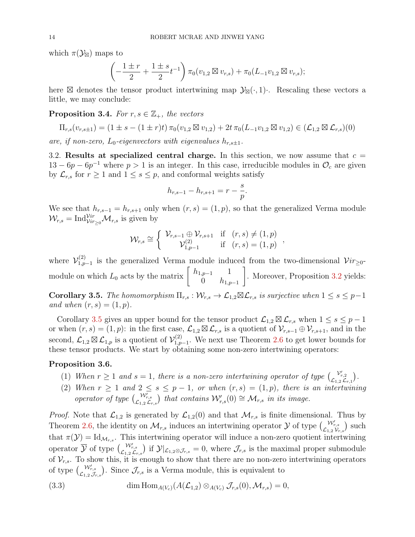which  $\pi(\mathcal{Y}_{\boxtimes})$  maps to

$$
\left(-\frac{1\pm r}{2} + \frac{1\pm s}{2}t^{-1}\right)\pi_0(v_{1,2}\boxtimes v_{r,s}) + \pi_0(L_{-1}v_{1,2}\boxtimes v_{r,s});
$$

here  $\boxtimes$  denotes the tensor product intertwining map  $\mathcal{Y}_{\boxtimes}(\cdot,1)$ . Rescaling these vectors a little, we may conclude:

<span id="page-13-4"></span>**Proposition 3.4.** For  $r, s \in \mathbb{Z}_+$ , the vectors

$$
\Pi_{r,s}(v_{r,s\pm 1}) = (1 \pm s - (1 \pm r)t) \pi_0(v_{1,2} \boxtimes v_{1,2}) + 2t \pi_0(L_{-1}v_{1,2} \boxtimes v_{1,2}) \in (\mathcal{L}_{1,2} \boxtimes \mathcal{L}_{r,s})(0)
$$

are, if non-zero,  $L_0$ -eigenvectors with eigenvalues  $h_{r,s\pm 1}$ .

<span id="page-13-0"></span>3.2. Results at specialized central charge. In this section, we now assume that  $c =$  $13 - 6p - 6p^{-1}$  where  $p > 1$  is an integer. In this case, irreducible modules in  $\mathcal{O}_c$  are given by  $\mathcal{L}_{r,s}$  for  $r \geq 1$  and  $1 \leq s \leq p$ , and conformal weights satisfy

$$
h_{r,s-1} - h_{r,s+1} = r - \frac{s}{p}.
$$

We see that  $h_{r,s-1} = h_{r,s+1}$  only when  $(r, s) = (1, p)$ , so that the generalized Verma module  $\mathcal{W}_{r,s} = \text{Ind}_{\mathcal{V}ir_{\geq 0}}^{\mathcal{V}ir} \mathcal{M}_{r,s}$  is given by

$$
\mathcal{W}_{r,s} \cong \left\{ \begin{array}{ccc} \mathcal{V}_{r,s-1} \oplus \mathcal{V}_{r,s+1} & \text{if} & (r,s) \neq (1,p) \\ \mathcal{V}_{1,p-1}^{(2)} & \text{if} & (r,s) = (1,p) \end{array} \right.,
$$

where  $\mathcal{V}_{1,p}^{(2)}$  $\sum_{1,p-1}^{(2)}$  is the generalized Verma module induced from the two-dimensional  $Vir_{\geq 0}$ module on which  $L_0$  acts by the matrix  $\begin{bmatrix} h_{1,p-1} & 1 \\ 0 & h \end{bmatrix}$ 0  $h_{1,p-1}$ 1 . Moreover, Proposition [3.2](#page-12-0) yields:

<span id="page-13-1"></span>**Corollary 3.5.** The homomorphism  $\Pi_{r,s}: \mathcal{W}_{r,s} \to \mathcal{L}_{1,2} \boxtimes \mathcal{L}_{r,s}$  is surjective when  $1 \leq s \leq p-1$ and when  $(r, s) = (1, p)$ .

Corollary [3.5](#page-13-1) gives an upper bound for the tensor product  $\mathcal{L}_{1,2} \boxtimes \mathcal{L}_{r,s}$  when  $1 \leq s \leq p-1$ or when  $(r, s) = (1, p)$ : in the first case,  $\mathcal{L}_{1,2} \boxtimes \mathcal{L}_{r,s}$  is a quotient of  $\mathcal{V}_{r,s-1} \oplus \mathcal{V}_{r,s+1}$ , and in the second,  $\mathcal{L}_{1,2} \boxtimes \mathcal{L}_{1,p}$  is a quotient of  $\mathcal{V}_{1,p}^{(2)}$  $1_{1,p-1}^{(2)}$ . We next use Theorem [2.6](#page-10-2) to get lower bounds for these tensor products. We start by obtaining some non-zero intertwining operators:

## <span id="page-13-3"></span>Proposition 3.6.

- (1) When  $r \geq 1$  and  $s = 1$ , there is a non-zero intertwining operator of type  $\begin{pmatrix} \mathcal{V}'_{r,2} \\ \mathcal{L}_{1,2} \mathcal{L}_{r,1} \end{pmatrix}$ .
- (2) When  $r \geq 1$  and  $2 \leq s \leq p-1$ , or when  $(r, s) = (1, p)$ , there is an intertwining operator of type  $\binom{\mathcal{W}_{r,s}^{\prime}}{\mathcal{L}_{1,2}\mathcal{L}_{r,s}}$  that contains  $\mathcal{W}_{r,s}^{\prime}(0) \cong \mathcal{M}_{r,s}$  in its image.

*Proof.* Note that  $\mathcal{L}_{1,2}$  is generated by  $\mathcal{L}_{1,2}(0)$  and that  $\mathcal{M}_{r,s}$  is finite dimensional. Thus by Theorem [2.6,](#page-10-2) the identity on  $\mathcal{M}_{r,s}$  induces an intertwining operator  $\mathcal{Y}$  of type  $\begin{pmatrix} \mathcal{W}_{r,s}^{\prime} \\ L_{1,2} \mathcal{V}_{r,s} \end{pmatrix}$  such that  $\pi(\mathcal{Y}) = \text{Id}_{\mathcal{M}_{r,s}}$ . This intertwining operator will induce a non-zero quotient intertwining operator  $\overline{\mathcal{Y}}$  of type  $\binom{\mathcal{W}_{r,s}'}{\mathcal{L}_{1,2}\mathcal{L}_{r,s}}$  is  $\mathcal{Y}|_{\mathcal{L}_{1,2}\otimes\mathcal{J}_{r,s}}=0$ , where  $\mathcal{J}_{r,s}$  is the maximal proper submodule of  $\mathcal{V}_{r,s}$ . To show this, it is enough to show that there are no non-zero intertwining operators of type  $\binom{\mathcal{W}_{r,s}}{\mathcal{L}_{1,2}\mathcal{J}_{r,s}}$ . Since  $\mathcal{J}_{r,s}$  is a Verma module, this is equivalent to

<span id="page-13-2"></span>(3.3) 
$$
\dim \text{Hom}_{A(V_c)}(A(\mathcal{L}_{1,2}) \otimes_{A(V_c)} \mathcal{J}_{r,s}(0), \mathcal{M}_{r,s}) = 0,
$$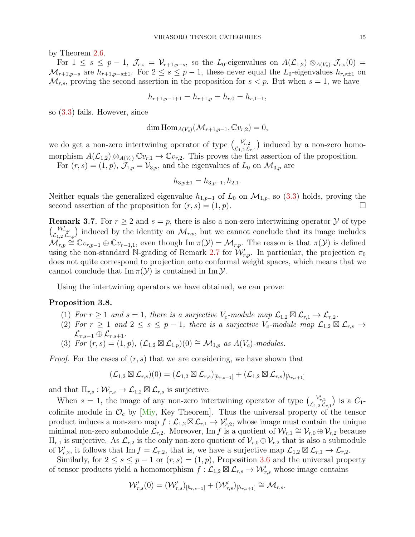by Theorem [2.6.](#page-10-2)

For  $1 \leq s \leq p-1$ ,  $\mathcal{J}_{r,s} = \mathcal{V}_{r+1,p-s}$ , so the  $L_0$ -eigenvalues on  $A(\mathcal{L}_{1,2}) \otimes_{A(V_c)} \mathcal{J}_{r,s}(0) =$  $\mathcal{M}_{r+1,p-s}$  are  $h_{r+1,p-s\pm 1}$ . For  $2 \leq s \leq p-1$ , these never equal the  $L_0$ -eigenvalues  $h_{r,s\pm 1}$  on  $\mathcal{M}_{r,s}$ , proving the second assertion in the proposition for  $s < p$ . But when  $s = 1$ , we have

$$
h_{r+1,p-1+1} = h_{r+1,p} = h_{r,0} = h_{r,1-1},
$$

so [\(3.3\)](#page-13-2) fails. However, since

$$
\dim \mathrm{Hom}_{A(V_c)}(\mathcal{M}_{r+1,p-1}, \mathbb{C}v_{r,2}) = 0,
$$

we do get a non-zero intertwining operator of type  $\binom{\mathcal{V}'_{r,2}}{\mathcal{L}_{r,1}}$  induced by a non-zero homomorphism  $A(\mathcal{L}_{1,2}) \otimes_{A(V_c)} \mathbb{C}v_{r,1} \to \mathbb{C}v_{r,2}$ . This proves the first assertion of the proposition.

For  $(r, s) = (1, p)$ ,  $\mathcal{J}_{1,p} = \mathcal{V}_{3,p}$ , and the eigenvalues of  $L_0$  on  $\mathcal{M}_{3,p}$  are

$$
h_{3,p\pm 1} = h_{3,p-1}, h_{2,1}.
$$

Neither equals the generalized eigenvalue  $h_{1,p-1}$  of  $L_0$  on  $\mathcal{M}_{1,p}$ , so [\(3.3\)](#page-13-2) holds, proving the second assertion of the proposition for  $(r, s) = (1, p)$ .

**Remark 3.7.** For  $r \geq 2$  and  $s = p$ , there is also a non-zero intertwining operator  $\mathcal Y$  of type  $\binom{\mathcal{W}_{r,p}}{\mathcal{L}_{1,2}\mathcal{L}_{r,p}}$  induced by the identity on  $\mathcal{M}_{r,p}$ , but we cannot conclude that its image includes  $\mathcal{M}_{r,p} \cong \mathbb{C}v_{r,p-1} \oplus \mathbb{C}v_{r-1,1}$ , even though Im  $\pi(\mathcal{Y}) = \mathcal{M}_{r,p}$ . The reason is that  $\pi(\mathcal{Y})$  is defined using the non-standard N-grading of Remark [2.7](#page-10-4) for  $\mathcal{W}'_{r,p}$ . In particular, the projection  $\pi_0$ does not quite correspond to projection onto conformal weight spaces, which means that we cannot conclude that  $\text{Im } \pi(\mathcal{Y})$  is contained in  $\text{Im } \mathcal{Y}$ .

Using the intertwining operators we have obtained, we can prove:

#### <span id="page-14-0"></span>Proposition 3.8.

- (1) For  $r \geq 1$  and  $s = 1$ , there is a surjective  $V_c$ -module map  $\mathcal{L}_{1,2} \boxtimes \mathcal{L}_{r,1} \to \mathcal{L}_{r,2}$ .
- (2) For  $r \geq 1$  and  $2 \leq s \leq p-1$ , there is a surjective  $V_c$ -module map  $\mathcal{L}_{1,2} \boxtimes \mathcal{L}_{r,s} \rightarrow$  $\mathcal{L}_{r,s-1}\oplus\mathcal{L}_{r,s+1}.$
- (3) For  $(r, s) = (1, p)$ ,  $(\mathcal{L}_{1,2} \boxtimes \mathcal{L}_{1,p})(0) \cong \mathcal{M}_{1,p}$  as  $A(V_c)$ -modules.

*Proof.* For the cases of  $(r, s)$  that we are considering, we have shown that

$$
(\mathcal{L}_{1,2}\boxtimes \mathcal{L}_{r,s})(0)=(\mathcal{L}_{1,2}\boxtimes \mathcal{L}_{r,s})_{[h_{r,s-1}]}+(\mathcal{L}_{1,2}\boxtimes \mathcal{L}_{r,s})_{[h_{r,s+1}]}
$$

and that  $\Pi_{r,s}: \mathcal{W}_{r,s} \to \mathcal{L}_{1,2} \boxtimes \mathcal{L}_{r,s}$  is surjective.

When  $s = 1$ , the image of any non-zero intertwining operator of type  $\begin{pmatrix} \mathcal{V}'_{r,2} \\ \mathcal{L}_{1,2} \mathcal{L}_{r,1} \end{pmatrix}$  is a  $C_1$ cofinite module in  $\mathcal{O}_c$  by [\[Miy,](#page-53-16) Key Theorem]. Thus the universal property of the tensor product induces a non-zero map  $f: \mathcal{L}_{1,2} \boxtimes \mathcal{L}_{r,1} \to \mathcal{V}'_{r,2}$ , whose image must contain the unique minimal non-zero submodule  $\mathcal{L}_{r,2}$ . Moreover, Im f is a quotient of  $\mathcal{W}_{r,1} \cong \mathcal{V}_{r,0} \oplus \mathcal{V}_{r,2}$  because  $\Pi_{r,1}$  is surjective. As  $\mathcal{L}_{r,2}$  is the only non-zero quotient of  $\mathcal{V}_{r,0} \oplus \mathcal{V}_{r,2}$  that is also a submodule of  $\mathcal{V}'_{r,2}$ , it follows that  $\text{Im } f = \mathcal{L}_{r,2}$ , that is, we have a surjective map  $\mathcal{L}_{1,2} \boxtimes \mathcal{L}_{r,1} \to \mathcal{L}_{r,2}$ .

Similarly, for  $2 \leq s \leq p-1$  or  $(r, s) = (1, p)$ , Proposition [3.6](#page-13-3) and the universal property of tensor products yield a homomorphism  $f: \mathcal{L}_{1,2} \boxtimes \mathcal{L}_{r,s} \to \mathcal{W}'_{r,s}$  whose image contains

$$
\mathcal{W}'_{r,s}(0)=(\mathcal{W}'_{r,s})_{[h_{r,s-1}]}+(\mathcal{W}'_{r,s})_{[h_{r,s+1}]}\cong \mathcal{M}_{r,s}.
$$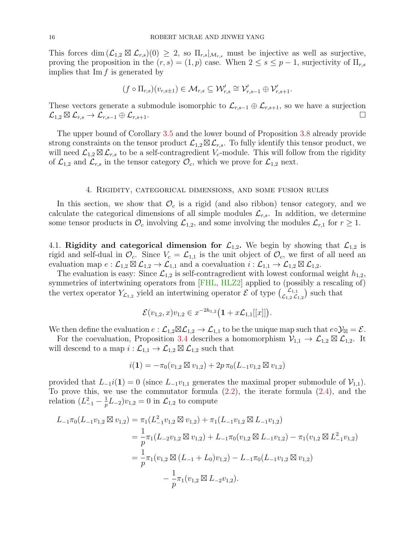This forces dim  $(\mathcal{L}_{1,2} \boxtimes \mathcal{L}_{r,s})(0) \geq 2$ , so  $\Pi_{r,s}|_{\mathcal{M}_{r,s}}$  must be injective as well as surjective, proving the proposition in the  $(r, s) = (1, p)$  case. When  $2 \leq s \leq p-1$ , surjectivity of  $\Pi_{r,s}$ implies that  $\text{Im } f$  is generated by

$$
(f \circ \Pi_{r,s})(v_{r,s+1}) \in \mathcal{M}_{r,s} \subseteq \mathcal{W}'_{r,s} \cong \mathcal{V}'_{r,s-1} \oplus \mathcal{V}'_{r,s+1}.
$$

These vectors generate a submodule isomorphic to  $\mathcal{L}_{r,s-1} \oplus \mathcal{L}_{r,s+1}$ , so we have a surjection  $\mathcal{L}_{1,2} \boxtimes \mathcal{L}_{r,s} \rightarrow \mathcal{\breve{L}}_{r,s-1} \oplus \mathcal{L}_{r,s+1}.$ 

The upper bound of Corollary [3.5](#page-13-1) and the lower bound of Proposition [3.8](#page-14-0) already provide strong constraints on the tensor product  $\mathcal{L}_{1,2} \boxtimes \mathcal{L}_{r,s}$ . To fully identify this tensor product, we will need  $\mathcal{L}_{1,2} \boxtimes \mathcal{L}_{r,s}$  to be a self-contragredient  $V_c$ -module. This will follow from the rigidity of  $\mathcal{L}_{1,2}$  and  $\mathcal{L}_{r,s}$  in the tensor category  $\mathcal{O}_c$ , which we prove for  $\mathcal{L}_{1,2}$  next.

#### 4. Rigidity, categorical dimensions, and some fusion rules

<span id="page-15-0"></span>In this section, we show that  $\mathcal{O}_c$  is a rigid (and also ribbon) tensor category, and we calculate the categorical dimensions of all simple modules  $\mathcal{L}_{r,s}$ . In addition, we determine some tensor products in  $\mathcal{O}_c$  involving  $\mathcal{L}_{1,2}$ , and some involving the modules  $\mathcal{L}_{r,1}$  for  $r \geq 1$ .

<span id="page-15-1"></span>4.1. Rigidity and categorical dimension for  $\mathcal{L}_{1,2}$ . We begin by showing that  $\mathcal{L}_{1,2}$  is rigid and self-dual in  $\mathcal{O}_c$ . Since  $V_c = \mathcal{L}_{1,1}$  is the unit object of  $\mathcal{O}_c$ , we first of all need an evaluation map  $e: \mathcal{L}_{1,2} \boxtimes \mathcal{L}_{1,2} \to \mathcal{L}_{1,1}$  and a coevaluation  $i: \mathcal{L}_{1,1} \to \mathcal{L}_{1,2} \boxtimes \mathcal{L}_{1,2}$ .

The evaluation is easy: Since  $\mathcal{L}_{1,2}$  is self-contragredient with lowest conformal weight  $h_{1,2}$ , symmetries of intertwining operators from [\[FHL,](#page-52-13) [HLZ2\]](#page-53-15) applied to (possibly a rescaling of) the vertex operator  $Y_{\mathcal{L}_{1,2}}$  yield an intertwining operator  $\mathcal{E}$  of type  $\begin{pmatrix} \mathcal{L}_{1,1} \\ \mathcal{L}_{1,2} \end{pmatrix}$  $\mathcal{L}_{1,2}$   $\mathcal{L}_{1,2}$ ) such that

$$
\mathcal{E}(v_{1,2},x)v_{1,2} \in x^{-2h_{1,2}}(1+x\mathcal{L}_{1,1}[[x]]).
$$

We then define the evaluation  $e: \mathcal{L}_{1,2} \boxtimes \mathcal{L}_{1,2} \to \mathcal{L}_{1,1}$  to be the unique map such that  $e \circ \mathcal{Y}_{\boxtimes} = \mathcal{E}$ .

For the coevaluation, Proposition [3.4](#page-13-4) describes a homomorphism  $V_{1,1} \to \mathcal{L}_{1,2} \boxtimes \mathcal{L}_{1,2}$ . It will descend to a map  $i: \mathcal{L}_{1,1} \to \mathcal{L}_{1,2} \boxtimes \mathcal{L}_{1,2}$  such that

$$
i(1) = -\pi_0(v_{1,2}\boxtimes v_{1,2}) + 2p\,\pi_0(L_{-1}v_{1,2}\boxtimes v_{1,2})
$$

provided that  $L_{-1}i(1) = 0$  (since  $L_{-1}v_{1,1}$  generates the maximal proper submodule of  $\mathcal{V}_{1,1}$ ). To prove this, we use the commutator formula [\(2.2\)](#page-6-2), the iterate formula [\(2.4\)](#page-7-2), and the relation  $(L_{-1}^2 - \frac{1}{p})$  $(\frac{1}{p}L_{-2})v_{1,2}=0$  in  $\mathcal{L}_{1,2}$  to compute

$$
L_{-1}\pi_0(L_{-1}v_{1,2}\boxtimes v_{1,2}) = \pi_1(L_{-1}^2v_{1,2}\boxtimes v_{1,2}) + \pi_1(L_{-1}v_{1,2}\boxtimes L_{-1}v_{1,2})
$$
  
\n
$$
= \frac{1}{p}\pi_1(L_{-2}v_{1,2}\boxtimes v_{1,2}) + L_{-1}\pi_0(v_{1,2}\boxtimes L_{-1}v_{1,2}) - \pi_1(v_{1,2}\boxtimes L_{-1}^2v_{1,2})
$$
  
\n
$$
= \frac{1}{p}\pi_1(v_{1,2}\boxtimes (L_{-1} + L_0)v_{1,2}) - L_{-1}\pi_0(L_{-1}v_{1,2}\boxtimes v_{1,2})
$$
  
\n
$$
- \frac{1}{p}\pi_1(v_{1,2}\boxtimes L_{-2}v_{1,2}).
$$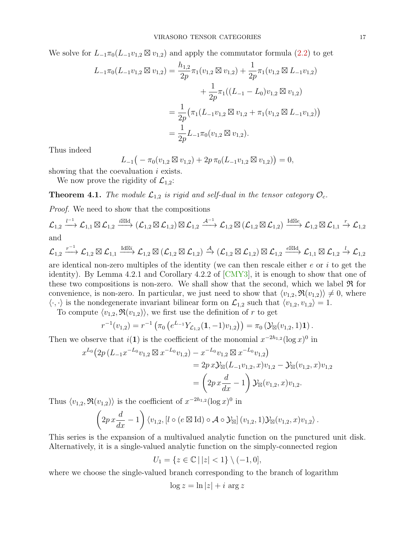We solve for  $L_{-1}\pi_0(L_{-1}v_{1,2}\boxtimes v_{1,2})$  and apply the commutator formula [\(2.2\)](#page-6-2) to get

$$
L_{-1}\pi_0(L_{-1}v_{1,2}\boxtimes v_{1,2}) = \frac{h_{1,2}}{2p}\pi_1(v_{1,2}\boxtimes v_{1,2}) + \frac{1}{2p}\pi_1(v_{1,2}\boxtimes L_{-1}v_{1,2})
$$
  

$$
+ \frac{1}{2p}\pi_1((L_{-1}-L_0)v_{1,2}\boxtimes v_{1,2})
$$
  

$$
= \frac{1}{2p}(\pi_1(L_{-1}v_{1,2}\boxtimes v_{1,2} + \pi_1(v_{1,2}\boxtimes L_{-1}v_{1,2}))
$$
  

$$
= \frac{1}{2p}L_{-1}\pi_0(v_{1,2}\boxtimes v_{1,2}).
$$

Thus indeed

$$
L_{-1}\big(-\pi_0(v_{1,2}\boxtimes v_{1,2})+2p\,\pi_0(L_{-1}v_{1,2}\boxtimes v_{1,2})\big)=0,
$$

showing that the coevaluation *i* exists.

We now prove the rigidity of  $\mathcal{L}_{1,2}$ :

<span id="page-16-0"></span>**Theorem 4.1.** The module  $\mathcal{L}_{1,2}$  is rigid and self-dual in the tensor category  $\mathcal{O}_c$ .

Proof. We need to show that the compositions

$$
\mathcal{L}_{1,2} \xrightarrow{l^{-1}} \mathcal{L}_{1,1} \boxtimes \mathcal{L}_{1,2} \xrightarrow{i \boxtimes Id} (\mathcal{L}_{1,2} \boxtimes \mathcal{L}_{1,2}) \boxtimes \mathcal{L}_{1,2} \xrightarrow{\mathcal{A}^{-1}} \mathcal{L}_{1,2} \boxtimes (\mathcal{L}_{1,2} \boxtimes \mathcal{L}_{1,2}) \xrightarrow{Id \boxtimes e} \mathcal{L}_{1,2} \boxtimes \mathcal{L}_{1,1} \xrightarrow{r} \mathcal{L}_{1,2}
$$
  
and

 $\mathcal{L}_{1,2} \stackrel{r^{-1}}{\longrightarrow} \mathcal{L}_{1,2}\boxtimes \mathcal{L}_{1,1} \stackrel{\mathrm{Id}\boxtimes i}{\longrightarrow} \mathcal{L}_{1,2}\boxtimes (\mathcal{L}_{1,2}\boxtimes \mathcal{L}_{1,2}) \stackrel{\mathcal{A}}{\rightarrow} (\mathcal{L}_{1,2}\boxtimes \mathcal{L}_{1,2}) \boxtimes \mathcal{L}_{1,2} \stackrel{e\boxtimes \mathrm{Id}}{\longrightarrow} \mathcal{L}_{1,1}\boxtimes \mathcal{L}_{1,2} \stackrel{l}{\rightarrow} \mathcal{L}_{1,2}$ 

are identical non-zero multiples of the identity (we can then rescale either  $e$  or  $i$  to get the identity). By Lemma 4.2.1 and Corollary 4.2.2 of [\[CMY3\]](#page-51-18), it is enough to show that one of these two compositions is non-zero. We shall show that the second, which we label  $\Re$  for convenience, is non-zero. In particular, we just need to show that  $\langle v_{1,2}, \Re(v_{1,2}) \rangle \neq 0$ , where  $\langle \cdot, \cdot \rangle$  is the nondegenerate invariant bilinear form on  $\mathcal{L}_{1,2}$  such that  $\langle v_{1,2}, v_{1,2} \rangle = 1$ .

To compute  $\langle v_{1,2}, \mathfrak{R}(v_{1,2}) \rangle$ , we first use the definition of r to get

$$
r^{-1}(v_{1,2}) = r^{-1} \left( \pi_0 \left( e^{L_{-1}} Y_{\mathcal{L}_{1,2}}(1,-1) v_{1,2} \right) \right) = \pi_0 \left( \mathcal{Y}_{\boxtimes}(v_{1,2},1) \mathbf{1} \right).
$$

Then we observe that  $i(1)$  is the coefficient of the monomial  $x^{-2h_{1,2}}(\log x)^0$  in

$$
x^{L_0} (2p (L_{-1} x^{-L_0} v_{1,2} \boxtimes x^{-L_0} v_{1,2}) - x^{-L_0} v_{1,2} \boxtimes x^{-L_0} v_{1,2})
$$
  
=  $2p x \mathcal{Y}_{\boxtimes} (L_{-1} v_{1,2}, x) v_{1,2} - \mathcal{Y}_{\boxtimes} (v_{1,2}, x) v_{1,2}$   
=  $\left(2p x \frac{d}{dx} - 1\right) \mathcal{Y}_{\boxtimes} (v_{1,2}, x) v_{1,2}.$ 

Thus  $\langle v_{1,2}, \Re(v_{1,2}) \rangle$  is the coefficient of  $x^{-2h_{1,2}}(\log x)^0$  in

$$
\left(2p\,x\frac{d}{dx}-1\right)\langle v_{1,2},\left[l\circ(e\boxtimes\mathrm{Id})\circ\mathcal{A}\circ\mathcal{Y}_{\boxtimes}\right](v_{1,2},1)\mathcal{Y}_{\boxtimes}(v_{1,2},x)v_{1,2}\rangle\,.
$$

This series is the expansion of a multivalued analytic function on the punctured unit disk. Alternatively, it is a single-valued analytic function on the simply-connected region

$$
U_1 = \{ z \in \mathbb{C} \mid |z| < 1 \} \setminus (-1, 0],
$$

where we choose the single-valued branch corresponding to the branch of logarithm

$$
\log z = \ln |z| + i \arg z
$$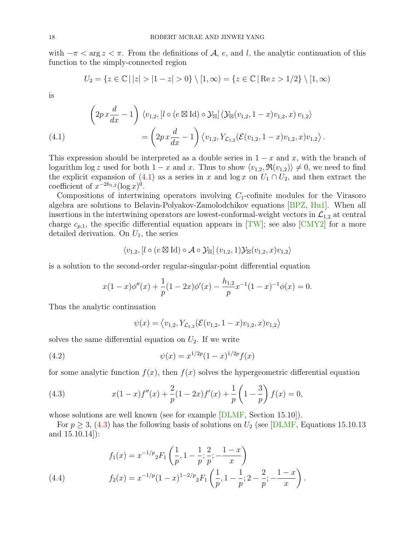with  $-\pi < \arg z < \pi$ . From the definitions of A, e, and l, the analytic continuation of this function to the simply-connected region

$$
U_2 = \{ z \in \mathbb{C} \mid |z| > |1 - z| > 0 \} \setminus [1, \infty) = \{ z \in \mathbb{C} \mid \text{Re } z > 1/2 \} \setminus [1, \infty)
$$

is

<span id="page-17-0"></span>(4.1) 
$$
\left(2p x \frac{d}{dx} - 1\right) \langle v_{1,2}, [l \circ (e \boxtimes \text{Id}) \circ \mathcal{Y}_{\boxtimes}](\mathcal{Y}_{\boxtimes}(v_{1,2}, 1 - x)v_{1,2}, x) v_{1,2}\rangle = \left(2p x \frac{d}{dx} - 1\right) \langle v_{1,2}, Y_{\mathcal{L}_{1,2}}(\mathcal{E}(v_{1,2}, 1 - x)v_{1,2}, x)v_{1,2}\rangle.
$$

This expression should be interpreted as a double series in  $1 - x$  and x, with the branch of logarithm log z used for both  $1 - x$  and x. Thus to show  $\langle v_{1,2}, \Re(v_{1,2}) \rangle \neq 0$ , we need to find the explicit expansion of [\(4.1\)](#page-17-0) as a series in x and log x on  $U_1 \cap U_2$ , and then extract the coefficient of  $x^{-2h_{1,2}}(\log x)^0$ .

Compositions of intertwining operators involving  $C_1$ -cofinite modules for the Virasoro algebra are solutions to Belavin-Polyakov-Zamolodchikov equations [\[BPZ,](#page-51-1) [Hu1\]](#page-52-2). When all insertions in the intertwining operators are lowest-conformal-weight vectors in  $\mathcal{L}_{1,2}$  at central charge  $c_{p,1}$ , the specific differential equation appears in [\[TW\]](#page-54-4); see also [\[CMY2\]](#page-51-3) for a more detailed derivation. On  $U_1$ , the series

$$
\langle v_{1,2}, [l \circ (e \boxtimes \mathrm{Id}) \circ \mathcal{A} \circ \mathcal{Y}_{\boxtimes}](v_{1,2}, 1) \mathcal{Y}_{\boxtimes}(v_{1,2}, x) v_{1,2} \rangle
$$

is a solution to the second-order regular-singular-point differential equation

$$
x(1-x)\phi''(x) + \frac{1}{p}(1-2x)\phi'(x) - \frac{h_{1,2}}{p}x^{-1}(1-x)^{-1}\phi(x) = 0.
$$

Thus the analytic continuation

<span id="page-17-2"></span>
$$
\psi(x) = \langle v_{1,2}, Y_{\mathcal{L}_{1,2}}(\mathcal{E}(v_{1,2}, 1-x)v_{1,2}, x)v_{1,2}\rangle
$$

solves the same differential equation on  $U_2$ . If we write

(4.2) 
$$
\psi(x) = x^{1/2p} (1-x)^{1/2p} f(x)
$$

for some analytic function  $f(x)$ , then  $f(x)$  solves the hypergeometric differential equation

<span id="page-17-1"></span>(4.3) 
$$
x(1-x)f''(x) + \frac{2}{p}(1-2x)f'(x) + \frac{1}{p}\left(1-\frac{3}{p}\right)f(x) = 0,
$$

whose solutions are well known (see for example [\[DLMF,](#page-52-19) Section 15.10]).

For  $p \geq 3$ , [\(4.3\)](#page-17-1) has the following basis of solutions on  $U_2$  (see [\[DLMF,](#page-52-19) Equations 15.10.13 and 15.10.14]):

<span id="page-17-3"></span>(4.4) 
$$
f_1(x) = x^{-1/p} {}_2F_1\left(\frac{1}{p}, 1 - \frac{1}{p}; \frac{2}{p}; -\frac{1-x}{x}\right)
$$

$$
f_2(x) = x^{-1/p} (1-x)^{1-2/p} {}_2F_1\left(\frac{1}{p}, 1 - \frac{1}{p}; 2 - \frac{2}{p}; -\frac{1-x}{x}\right).
$$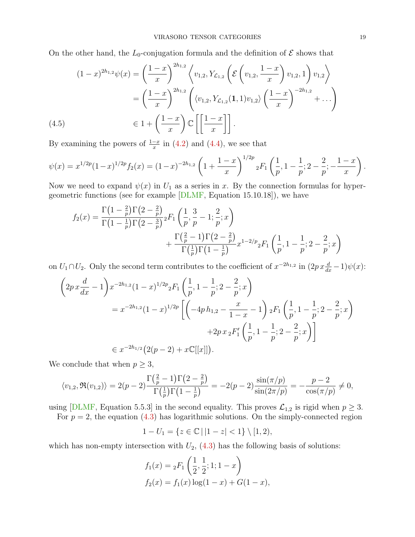On the other hand, the  $L_0$ -conjugation formula and the definition of  $\mathcal E$  shows that

$$
(1-x)^{2h_{1,2}}\psi(x) = \left(\frac{1-x}{x}\right)^{2h_{1,2}} \left\langle v_{1,2}, Y_{\mathcal{L}_{1,2}}\left(\mathcal{E}\left(v_{1,2}, \frac{1-x}{x}\right)v_{1,2}, 1\right)v_{1,2}\right\rangle
$$

$$
= \left(\frac{1-x}{x}\right)^{2h_{1,2}} \left\langle \langle v_{1,2}, Y_{\mathcal{L}_{1,2}}(1,1)v_{1,2}\rangle \left(\frac{1-x}{x}\right)^{-2h_{1,2}} + \ldots \right)
$$

$$
(4.5) \qquad \in 1 + \left(\frac{1-x}{x}\right) \mathbb{C} \left[\left[\frac{1-x}{x}\right] \right].
$$

<span id="page-18-0"></span>By examining the powers of  $\frac{1-x}{x}$  in [\(4.2\)](#page-17-2) and [\(4.4\)](#page-17-3), we see that

$$
\psi(x) = x^{1/2p} (1-x)^{1/2p} f_2(x) = (1-x)^{-2h_{1,2}} \left(1 + \frac{1-x}{x}\right)^{1/2p} {}_2F_1\left(\frac{1}{p}, 1 - \frac{1}{p}; 2 - \frac{2}{p}; -\frac{1-x}{x}\right).
$$

Now we need to expand  $\psi(x)$  in  $U_1$  as a series in x. By the connection formulas for hypergeometric functions (see for example [\[DLMF,](#page-52-19) Equation 15.10.18]), we have

$$
f_2(x) = \frac{\Gamma\left(1 - \frac{2}{p}\right)\Gamma\left(2 - \frac{2}{p}\right)}{\Gamma\left(1 - \frac{1}{p}\right)\Gamma\left(2 - \frac{3}{p}\right)}{}_2F_1\left(\frac{1}{p}, \frac{3}{p} - 1; \frac{2}{p}; x\right) \\
+ \frac{\Gamma\left(\frac{2}{p} - 1\right)\Gamma\left(2 - \frac{2}{p}\right)}{\Gamma\left(\frac{1}{p}\right)\Gamma\left(1 - \frac{1}{p}\right)}x^{1 - 2/p}{}_2F_1\left(\frac{1}{p}, 1 - \frac{1}{p}; 2 - \frac{2}{p}; x\right)
$$

on  $U_1 \cap U_2$ . Only the second term contributes to the coefficient of  $x^{-2h_{1,2}}$  in  $(2p x \frac{d}{dx} - 1)\psi(x)$ :

$$
\left(2p x \frac{d}{dx} - 1\right) x^{-2h_{1,2}} (1-x)^{1/2p} {}_{2}F_{1}\left(\frac{1}{p}, 1 - \frac{1}{p}; 2 - \frac{2}{p}; x\right)
$$
\n
$$
= x^{-2h_{1,2}} (1-x)^{1/2p} \left[\left(-4p h_{1,2} - \frac{x}{1-x} - 1\right) {}_{2}F_{1}\left(\frac{1}{p}, 1 - \frac{1}{p}; 2 - \frac{2}{p}; x\right) + 2p x {}_{2}F'_{1}\left(\frac{1}{p}, 1 - \frac{1}{p}; 2 - \frac{2}{p}; x\right)\right]
$$
\n
$$
\in x^{-2h_{1/2}} \left(2(p-2) + x\mathbb{C}[[x]]\right).
$$

We conclude that when  $p \geq 3$ ,

$$
\langle v_{1,2}, \Re(v_{1,2}) \rangle = 2(p-2) \frac{\Gamma(\frac{2}{p}-1)\Gamma(2-\frac{2}{p})}{\Gamma(\frac{1}{p})\Gamma(1-\frac{1}{p})} = -2(p-2) \frac{\sin(\pi/p)}{\sin(2\pi/p)} = -\frac{p-2}{\cos(\pi/p)} \neq 0,
$$

using [\[DLMF,](#page-52-19) Equation 5.5.3] in the second equality. This proves  $\mathcal{L}_{1,2}$  is rigid when  $p \geq 3$ .

For  $p = 2$ , the equation [\(4.3\)](#page-17-1) has logarithmic solutions. On the simply-connected region

$$
1 - U_1 = \{ z \in \mathbb{C} \, | \, |1 - z| < 1 \} \setminus [1, 2),
$$

which has non-empty intersection with  $U_2$ ,  $(4.3)$  has the following basis of solutions:

$$
f_1(x) = {}_2F_1\left(\frac{1}{2}, \frac{1}{2}; 1; 1-x\right)
$$
  

$$
f_2(x) = f_1(x) \log(1-x) + G(1-x),
$$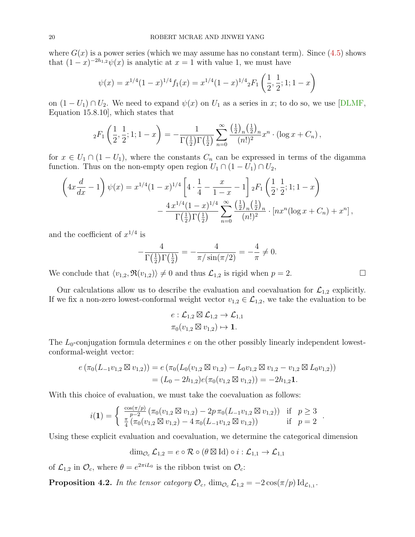where  $G(x)$  is a power series (which we may assume has no constant term). Since  $(4.5)$  shows that  $(1-x)^{-2h_{1,2}}\psi(x)$  is analytic at  $x=1$  with value 1, we must have

$$
\psi(x) = x^{1/4} (1-x)^{1/4} f_1(x) = x^{1/4} (1-x)^{1/4} {}_2F_1\left(\frac{1}{2}, \frac{1}{2}; 1; 1-x\right)
$$

on  $(1-U_1) \cap U_2$ . We need to expand  $\psi(x)$  on  $U_1$  as a series in x; to do so, we use [\[DLMF,](#page-52-19) Equation 15.8.10], which states that

$$
{}_2F_1\left(\frac{1}{2},\frac{1}{2};1;1-x\right)=-\frac{1}{\Gamma(\frac{1}{2})\Gamma(\frac{1}{2})}\sum_{n=0}^{\infty}\frac{\left(\frac{1}{2}\right)_n\left(\frac{1}{2}\right)_n}{(n!)^2}x^n\cdot\left(\log x+C_n\right),
$$

for  $x \in U_1 \cap (1 - U_1)$ , where the constants  $C_n$  can be expressed in terms of the digamma function. Thus on the non-empty open region  $U_1 \cap (1 - U_1) \cap U_2$ ,

$$
\left(4x\frac{d}{dx}-1\right)\psi(x) = x^{1/4}\left(1-x\right)^{1/4}\left[4\cdot\frac{1}{4}-\frac{x}{1-x}-1\right]{}_2F_1\left(\frac{1}{2},\frac{1}{2};1;1-x\right)
$$

$$
-\frac{4\,x^{1/4}(1-x)^{1/4}}{\Gamma\left(\frac{1}{2}\right)\Gamma\left(\frac{1}{2}\right)}\sum_{n=0}^{\infty}\frac{\left(\frac{1}{2}\right)_n\left(\frac{1}{2}\right)_n}{(n!)^2}\cdot\left[nx^n(\log x+C_n)+x^n\right],
$$

and the coefficient of  $x^{1/4}$  is

$$
-\frac{4}{\Gamma(\frac{1}{2})\Gamma(\frac{1}{2})} = -\frac{4}{\pi/\sin(\pi/2)} = -\frac{4}{\pi} \neq 0.
$$

We conclude that  $\langle v_{1,2}, \Re(v_{1,2}) \rangle \neq 0$  and thus  $\mathcal{L}_{1,2}$  is rigid when  $p = 2$ .

Our calculations allow us to describe the evaluation and coevaluation for  $\mathcal{L}_{1,2}$  explicitly. If we fix a non-zero lowest-conformal weight vector  $v_{1,2} \in \mathcal{L}_{1,2}$ , we take the evaluation to be

$$
e: \mathcal{L}_{1,2} \boxtimes \mathcal{L}_{1,2} \to \mathcal{L}_{1,1}
$$

$$
\pi_0(v_{1,2} \boxtimes v_{1,2}) \mapsto \mathbf{1}.
$$

The  $L_0$ -conjugation formula determines e on the other possibly linearly independent lowestconformal-weight vector:

$$
e(\pi_0(L_{-1}v_{1,2}\boxtimes v_{1,2})) = e(\pi_0(L_0(v_{1,2}\boxtimes v_{1,2}) - L_0v_{1,2}\boxtimes v_{1,2} - v_{1,2}\boxtimes L_0v_{1,2}))
$$
  
=  $(L_0 - 2h_{1,2})e(\pi_0(v_{1,2}\boxtimes v_{1,2})) = -2h_{1,2}\mathbf{1}.$ 

With this choice of evaluation, we must take the coevaluation as follows:

$$
i(1) = \begin{cases} \frac{\cos(\pi/p)}{p-2} (\pi_0(v_{1,2} \boxtimes v_{1,2}) - 2p \pi_0(L_{-1}v_{1,2} \boxtimes v_{1,2})) & \text{if } p \ge 3\\ \frac{\pi}{4} (\pi_0(v_{1,2} \boxtimes v_{1,2}) - 4 \pi_0(L_{-1}v_{1,2} \boxtimes v_{1,2})) & \text{if } p = 2 \end{cases}
$$

Using these explicit evaluation and coevaluation, we determine the categorical dimension

$$
\dim_{\mathcal{O}_{c}} \mathcal{L}_{1,2} = e \circ \mathcal{R} \circ (\theta \boxtimes \text{Id}) \circ i : \mathcal{L}_{1,1} \to \mathcal{L}_{1,1}
$$

of  $\mathcal{L}_{1,2}$  in  $\mathcal{O}_c$ , where  $\theta = e^{2\pi i L_0}$  is the ribbon twist on  $\mathcal{O}_c$ :

<span id="page-19-0"></span>**Proposition 4.2.** In the tensor category  $\mathcal{O}_c$ ,  $\dim_{\mathcal{O}_c} \mathcal{L}_{1,2} = -2 \cos(\pi/p) \mathrm{Id}_{\mathcal{L}_{1,1}}$ .

.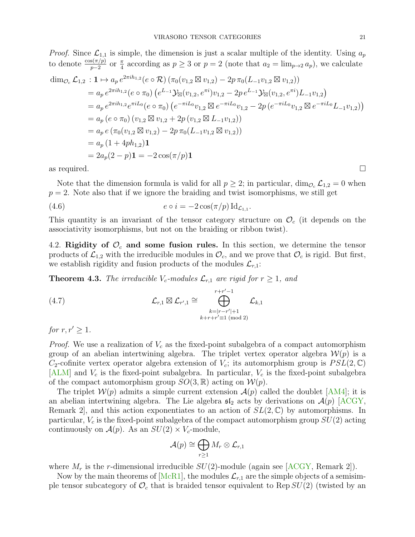Proof. Since 
$$
\mathcal{L}_{1,1}
$$
 is simple, the dimension is just a scalar multiple of the identity. Using  $a_p$   
to denote  $\frac{\cos(\pi/p)}{p-2}$  or  $\frac{\pi}{4}$  according as  $p \ge 3$  or  $p = 2$  (note that  $a_2 = \lim_{p \to 2} a_p$ ), we calculate  
 $\dim_{\mathcal{O}_c} \mathcal{L}_{1,2} : 1 \mapsto a_p e^{2\pi i h_{1,2}} (e \circ \mathcal{R}) (\pi_0(v_{1,2} \boxtimes v_{1,2}) - 2p \pi_0(L_{-1}v_{1,2} \boxtimes v_{1,2}))$   
 $= a_p e^{2\pi i h_{1,2}} (e \circ \pi_0) (e^{L_{-1}} \mathcal{Y}_{\boxtimes}(v_{1,2}, e^{\pi i}) v_{1,2} - 2p e^{L_{-1}} \mathcal{Y}_{\boxtimes}(v_{1,2}, e^{\pi i}) L_{-1}v_{1,2})$   
 $= a_p e^{2\pi i h_{1,2}} e^{\pi i L_0} (e \circ \pi_0) (e^{-\pi i L_0} v_{1,2} \boxtimes e^{-\pi i L_0} v_{1,2} - 2p (e^{-\pi i L_0} v_{1,2} \boxtimes e^{-\pi i L_0} L_{-1}v_{1,2}))$   
 $= a_p (e \circ \pi_0) (v_{1,2} \boxtimes v_{1,2} + 2p (v_{1,2} \boxtimes L_{-1}v_{1,2}))$   
 $= a_p e (\pi_0(v_{1,2} \boxtimes v_{1,2}) - 2p \pi_0(L_{-1}v_{1,2} \boxtimes v_{1,2}))$   
 $= a_p (1 + 4ph_{1,2})$   
 $= 2a_p(2 - p)1 = -2 \cos(\pi/p)1$   
as required.

Note that the dimension formula is valid for all  $p \geq 2$ ; in particular,  $\dim_{\mathcal{O}_c} \mathcal{L}_{1,2} = 0$  when  $p = 2$ . Note also that if we ignore the braiding and twist isomorphisms, we still get

<span id="page-20-3"></span>(4.6) 
$$
e \circ i = -2 \cos(\pi/p) \operatorname{Id}_{\mathcal{L}_{1,1}}.
$$

This quantity is an invariant of the tensor category structure on  $\mathcal{O}_c$  (it depends on the associativity isomorphisms, but not on the braiding or ribbon twist).

<span id="page-20-0"></span>4.2. Rigidity of  $\mathcal{O}_c$  and some fusion rules. In this section, we determine the tensor products of  $\mathcal{L}_{1,2}$  with the irreducible modules in  $\mathcal{O}_c$ , and we prove that  $\mathcal{O}_c$  is rigid. But first, we establish rigidity and fusion products of the modules  $\mathcal{L}_{r,1}$ :

<span id="page-20-1"></span>**Theorem 4.3.** The irreducible V<sub>c</sub>-modules  $\mathcal{L}_{r,1}$  are rigid for  $r \geq 1$ , and

<span id="page-20-2"></span>(4.7) 
$$
\mathcal{L}_{r,1} \boxtimes \mathcal{L}_{r',1} \cong \bigoplus_{\substack{k=|r-r'|+1\\k+r+r' \equiv 1 \pmod{2}}}^{r+r'-1} \mathcal{L}_{k,1}
$$

for  $r, r' \geq 1$ .

*Proof.* We use a realization of  $V_c$  as the fixed-point subalgebra of a compact automorphism group of an abelian intertwining algebra. The triplet vertex operator algebra  $\mathcal{W}(p)$  is a  $C_2$ -cofinite vertex operator algebra extension of  $V_c$ ; its automorphism group is  $PSL(2,\mathbb{C})$  $[\text{ALM}]$  and  $V_c$  is the fixed-point subalgebra. In particular,  $V_c$  is the fixed-point subalgebra of the compact automorphism group  $SO(3,\mathbb{R})$  acting on  $\mathcal{W}(p)$ .

The triplet  $\mathcal{W}(p)$  admits a simple current extension  $\mathcal{A}(p)$  called the doublet  $[AM4]$ ; it is an abelian intertwining algebra. The Lie algebra  $\mathfrak{sl}_2$  acts by derivations on  $\mathcal{A}(p)$  |ACGY, Remark 2, and this action exponentiates to an action of  $SL(2,\mathbb{C})$  by automorphisms. In particular,  $V_c$  is the fixed-point subalgebra of the compact automorphism group  $SU(2)$  acting continuously on  $\mathcal{A}(p)$ . As an  $SU(2) \times V_c$ -module,

$$
\mathcal{A}(p) \cong \bigoplus_{r \geq 1} M_r \otimes \mathcal{L}_{r,1}
$$

where  $M_r$  is the r-dimensional irreducible  $SU(2)$ -module (again see [\[ACGY,](#page-51-11) Remark 2]).

Now by the main theorems of  $[McR1]$ , the modules  $\mathcal{L}_{r,1}$  are the simple objects of a semisimple tensor subcategory of  $\mathcal{O}_c$  that is braided tensor equivalent to Rep  $SU(2)$  (twisted by an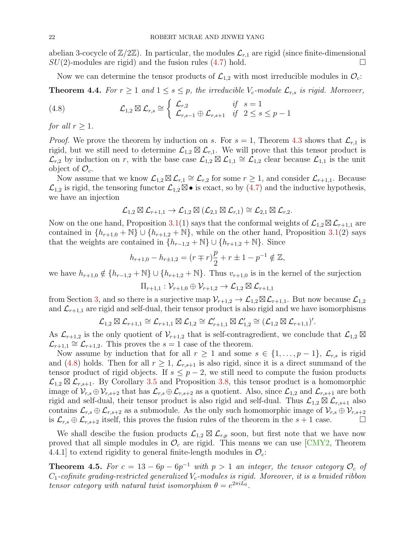abelian 3-cocycle of  $\mathbb{Z}/2\mathbb{Z}$ ). In particular, the modules  $\mathcal{L}_{r,1}$  are rigid (since finite-dimensional  $SU(2)$ -modules are rigid) and the fusion rules  $(4.7)$  hold.

Now we can determine the tensor products of  $\mathcal{L}_{1,2}$  with most irreducible modules in  $\mathcal{O}_c$ :

<span id="page-21-1"></span>**Theorem 4.4.** For  $r \geq 1$  and  $1 \leq s \leq p$ , the irreducible  $V_c$ -module  $\mathcal{L}_{r,s}$  is rigid. Moreover,

<span id="page-21-0"></span>(4.8) 
$$
\mathcal{L}_{1,2} \boxtimes \mathcal{L}_{r,s} \cong \begin{cases} \mathcal{L}_{r,2} & \text{if } s = 1 \\ \mathcal{L}_{r,s-1} \oplus \mathcal{L}_{r,s+1} & \text{if } 2 \leq s \leq p-1 \end{cases}
$$

for all  $r \geq 1$ .

*Proof.* We prove the theorem by induction on s. For  $s = 1$ , Theorem [4.3](#page-20-1) shows that  $\mathcal{L}_{r,1}$  is rigid, but we still need to determine  $\mathcal{L}_{1,2} \boxtimes \mathcal{L}_{r,1}$ . We will prove that this tensor product is  $\mathcal{L}_{r,2}$  by induction on r, with the base case  $\mathcal{L}_{1,2} \boxtimes \mathcal{L}_{1,1} \cong \mathcal{L}_{1,2}$  clear because  $\mathcal{L}_{1,1}$  is the unit object of  $\mathcal{O}_c$ .

Now assume that we know  $\mathcal{L}_{1,2} \boxtimes \mathcal{L}_{r,1} \cong \mathcal{L}_{r,2}$  for some  $r \geq 1$ , and consider  $\mathcal{L}_{r+1,1}$ . Because  $\mathcal{L}_{1,2}$  is rigid, the tensoring functor  $\mathcal{L}_{1,2} \boxtimes \bullet$  is exact, so by  $(4.7)$  and the inductive hypothesis, we have an injection

$$
\mathcal{L}_{1,2}\boxtimes \mathcal{L}_{r+1,1}\to \mathcal{L}_{1,2}\boxtimes (\mathcal{L}_{2,1}\boxtimes \mathcal{L}_{r,1})\cong \mathcal{L}_{2,1}\boxtimes \mathcal{L}_{r,2}.
$$

Now on the one hand, Proposition [3.1\(](#page-11-0)1) says that the conformal weights of  $\mathcal{L}_{1,2} \boxtimes \mathcal{L}_{r+1,1}$  are contained in  $\{h_{r+1,0} + \mathbb{N}\}\cup \{h_{r+1,2} + \mathbb{N}\}\$ , while on the other hand, Proposition [3.1\(](#page-11-0)2) says that the weights are contained in  $\{h_{r-1,2} + \mathbb{N}\}\cup \{h_{r+1,2} + \mathbb{N}\}\.$  Since

$$
h_{r+1,0} - h_{r\pm 1,2} = (r \mp r)\frac{p}{2} + r \pm 1 - p^{-1} \notin \mathbb{Z},
$$

we have  $h_{r+1,0} \notin \{h_{r-1,2} + \mathbb{N}\} \cup \{h_{r+1,2} + \mathbb{N}\}$ . Thus  $v_{r+1,0}$  is in the kernel of the surjection

$$
\Pi_{r+1,1}: \mathcal{V}_{r+1,0} \oplus \mathcal{V}_{r+1,2} \to \mathcal{L}_{1,2} \boxtimes \mathcal{L}_{r+1,1}
$$

from Section [3,](#page-10-0) and so there is a surjective map  $\mathcal{V}_{r+1,2} \to \mathcal{L}_{1,2} \boxtimes \mathcal{L}_{r+1,1}$ . But now because  $\mathcal{L}_{1,2}$ and  $\mathcal{L}_{r+1,1}$  are rigid and self-dual, their tensor product is also rigid and we have isomorphisms

$$
\mathcal{L}_{1,2}\boxtimes\mathcal{L}_{r+1,1}\cong\mathcal{L}_{r+1,1}\boxtimes\mathcal{L}_{1,2}\cong\mathcal{L}_{r+1,1}'\boxtimes\mathcal{L}_{1,2}'\cong(\mathcal{L}_{1,2}\boxtimes\mathcal{L}_{r+1,1})'.
$$

As  $\mathcal{L}_{r+1,2}$  is the only quotient of  $\mathcal{V}_{r+1,2}$  that is self-contragredient, we conclude that  $\mathcal{L}_{1,2} \boxtimes$  $\mathcal{L}_{r+1,1} \cong \mathcal{L}_{r+1,2}$ . This proves the  $s=1$  case of the theorem.

Now assume by induction that for all  $r \geq 1$  and some  $s \in \{1, \ldots, p-1\}$ ,  $\mathcal{L}_{r,s}$  is rigid and [\(4.8\)](#page-21-0) holds. Then for all  $r \geq 1$ ,  $\mathcal{L}_{r,s+1}$  is also rigid, since it is a direct summand of the tensor product of rigid objects. If  $s \leq p-2$ , we still need to compute the fusion products  $\mathcal{L}_{1,2} \boxtimes \mathcal{L}_{r,s+1}$ . By Corollary [3.5](#page-13-1) and Proposition [3.8,](#page-14-0) this tensor product is a homomorphic image of  $\mathcal{V}_{r,s} \oplus \mathcal{V}_{r,s+2}$  that has  $\mathcal{L}_{r,s} \oplus \mathcal{L}_{r,s+2}$  as a quotient. Also, since  $\mathcal{L}_{1,2}$  and  $\mathcal{L}_{r,s+1}$  are both rigid and self-dual, their tensor product is also rigid and self-dual. Thus  $\mathcal{L}_{1,2} \boxtimes \mathcal{L}_{r,s+1}$  also contains  $\mathcal{L}_{r,s} \oplus \mathcal{L}_{r,s+2}$  as a submodule. As the only such homomorphic image of  $\mathcal{V}_{r,s} \oplus \mathcal{V}_{r,s+2}$ is  $\mathcal{L}_{r,s} \oplus \mathcal{L}_{r,s+2}$  itself, this proves the fusion rules of the theorem in the  $s+1$  case.

We shall descibe the fusion products  $\mathcal{L}_{1,2} \boxtimes \mathcal{L}_{r,p}$  soon, but first note that we have now proved that all simple modules in  $\mathcal{O}_c$  are rigid. This means we can use [\[CMY2,](#page-51-3) Theorem 4.4.1 to extend rigidity to general finite-length modules in  $\mathcal{O}_c$ :

<span id="page-21-2"></span>**Theorem 4.5.** For  $c = 13 - 6p - 6p^{-1}$  with  $p > 1$  an integer, the tensor category  $\mathcal{O}_c$  of  $C_1$ -cofinite grading-restricted generalized  $V_c$ -modules is rigid. Moreover, it is a braided ribbon tensor category with natural twist isomorphism  $\theta = e^{2\pi i L_0}$ .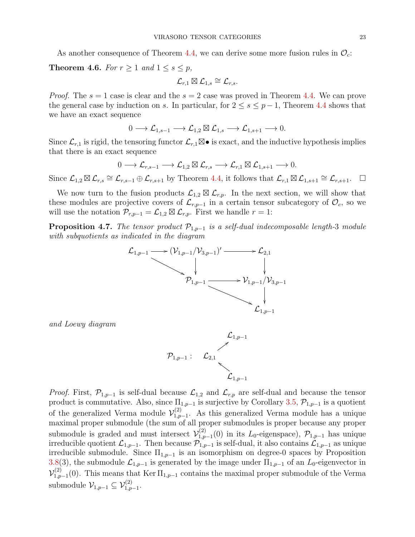As another consequence of Theorem [4.4,](#page-21-1) we can derive some more fusion rules in  $\mathcal{O}_c$ :

<span id="page-22-1"></span>**Theorem 4.6.** For  $r \geq 1$  and  $1 \leq s \leq p$ ,

$$
\mathcal{L}_{r,1}\boxtimes\mathcal{L}_{1,s}\cong\mathcal{L}_{r,s}.
$$

*Proof.* The  $s = 1$  case is clear and the  $s = 2$  case was proved in Theorem [4.4.](#page-21-1) We can prove the general case by induction on s. In particular, for  $2 \leq s \leq p-1$ , Theorem [4.4](#page-21-1) shows that we have an exact sequence

$$
0 \longrightarrow \mathcal{L}_{1,s-1} \longrightarrow \mathcal{L}_{1,2} \boxtimes \mathcal{L}_{1,s} \longrightarrow \mathcal{L}_{1,s+1} \longrightarrow 0.
$$

Since  $\mathcal{L}_{r,1}$  is rigid, the tensoring functor  $\mathcal{L}_{r,1} \boxtimes \bullet$  is exact, and the inductive hypothesis implies that there is an exact sequence

$$
0 \longrightarrow \mathcal{L}_{r,s-1} \longrightarrow \mathcal{L}_{1,2} \boxtimes \mathcal{L}_{r,s} \longrightarrow \mathcal{L}_{r,1} \boxtimes \mathcal{L}_{1,s+1} \longrightarrow 0.
$$

Since  $\mathcal{L}_{1,2} \boxtimes \mathcal{L}_{r,s} \cong \mathcal{L}_{r,s-1} \oplus \mathcal{L}_{r,s+1}$  by Theorem [4.4,](#page-21-1) it follows that  $\mathcal{L}_{r,1} \boxtimes \mathcal{L}_{1,s+1} \cong \mathcal{L}_{r,s+1}$ .  $\Box$ 

We now turn to the fusion products  $\mathcal{L}_{1,2} \boxtimes \mathcal{L}_{r,p}$ . In the next section, we will show that these modules are projective covers of  $\mathcal{L}_{r,p-1}$  in a certain tensor subcategory of  $\mathcal{O}_c$ , so we will use the notation  $\mathcal{P}_{r,p-1} = \mathcal{L}_{1,2} \boxtimes \mathcal{L}_{r,p}$ . First we handle  $r = 1$ :

<span id="page-22-0"></span>**Proposition 4.7.** The tensor product  $\mathcal{P}_{1,p-1}$  is a self-dual indecomposable length-3 module with subquotients as indicated in the diagram



and Loewy diagram



*Proof.* First,  $\mathcal{P}_{1,p-1}$  is self-dual because  $\mathcal{L}_{1,2}$  and  $\mathcal{L}_{r,p}$  are self-dual and because the tensor product is commutative. Also, since  $\Pi_{1,p-1}$  is surjective by Corollary [3.5,](#page-13-1)  $\mathcal{P}_{1,p-1}$  is a quotient of the generalized Verma module  $\mathcal{V}_{1,p}^{(2)}$  $1,_{p-1}^{(2)}$ . As this generalized Verma module has a unique maximal proper submodule (the sum of all proper submodules is proper because any proper submodule is graded and must intersect  $\mathcal{V}_{1,p}^{(2)}$  $\mathcal{L}_{1,p-1}^{(2)}(0)$  in its L<sub>0</sub>-eigenspace),  $\mathcal{P}_{1,p-1}$  has unique irreducible quotient  $\mathcal{L}_{1,p-1}$ . Then because  $\mathcal{P}_{1,p-1}$  is self-dual, it also contains  $\mathcal{L}_{1,p-1}$  as unique irreducible submodule. Since  $\Pi_{1,p-1}$  is an isomorphism on degree-0 spaces by Proposition [3.8\(](#page-14-0)3), the submodule  $\mathcal{L}_{1,p-1}$  is generated by the image under  $\Pi_{1,p-1}$  of an  $L_0$ -eigenvector in  $\mathcal{V}_{1,n}^{(2)}$  $1_{1,p-1}^{(2)}(0)$ . This means that Ker  $\Pi_{1,p-1}$  contains the maximal proper submodule of the Verma submodule  $\mathcal{V}_{1,p-1} \subseteq \mathcal{V}_{1,p-1}^{(2)}$ .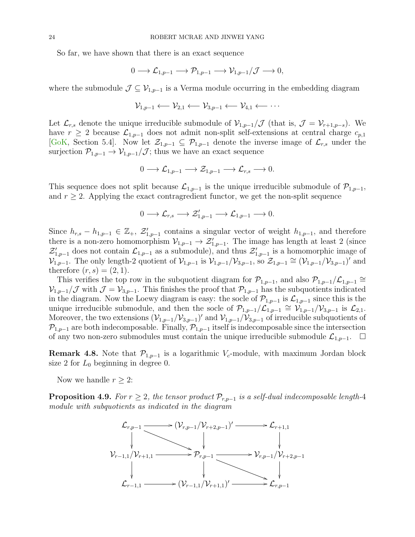So far, we have shown that there is an exact sequence

$$
0\longrightarrow \mathcal{L}_{1,p-1}\longrightarrow \mathcal{P}_{1,p-1}\longrightarrow \mathcal{V}_{1,p-1}/\mathcal{J}\longrightarrow 0,
$$

where the submodule  $\mathcal{J} \subseteq \mathcal{V}_{1,p-1}$  is a Verma module occurring in the embedding diagram

$$
\mathcal{V}_{1,p-1}\longleftarrow \mathcal{V}_{2,1}\longleftarrow \mathcal{V}_{3,p-1}\longleftarrow \mathcal{V}_{4,1}\longleftarrow \cdots
$$

Let  $\mathcal{L}_{r,s}$  denote the unique irreducible submodule of  $\mathcal{V}_{1,p-1}/\mathcal{J}$  (that is,  $\mathcal{J} = \mathcal{V}_{r+1,p-s}$ ). We have  $r \geq 2$  because  $\mathcal{L}_{1,p-1}$  does not admit non-split self-extensions at central charge  $c_{p,1}$ [\[GoK,](#page-52-20) Section 5.4]. Now let  $\mathcal{Z}_{1,p-1} \subseteq \mathcal{P}_{1,p-1}$  denote the inverse image of  $\mathcal{L}_{r,s}$  under the surjection  $\mathcal{P}_{1,p-1} \to \mathcal{V}_{1,p-1}/\mathcal{J}$ ; thus we have an exact sequence

$$
0 \longrightarrow \mathcal{L}_{1,p-1} \longrightarrow \mathcal{Z}_{1,p-1} \longrightarrow \mathcal{L}_{r,s} \longrightarrow 0.
$$

This sequence does not split because  $\mathcal{L}_{1,p-1}$  is the unique irreducible submodule of  $\mathcal{P}_{1,p-1}$ , and  $r \geq 2$ . Applying the exact contragredient functor, we get the non-split sequence

$$
0 \longrightarrow \mathcal{L}_{r,s} \longrightarrow \mathcal{Z}'_{1,p-1} \longrightarrow \mathcal{L}_{1,p-1} \longrightarrow 0.
$$

Since  $h_{r,s} - h_{1,p-1} \in \mathbb{Z}_+$ ,  $\mathcal{Z}'_{1,p-1}$  contains a singular vector of weight  $h_{1,p-1}$ , and therefore there is a non-zero homomorphism  $\mathcal{V}_{1,p-1} \to \mathcal{Z}'_{1,p-1}$ . The image has length at least 2 (since  $\mathcal{Z}_{1,p-1}'$  does not contain  $\mathcal{L}_{1,p-1}$  as a submodule), and thus  $\mathcal{Z}_{1,p-1}'$  is a homomorphic image of  $\mathcal{V}_{1,p-1}^{1,p-1}$ . The only length-2 quotient of  $\mathcal{V}_{1,p-1}$  is  $\mathcal{V}_{1,p-1}/\mathcal{V}_{3,p-1}$ , so  $\mathcal{Z}_{1,p-1} \cong (\mathcal{V}_{1,p-1}/\mathcal{V}_{3,p-1})'$  and therefore  $(r, s) = (2, 1)$ .

This verifies the top row in the subquotient diagram for  $\mathcal{P}_{1,p-1}$ , and also  $\mathcal{P}_{1,p-1}/\mathcal{L}_{1,p-1} \cong$  $\mathcal{V}_{1,p-1}/\mathcal{J}$  with  $\mathcal{J} = \mathcal{V}_{3,p-1}$ . This finishes the proof that  $\mathcal{P}_{1,p-1}$  has the subquotients indicated in the diagram. Now the Loewy diagram is easy: the socle of  $\mathcal{P}_{1,p-1}$  is  $\mathcal{L}_{1,p-1}$  since this is the unique irreducible submodule, and then the socle of  $\mathcal{P}_{1,p-1}/\mathcal{L}_{1,p-1}^{\mathcal{P}_{1,p-1}} \cong \mathcal{V}_{1,p-1}/\mathcal{V}_{3,p-1}$  is  $\mathcal{L}_{2,1}$ . Moreover, the two extensions  $(\mathcal{V}_{1,p-1}/\mathcal{V}_{3,p-1})'$  and  $\mathcal{V}_{1,p-1}/\mathcal{V}_{3,p-1}$  of irreducible subquotients of  $\mathcal{P}_{1,p-1}$  are both indecomposable. Finally,  $\mathcal{P}_{1,p-1}$  itself is indecomposable since the intersection of any two non-zero submodules must contain the unique irreducible submodule  $\mathcal{L}_{1,p-1}$ .  $\Box$ 

**Remark 4.8.** Note that  $\mathcal{P}_{1,p-1}$  is a logarithmic  $V_c$ -module, with maximum Jordan block size 2 for  $L_0$  beginning in degree 0.

Now we handle  $r \geq 2$ :

<span id="page-23-0"></span>**Proposition 4.9.** For  $r \geq 2$ , the tensor product  $\mathcal{P}_{r,p-1}$  is a self-dual indecomposable length-4 module with subquotients as indicated in the diagram

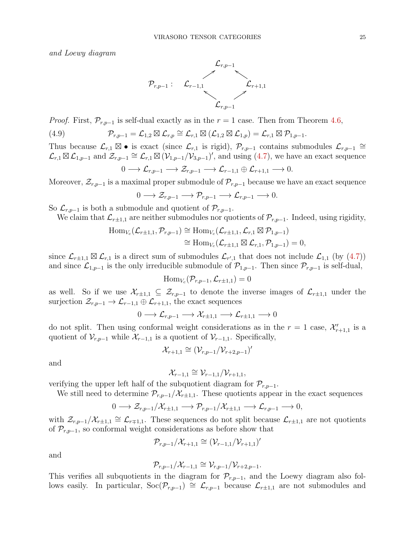and Loewy diagram



*Proof.* First,  $\mathcal{P}_{r,p-1}$  is self-dual exactly as in the  $r = 1$  case. Then from Theorem [4.6,](#page-22-1)

(4.9) 
$$
\mathcal{P}_{r,p-1} = \mathcal{L}_{1,2} \boxtimes \mathcal{L}_{r,p} \cong \mathcal{L}_{r,1} \boxtimes (\mathcal{L}_{1,2} \boxtimes \mathcal{L}_{1,p}) = \mathcal{L}_{r,1} \boxtimes \mathcal{P}_{1,p-1}.
$$

Thus because  $\mathcal{L}_{r,1} \boxtimes \bullet$  is exact (since  $\mathcal{L}_{r,1}$  is rigid),  $\mathcal{P}_{r,p-1}$  contains submodules  $\mathcal{L}_{r,p-1} \cong$  $\mathcal{L}_{r,1} \boxtimes \mathcal{L}_{1,p-1}$  and  $\mathcal{Z}_{r,p-1} \cong \mathcal{L}_{r,1} \boxtimes (\mathcal{V}_{1,p-1}/\mathcal{V}_{3,p-1})'$ , and using [\(4.7\)](#page-20-2), we have an exact sequence

<span id="page-24-0"></span>
$$
0 \longrightarrow \mathcal{L}_{r,p-1} \longrightarrow \mathcal{Z}_{r,p-1} \longrightarrow \mathcal{L}_{r-1,1} \oplus \mathcal{L}_{r+1,1} \longrightarrow 0.
$$

Moreover,  $\mathcal{Z}_{r,p-1}$  is a maximal proper submodule of  $\mathcal{P}_{r,p-1}$  because we have an exact sequence

$$
0 \longrightarrow \mathcal{Z}_{r,p-1} \longrightarrow \mathcal{P}_{r,p-1} \longrightarrow \mathcal{L}_{r,p-1} \longrightarrow 0.
$$

So  $\mathcal{L}_{r,p-1}$  is both a submodule and quotient of  $\mathcal{P}_{r,p-1}$ .

We claim that  $\mathcal{L}_{r\pm1,1}$  are neither submodules nor quotients of  $\mathcal{P}_{r,p-1}$ . Indeed, using rigidity,

$$
\text{Hom}_{V_c}(\mathcal{L}_{r\pm 1,1}, \mathcal{P}_{r,p-1}) \cong \text{Hom}_{V_c}(\mathcal{L}_{r\pm 1,1}, \mathcal{L}_{r,1} \boxtimes \mathcal{P}_{1,p-1})
$$
  

$$
\cong \text{Hom}_{V_c}(\mathcal{L}_{r\pm 1,1} \boxtimes \mathcal{L}_{r,1}, \mathcal{P}_{1,p-1}) = 0,
$$

since  $\mathcal{L}_{r+1,1} \boxtimes \mathcal{L}_{r,1}$  is a direct sum of submodules  $\mathcal{L}_{r',1}$  that does not include  $\mathcal{L}_{1,1}$  (by [\(4.7\)](#page-20-2)) and since  $\mathcal{L}_{1,p-1}$  is the only irreducible submodule of  $\mathcal{P}_{1,p-1}$ . Then since  $\mathcal{P}_{r,p-1}$  is self-dual,

$$
\operatorname{Hom}_{V_c}(\mathcal{P}_{r,p-1},\mathcal{L}_{r\pm 1,1})=0
$$

as well. So if we use  $\mathcal{X}_{r\pm1,1} \subseteq \mathcal{Z}_{r,p-1}$  to denote the inverse images of  $\mathcal{L}_{r\pm1,1}$  under the surjection  $\mathcal{Z}_{r,p-1} \to \mathcal{L}_{r-1,1} \oplus \mathcal{L}_{r+1,1}$ , the exact sequences

$$
0 \longrightarrow \mathcal{L}_{r,p-1} \longrightarrow \mathcal{X}_{r\pm 1,1} \longrightarrow \mathcal{L}_{r\pm 1,1} \longrightarrow 0
$$

do not split. Then using conformal weight considerations as in the  $r = 1$  case,  $\mathcal{X}'_{r+1,1}$  is a quotient of  $\mathcal{V}_{r,p-1}$  while  $\mathcal{X}_{r-1,1}$  is a quotient of  $\mathcal{V}_{r-1,1}$ . Specifically,

$$
\mathcal{X}_{r+1,1} \cong (\mathcal{V}_{r,p-1}/\mathcal{V}_{r+2,p-1})'
$$

and

$$
\mathcal{X}_{r-1,1} \cong \mathcal{V}_{r-1,1} / \mathcal{V}_{r+1,1},
$$

verifying the upper left half of the subquotient diagram for  $\mathcal{P}_{r,p-1}$ .

We still need to determine  $\mathcal{P}_{r,p-1}/\mathcal{X}_{r\pm 1,1}$ . These quotients appear in the exact sequences

$$
0 \longrightarrow \mathcal{Z}_{r,p-1}/\mathcal{X}_{r\pm 1,1} \longrightarrow \mathcal{P}_{r,p-1}/\mathcal{X}_{r\pm 1,1} \longrightarrow \mathcal{L}_{r,p-1} \longrightarrow 0,
$$

with  $\mathcal{Z}_{r,p-1}/\mathcal{X}_{r\pm 1,1} \cong \mathcal{L}_{r\mp 1,1}$ . These sequences do not split because  $\mathcal{L}_{r\pm 1,1}$  are not quotients of  $\mathcal{P}_{r,p-1}$ , so conformal weight considerations as before show that

$$
\mathcal{P}_{r,p-1}/\mathcal{X}_{r+1,1}\cong(\mathcal{V}_{r-1,1}/\mathcal{V}_{r+1,1})'
$$

and

$$
\mathcal{P}_{r,p-1}/\mathcal{X}_{r-1,1}\cong \mathcal{V}_{r,p-1}/\mathcal{V}_{r+2,p-1}.
$$

This verifies all subquotients in the diagram for  $\mathcal{P}_{r,p-1}$ , and the Loewy diagram also follows easily. In particular,  $\text{Soc}(\mathcal{P}_{r,p-1}) \cong \mathcal{L}_{r,p-1}$  because  $\mathcal{L}_{r\pm 1,1}$  are not submodules and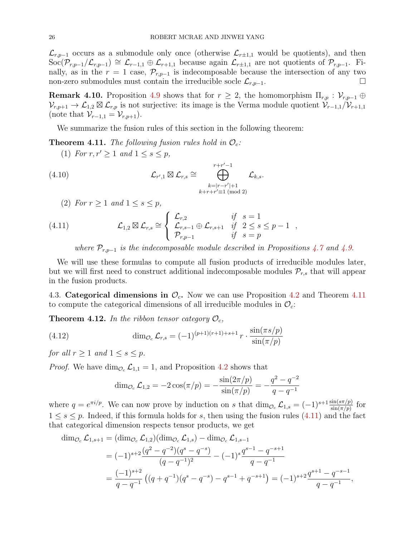$\mathcal{L}_{r,p-1}$  occurs as a submodule only once (otherwise  $\mathcal{L}_{r\pm 1,1}$  would be quotients), and then Soc( $\mathcal{P}_{r,p-1}/\mathcal{L}_{r,p-1}$ ) ≅  $\mathcal{L}_{r-1,1} \oplus \mathcal{L}_{r+1,1}$  because again  $\mathcal{L}_{r\pm 1,1}$  are not quotients of  $\mathcal{P}_{r,p-1}$ . Finally, as in the  $r = 1$  case,  $\mathcal{P}_{r,p-1}$  is indecomposable because the intersection of any two non-zero submodules must contain the irreducible socle  $\mathcal{L}_{r,p-1}$ .

**Remark 4.10.** Proposition [4.9](#page-23-0) shows that for  $r \geq 2$ , the homomorphism  $\Pi_{r,p} : \mathcal{V}_{r,p-1} \oplus$  $\mathcal{V}_{r,p+1} \to \mathcal{L}_{1,2} \boxtimes \mathcal{L}_{r,p}$  is not surjective: its image is the Verma module quotient  $\mathcal{V}_{r-1,1}/\mathcal{V}_{r+1,1}$ (note that  $\mathcal{V}_{r-1,1} = \mathcal{V}_{r,p+1}$ ).

We summarize the fusion rules of this section in the following theorem:

<span id="page-25-1"></span>**Theorem 4.11.** The following fusion rules hold in  $\mathcal{O}_c$ :

<span id="page-25-3"></span>(1) For  $r, r' \geq 1$  and  $1 \leq s \leq p$ ,

(4.10) 
$$
\mathcal{L}_{r',1} \boxtimes \mathcal{L}_{r,s} \cong \bigoplus_{\substack{k=|r-r'|+1\\k+r+r'\equiv 1 \pmod{2}}}^{r+r'-1} \mathcal{L}_{k,s}.
$$

(2) For  $r \geq 1$  and  $1 \leq s \leq p$ ,

(4.11) 
$$
\mathcal{L}_{1,2} \boxtimes \mathcal{L}_{r,s} \cong \begin{cases} \mathcal{L}_{r,2} & \text{if } s = 1 \\ \mathcal{L}_{r,s-1} \oplus \mathcal{L}_{r,s+1} & \text{if } 2 \leq s \leq p-1 \\ \mathcal{P}_{r,p-1} & \text{if } s = p \end{cases}
$$

<span id="page-25-2"></span>where  $\mathcal{P}_{r,p-1}$  is the indecomposable module described in Propositions [4.7](#page-22-0) and [4.9.](#page-23-0)

We will use these formulas to compute all fusion products of irreducible modules later, but we will first need to construct additional indecomposable modules  $\mathcal{P}_{r,s}$  that will appear in the fusion products.

<span id="page-25-0"></span>4.3. Categorical dimensions in  $\mathcal{O}_c$ . Now we can use Proposition [4.2](#page-19-0) and Theorem [4.11](#page-25-1) to compute the categorical dimensions of all irreducible modules in  $\mathcal{O}_c$ :

**Theorem 4.12.** In the ribbon tensor category  $\mathcal{O}_c$ ,

(4.12) 
$$
\dim_{\mathcal{O}_c} \mathcal{L}_{r,s} = (-1)^{(p+1)(r+1)+s+1} r \cdot \frac{\sin(\pi s/p)}{\sin(\pi/p)}
$$

for all  $r \geq 1$  and  $1 \leq s \leq p$ .

*Proof.* We have  $\dim_{\mathcal{O}_c} \mathcal{L}_{1,1} = 1$ , and Proposition [4.2](#page-19-0) shows that

<span id="page-25-4"></span>
$$
\dim_{\mathcal{O}_c} \mathcal{L}_{1,2} = -2\cos(\pi/p) = -\frac{\sin(2\pi/p)}{\sin(\pi/p)} = -\frac{q^2 - q^{-2}}{q - q^{-1}}
$$

where  $q = e^{\pi i/p}$ . We can now prove by induction on s that  $\dim_{\mathcal{O}_c} \mathcal{L}_{1,s} = (-1)^{s+1} \frac{\sin(s\pi/p)}{\sin(\pi/p)}$  for  $1 \leq s \leq p$ . Indeed, if this formula holds for s, then using the fusion rules [\(4.11\)](#page-25-2) and the fact that categorical dimension respects tensor products, we get

$$
\dim_{\mathcal{O}_c} \mathcal{L}_{1,s+1} = (\dim_{\mathcal{O}_c} \mathcal{L}_{1,2})(\dim_{\mathcal{O}_c} \mathcal{L}_{1,s}) - \dim_{\mathcal{O}_c} \mathcal{L}_{1,s-1}
$$
\n
$$
= (-1)^{s+2} \frac{(q^2 - q^{-2})(q^s - q^{-s})}{(q - q^{-1})^2} - (-1)^s \frac{q^{s-1} - q^{-s+1}}{q - q^{-1}}
$$
\n
$$
= \frac{(-1)^{s+2}}{q - q^{-1}} \left( (q + q^{-1})(q^s - q^{-s}) - q^{s-1} + q^{-s+1} \right) = (-1)^{s+2} \frac{q^{s+1} - q^{-s-1}}{q - q^{-1}},
$$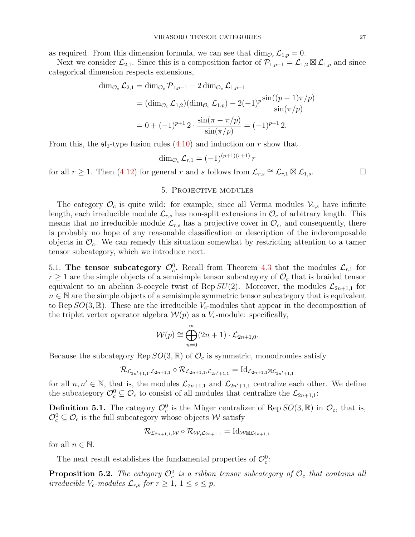as required. From this dimension formula, we can see that  $\dim_{\mathcal{O}_c} \mathcal{L}_{1,p} = 0$ .

Next we consider  $\mathcal{L}_{2,1}$ . Since this is a composition factor of  $\mathcal{P}_{1,p-1} = \mathcal{L}_{1,2} \boxtimes \mathcal{L}_{1,p}$  and since categorical dimension respects extensions,

$$
\dim_{\mathcal{O}_c} \mathcal{L}_{2,1} = \dim_{\mathcal{O}_c} \mathcal{P}_{1,p-1} - 2 \dim_{\mathcal{O}_c} \mathcal{L}_{1,p-1}
$$
  
=  $(\dim_{\mathcal{O}_c} \mathcal{L}_{1,2})(\dim_{\mathcal{O}_c} \mathcal{L}_{1,p}) - 2(-1)^p \frac{\sin((p-1)\pi/p)}{\sin(\pi/p)}$   
=  $0 + (-1)^{p+1} 2 \cdot \frac{\sin(\pi - \pi/p)}{\sin(\pi/p)} = (-1)^{p+1} 2.$ 

From this, the  $\mathfrak{sl}_2$ -type fusion rules [\(4.10\)](#page-25-3) and induction on r show that

$$
\dim_{\mathcal{O}_c} \mathcal{L}_{r,1} = (-1)^{(p+1)(r+1)} r
$$

for all  $r \ge 1$ . Then [\(4.12\)](#page-25-4) for general r and s follows from  $\mathcal{L}_{r,s} \cong \mathcal{L}_{r,1} \boxtimes \mathcal{L}_{1,s}$ .

#### 5. Projective modules

<span id="page-26-0"></span>The category  $\mathcal{O}_c$  is quite wild: for example, since all Verma modules  $\mathcal{V}_{r,s}$  have infinite length, each irreducible module  $\mathcal{L}_{r,s}$  has non-split extensions in  $\mathcal{O}_c$  of arbitrary length. This means that no irreducible module  $\mathcal{L}_{r,s}$  has a projective cover in  $\mathcal{O}_c$ , and consequently, there is probably no hope of any reasonable classification or description of the indecomposable objects in  $\mathcal{O}_c$ . We can remedy this situation somewhat by restricting attention to a tamer tensor subcategory, which we introduce next.

<span id="page-26-1"></span>5.1. The tensor subcategory  $\mathcal{O}_c^0$ . Recall from Theorem [4.3](#page-20-1) that the modules  $\mathcal{L}_{r,1}$  for  $r \geq 1$  are the simple objects of a semisimple tensor subcategory of  $\mathcal{O}_c$  that is braided tensor equivalent to an abelian 3-cocycle twist of Rep  $SU(2)$ . Moreover, the modules  $\mathcal{L}_{2n+1,1}$  for  $n \in \mathbb{N}$  are the simple objects of a semisimple symmetric tensor subcategory that is equivalent to Rep  $SO(3,\mathbb{R})$ . These are the irreducible  $V_c$ -modules that appear in the decomposition of the triplet vertex operator algebra  $W(p)$  as a  $V_c$ -module: specifically,

$$
\mathcal{W}(p) \cong \bigoplus_{n=0}^{\infty} (2n+1) \cdot \mathcal{L}_{2n+1,0}.
$$

Because the subcategory Rep  $SO(3,\mathbb{R})$  of  $\mathcal{O}_c$  is symmetric, monodromies satisfy

$$
\mathcal{R}_{\mathcal{L}_{2n'+1,1},\mathcal{L}_{2n+1,1}}\circ \mathcal{R}_{\mathcal{L}_{2n+1,1},\mathcal{L}_{2n'+1,1}}=\text{Id}_{\mathcal{L}_{2n+1,1}\boxtimes \mathcal{L}_{2n'+1,1}}
$$

for all  $n, n' \in \mathbb{N}$ , that is, the modules  $\mathcal{L}_{2n+1,1}$  and  $\mathcal{L}_{2n'+1,1}$  centralize each other. We define the subcategory  $\mathcal{O}_c^0 \subseteq \mathcal{O}_c$  to consist of all modules that centralize the  $\mathcal{L}_{2n+1,1}$ :

**Definition 5.1.** The category  $\mathcal{O}_c^0$  is the Müger centralizer of Rep  $SO(3,\mathbb{R})$  in  $\mathcal{O}_c$ , that is,  $\mathcal{O}_c^0 \subseteq \mathcal{O}_c$  is the full subcategory whose objects  $\mathcal W$  satisfy

$$
\mathcal{R}_{\mathcal{L}_{2n+1,1},\mathcal{W}}\circ \mathcal{R}_{\mathcal{W},\mathcal{L}_{2n+1,1}}=\mathrm{Id}_{\mathcal{W}\boxtimes \mathcal{L}_{2n+1,1}}
$$

for all  $n \in \mathbb{N}$ .

The next result establishes the fundamental properties of  $\mathcal{O}_c^0$ :

**Proposition 5.2.** The category  $\mathcal{O}_c^0$  is a ribbon tensor subcategory of  $\mathcal{O}_c$  that contains all irreducible  $V_c$ -modules  $\mathcal{L}_{r,s}$  for  $r \geq 1, 1 \leq s \leq p$ .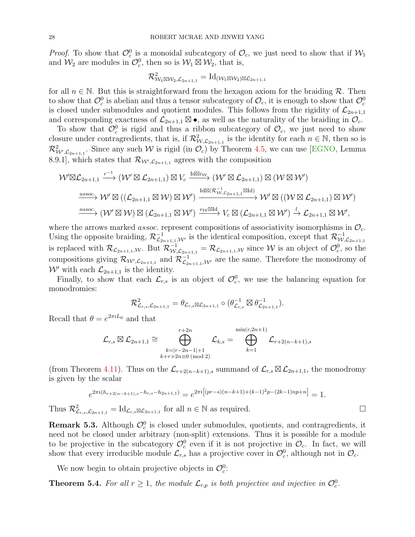*Proof.* To show that  $\mathcal{O}_c^0$  is a monoidal subcategory of  $\mathcal{O}_c$ , we just need to show that if  $\mathcal{W}_1$ and  $\mathcal{W}_2$  are modules in  $\mathcal{O}_c^0$ , then so is  $\mathcal{W}_1 \boxtimes \mathcal{W}_2$ , that is,

$$
\mathcal{R}^2_{\mathcal{W}_1 \boxtimes \mathcal{W}_2, \mathcal{L}_{2n+1,1}} = \mathrm{Id}_{(\mathcal{W}_1 \boxtimes \mathcal{W}_2) \boxtimes \mathcal{L}_{2n+1,1}}
$$

for all  $n \in \mathbb{N}$ . But this is straightforward from the hexagon axiom for the braiding R. Then to show that  $\mathcal{O}_c^0$  is abelian and thus a tensor subcategory of  $\mathcal{O}_c$ , it is enough to show that  $\mathcal{O}_c^0$ is closed under submodules and quotient modules. This follows from the rigidity of  $\mathcal{L}_{2n+1,1}$ and corresponding exactness of  $\mathcal{L}_{2n+1,1} \boxtimes \bullet$ , as well as the naturality of the braiding in  $\mathcal{O}_c$ .

To show that  $\mathcal{O}_c^0$  is rigid and thus a ribbon subcategory of  $\mathcal{O}_c$ , we just need to show closure under contragredients, that is, if  $\mathcal{R}_{W,\mathcal{L}_{2n+1,1}}^2$  is the identity for each  $n \in \mathbb{N}$ , then so is  $\mathcal{R}_{\mathcal{W}',\mathcal{L}_{2n+1,1}}^2$ . Since any such W is rigid (in  $\mathcal{O}_c$ ) by Theorem [4.5,](#page-21-2) we can use [\[EGNO,](#page-52-21) Lemma 8.9.1], which states that  $\mathcal{R}_{\mathcal{W}',\mathcal{L}_{2n+1,1}}$  agrees with the composition

$$
\mathcal{W}'\boxtimes \mathcal{L}_{2n+1,1} \xrightarrow{r^{-1}} (\mathcal{W}'\boxtimes \mathcal{L}_{2n+1,1}) \boxtimes V_c \xrightarrow{\mathrm{Id}\boxtimes i_{\mathcal{W}}} (\mathcal{W}'\boxtimes \mathcal{L}_{2n+1,1}) \boxtimes (\mathcal{W}\boxtimes \mathcal{W}')
$$
  

$$
\xrightarrow{\mathrm{assoc.}} \mathcal{W}'\boxtimes ((\mathcal{L}_{2n+1,1} \boxtimes \mathcal{W}) \boxtimes \mathcal{W}') \xrightarrow{\mathrm{Id}\boxtimes (\mathcal{R}_{\mathcal{W},\mathcal{L}_{2n+1,1}} \boxtimes \mathrm{Id})} \mathcal{W}'\boxtimes ((\mathcal{W}\boxtimes \mathcal{L}_{2n+1,1}) \boxtimes \mathcal{W}')
$$
  

$$
\xrightarrow{\mathrm{assoc.}} (\mathcal{W}'\boxtimes \mathcal{W}) \boxtimes (\mathcal{L}_{2n+1,1} \boxtimes \mathcal{W}') \xrightarrow{e_{\mathcal{W}} \boxtimes \mathrm{Id}} V_c \boxtimes (\mathcal{L}_{2n+1,1} \boxtimes \mathcal{W}') \xrightarrow{l} \mathcal{L}_{2n+1,1} \boxtimes \mathcal{W}',
$$

where the arrows marked *assoc*. represent compositions of associativity isomorphisms in  $\mathcal{O}_c$ . Using the opposite braiding,  $\mathcal{R}_{\mathcal{L}_{2n+1,1},\mathcal{W}'}^{-1}$  is the identical composition, except that  $\mathcal{R}_{\mathcal{W},\mathcal{L}_{2n+1,1}}^{-1}$ is replaced with  $\mathcal{R}_{\mathcal{L}_{2n+1,1},\mathcal{W}}$ . But  $\mathcal{R}_{\mathcal{W},\mathcal{L}_{2n+1,1}}^{-1} = \mathcal{R}_{\mathcal{L}_{2n+1,1},\mathcal{W}}$  since W is an object of  $\mathcal{O}_c^0$ , so the compositions giving  $\mathcal{R}_{W',\mathcal{L}_{2n+1,1}}$  and  $\mathcal{R}_{\mathcal{L}_{2n+1,1},W'}^{-1}$  are the same. Therefore the monodromy of  $W'$  with each  $\mathcal{L}_{2n+1,1}$  is the identity.

Finally, to show that each  $\mathcal{L}_{r,s}$  is an object of  $\mathcal{O}_c^0$ , we use the balancing equation for monodromies:

$$
\mathcal{R}_{\mathcal{L}_{r,s},\mathcal{L}_{2n+1,1}}^2 = \theta_{\mathcal{L}_{r,s}\boxtimes\mathcal{L}_{2n+1,1}} \circ (\theta_{\mathcal{L}_{r,s}}^{-1} \boxtimes \theta_{\mathcal{L}_{2n+1,1}}^{-1}).
$$

Recall that  $\theta = e^{2\pi i L_0}$  and that

$$
\mathcal{L}_{r,s} \boxtimes \mathcal{L}_{2n+1,1} \cong \bigoplus_{\substack{k=|r-2n-1|+1\\k+r+2n\equiv 0\,\,(\text{mod}\,\,2)}}^{r+2n} \mathcal{L}_{k,s} = \bigoplus_{k=1}^{\min(r,2n+1)} \mathcal{L}_{r+2(n-k+1),s}
$$

(from Theorem [4.11\)](#page-25-1). Thus on the  $\mathcal{L}_{r+2(n-k+1),s}$  summand of  $\mathcal{L}_{r,s}\boxtimes \mathcal{L}_{2n+1,1}$ , the monodromy is given by the scalar

$$
e^{2\pi i(h_{r+2(n-k+1),s}-h_{r,s}-h_{2n+1,1})} = e^{2\pi i \left[ (pr-s)(n-k+1)+(k-1)^2 p - (2k-1)np+n \right]} = 1.
$$

Thus  $\mathcal{R}_{\mathcal{L}_{r,s},\mathcal{L}_{2n+1,1}}^2 = \mathrm{Id}_{\mathcal{L}_{r,s}\boxtimes \mathcal{L}_{2n+1,1}}$  for all  $n \in \mathbb{N}$  as required.

**Remark 5.3.** Although  $\mathcal{O}_c^0$  is closed under submodules, quotients, and contragredients, it need not be closed under arbitrary (non-split) extensions. Thus it is possible for a module to be projective in the subcategory  $\mathcal{O}_c^0$  even if it is not projective in  $\mathcal{O}_c$ . In fact, we will show that every irreducible module  $\mathcal{L}_{r,s}$  has a projective cover in  $\mathcal{O}_c^0$ , although not in  $\mathcal{O}_c$ .

We now begin to obtain projective objects in  $\mathcal{O}_c^0$ :

<span id="page-27-0"></span>**Theorem 5.4.** For all  $r \geq 1$ , the module  $\mathcal{L}_{r,p}$  is both projective and injective in  $\mathcal{O}_c^0$ .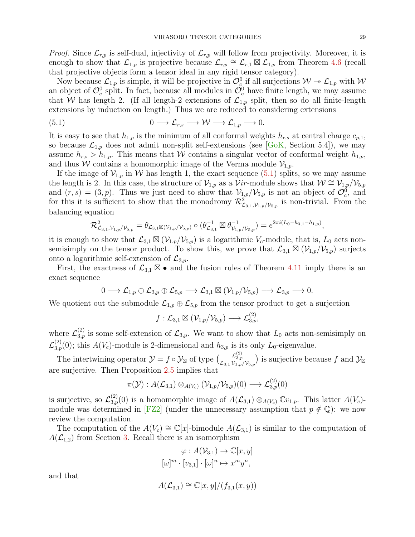*Proof.* Since  $\mathcal{L}_{r,p}$  is self-dual, injectivity of  $\mathcal{L}_{r,p}$  will follow from projectivity. Moreover, it is enough to show that  $\mathcal{L}_{1,p}$  is projective because  $\mathcal{L}_{r,p} \cong \mathcal{L}_{r,1} \boxtimes \mathcal{L}_{1,p}$  from Theorem [4.6](#page-22-1) (recall that projective objects form a tensor ideal in any rigid tensor category).

Now because  $\mathcal{L}_{1,p}$  is simple, it will be projective in  $\mathcal{O}_c^0$  if all surjections  $\mathcal{W} \to \mathcal{L}_{1,p}$  with  $\mathcal{W}$ an object of  $\mathcal{O}_c^0$  split. In fact, because all modules in  $\mathcal{O}_c^0$  have finite length, we may assume that W has length 2. (If all length-2 extensions of  $\mathcal{L}_{1,p}$  split, then so do all finite-length extensions by induction on length.) Thus we are reduced to considering extensions

<span id="page-28-0"></span>
$$
(5.1) \t\t 0 \longrightarrow \mathcal{L}_{r,s} \longrightarrow \mathcal{W} \longrightarrow \mathcal{L}_{1,p} \longrightarrow 0.
$$

It is easy to see that  $h_{1,p}$  is the minimum of all conformal weights  $h_{r,s}$  at central charge  $c_{p,1}$ , so because  $\mathcal{L}_{1,p}$  does not admit non-split self-extensions (see [\[GoK,](#page-52-20) Section 5.4]), we may assume  $h_{r,s} > h_{1,p}$ . This means that W contains a singular vector of conformal weight  $h_{1,p}$ , and thus W contains a homomorphic image of the Verma module  $\mathcal{V}_{1,p}$ .

If the image of  $\mathcal{V}_{1,p}$  in W has length 1, the exact sequence [\(5.1\)](#page-28-0) splits, so we may assume the length is 2. In this case, the structure of  $\mathcal{V}_{1,p}$  as a Vir-module shows that  $\mathcal{W} \cong \mathcal{V}_{1,p}/\mathcal{V}_{5,p}$ and  $(r, s) = (3, p)$ . Thus we just need to show that  $\mathcal{V}_{1,p}/\mathcal{V}_{5,p}$  is not an object of  $\mathcal{O}_c^0$ , and for this it is sufficient to show that the monodromy  $\mathcal{R}^2_{\mathcal{L}_{3,1},\mathcal{V}_{1,p}/\mathcal{V}_{5,p}}$  is non-trivial. From the balancing equation

$$
\mathcal{R}^2_{\mathcal{L}_{3,1},\mathcal{V}_{1,p}/\mathcal{V}_{5,p}} = \theta_{\mathcal{L}_{3,1}\boxtimes(\mathcal{V}_{1,p}/\mathcal{V}_{5,p})} \circ (\theta_{\mathcal{L}_{3,1}}^{-1} \boxtimes \theta_{\mathcal{V}_{1,p}/\mathcal{V}_{5,p}}^{-1}) = e^{2\pi i (L_0 - h_{3,1} - h_{1,p})},
$$

it is enough to show that  $\mathcal{L}_{3,1} \boxtimes (\mathcal{V}_{1,p}/\mathcal{V}_{5,p})$  is a logarithmic  $V_c$ -module, that is,  $L_0$  acts nonsemisimply on the tensor product. To show this, we prove that  $\mathcal{L}_{3,1} \boxtimes (\mathcal{V}_{1,p}/\mathcal{V}_{5,p})$  surjects onto a logarithmic self-extension of  $\mathcal{L}_{3,p}$ .

First, the exactness of  $\mathcal{L}_{3,1} \boxtimes \bullet$  and the fusion rules of Theorem [4.11](#page-25-1) imply there is an exact sequence

$$
0\longrightarrow {\mathcal L}_{1,p}\oplus {\mathcal L}_{3,p}\oplus {\mathcal L}_{5,p}\longrightarrow {\mathcal L}_{3,1}\boxtimes ({\mathcal V}_{1,p}/{\mathcal V}_{5,p})\longrightarrow {\mathcal L}_{3,p}\longrightarrow 0.
$$

We quotient out the submodule  $\mathcal{L}_{1,p} \oplus \mathcal{L}_{5,p}$  from the tensor product to get a surjection

$$
f: \mathcal{L}_{3,1}\boxtimes (\mathcal{V}_{1,p}/\mathcal{V}_{5,p})\longrightarrow \mathcal{L}_{3,p}^{(2)},
$$

where  $\mathcal{L}_{3,p}^{(2)}$  is some self-extension of  $\mathcal{L}_{3,p}$ . We want to show that  $L_0$  acts non-semisimply on  $\mathcal{L}_{3,p}^{(2)}(0)$ ; this  $A(V_c)$ -module is 2-dimensional and  $h_{3,p}$  is its only  $L_0$ -eigenvalue.

The intertwining operator  $\mathcal{Y} = f \circ \mathcal{Y}_{\boxtimes}$  of type  $\begin{pmatrix} \mathcal{L}_{3,p}^{(2)} \\ \mathcal{L}_{3,1} \mathcal{V}_{1,p} / \mathcal{V}_{5,p} \end{pmatrix}$  is surjective because f and  $\mathcal{Y}_{\boxtimes}$ are surjective. Then Proposition [2.5](#page-9-0) implies that

$$
\pi(\mathcal{Y}): A(\mathcal{L}_{3,1}) \otimes_{A(V_c)} (\mathcal{V}_{1,p}/\mathcal{V}_{5,p})(0) \longrightarrow \mathcal{L}_{3,p}^{(2)}(0)
$$

is surjective, so  $\mathcal{L}_{3,p}^{(2)}(0)$  is a homomorphic image of  $A(\mathcal{L}_{3,1}) \otimes_{A(V_c)} \mathbb{C}v_{1,p}$ . This latter  $A(V_c)$ -module was determined in [\[FZ2\]](#page-52-5) (under the unnecessary assumption that  $p \notin \mathbb{Q}$ ): we now review the computation.

The computation of the  $A(V_c) \cong \mathbb{C}[x]$ -bimodule  $A(\mathcal{L}_{3,1})$  is similar to the computation of  $A(\mathcal{L}_{1,2})$  from Section [3.](#page-10-0) Recall there is an isomorphism

$$
\varphi: A(\mathcal{V}_{3,1}) \to \mathbb{C}[x, y]
$$

$$
[\omega]^m \cdot [v_{3,1}] \cdot [\omega]^n \mapsto x^m y^n,
$$

and that

$$
A(\mathcal{L}_{3,1}) \cong \mathbb{C}[x,y]/(f_{3,1}(x,y))
$$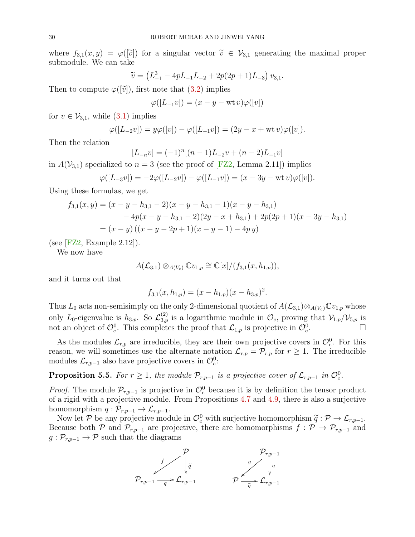where  $f_{3,1}(x,y) = \varphi([\tilde{v}])$  for a singular vector  $\tilde{v} \in V_{3,1}$  generating the maximal proper submodule. We can take

$$
\widetilde{v} = (L_{-1}^3 - 4pL_{-1}L_{-2} + 2p(2p+1)L_{-3}) v_{3,1}.
$$

Then to compute  $\varphi([\tilde{v}]),$  first note that  $(3.2)$  implies

$$
\varphi([L_{-1}v]) = (x - y - \operatorname{wt} v)\varphi([v])
$$

for  $v \in V_{3,1}$ , while  $(3.1)$  implies

$$
\varphi([L_{-2}v]) = y\varphi([v]) - \varphi([L_{-1}v]) = (2y - x + \text{wt }v)\varphi([v]).
$$

Then the relation

$$
[L_{-n}v] = (-1)^n [(n-1)L_{-2}v + (n-2)L_{-1}v]
$$

in  $A(V_{3,1})$  specialized to  $n = 3$  (see the proof of [\[FZ2,](#page-52-5) Lemma 2.11]) implies

$$
\varphi([L_{-3}v]) = -2\varphi([L_{-2}v]) - \varphi([L_{-1}v]) = (x - 3y - \text{wt }v)\varphi([v]).
$$

Using these formulas, we get

$$
f_{3,1}(x,y) = (x - y - h_{3,1} - 2)(x - y - h_{3,1} - 1)(x - y - h_{3,1})
$$
  
- 4p(x - y - h\_{3,1} - 2)(2y - x + h\_{3,1}) + 2p(2p + 1)(x - 3y - h\_{3,1})  
= (x - y)((x - y - 2p + 1)(x - y - 1) - 4py)

(see [\[FZ2,](#page-52-5) Example 2.12]).

We now have

$$
A(\mathcal{L}_{3,1}) \otimes_{A(V_c)} \mathbb{C}v_{1,p} \cong \mathbb{C}[x]/(f_{3,1}(x,h_{1,p})),
$$

and it turns out that

$$
f_{3,1}(x, h_{1,p}) = (x - h_{1,p})(x - h_{3,p})^2.
$$

Thus  $L_0$  acts non-semisimply on the only 2-dimensional quotient of  $A(\mathcal{L}_{3,1})\otimes_{A(V_c)}\mathbb{C}v_{1,p}$  whose only L<sub>0</sub>-eigenvalue is  $h_{3,p}$ . So  $\mathcal{L}_{3,p}^{(2)}$  is a logarithmic module in  $\mathcal{O}_c$ , proving that  $\mathcal{V}_{1,p}/\mathcal{V}_{5,p}$  is not an object of  $\mathcal{O}_c^0$ . This completes the proof that  $\mathcal{L}_{1,p}$  is projective in  $\mathcal{O}_c^0$ .

As the modules  $\mathcal{L}_{r,p}$  are irreducible, they are their own projective covers in  $\mathcal{O}_c^0$ . For this reason, we will sometimes use the alternate notation  $\mathcal{L}_{r,p} = \mathcal{P}_{r,p}$  for  $r \geq 1$ . The irreducible modules  $\mathcal{L}_{r,p-1}$  also have projective covers in  $\mathcal{O}_c^0$ :

<span id="page-29-0"></span>**Proposition 5.5.** For  $r \geq 1$ , the module  $\mathcal{P}_{r,p-1}$  is a projective cover of  $\mathcal{L}_{r,p-1}$  in  $\mathcal{O}_c^0$ .

*Proof.* The module  $\mathcal{P}_{r,p-1}$  is projective in  $\mathcal{O}_c^0$  because it is by definition the tensor product of a rigid with a projective module. From Propositions [4.7](#page-22-0) and [4.9,](#page-23-0) there is also a surjective homomorphism  $q: \mathcal{P}_{r,p-1} \to \mathcal{L}_{r,p-1}$ .

Now let P be any projective module in  $\mathcal{O}_c^0$  with surjective homomorphism  $\tilde{q}: \mathcal{P} \to \mathcal{L}_{r,p-1}$ .<br>ceause both  $\mathcal{P}$  and  $\mathcal{P}$  are projective, there are homomorphisms  $f: \mathcal{P} \to \mathcal{P}$  and Because both P and  $\mathcal{P}_{r,p-1}$  are projective, there are homomorphisms  $f: \mathcal{P} \to \mathcal{P}_{r,p-1}$  and  $g: \mathcal{P}_{r,p-1} \to \mathcal{P}$  such that the diagrams

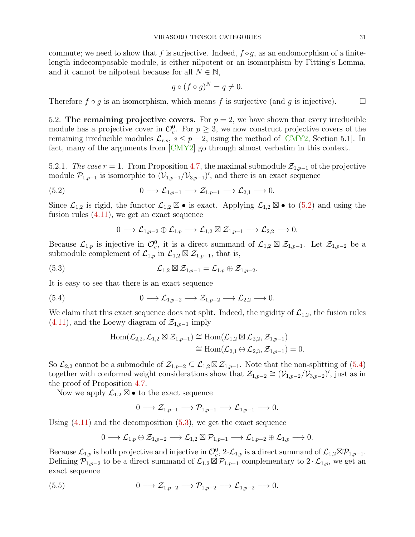commute; we need to show that f is surjective. Indeed,  $f \circ q$ , as an endomorphism of a finitelength indecomposable module, is either nilpotent or an isomorphism by Fitting's Lemma, and it cannot be nilpotent because for all  $N \in \mathbb{N}$ ,

$$
q \circ (f \circ g)^N = q \neq 0.
$$

Therefore  $f \circ q$  is an isomorphism, which means f is surjective (and q is injective).

<span id="page-30-0"></span>5.2. The remaining projective covers. For  $p = 2$ , we have shown that every irreducible module has a projective cover in  $\mathcal{O}_c^0$ . For  $p \geq 3$ , we now construct projective covers of the remaining irreducible modules  $\mathcal{L}_{r,s}$ ,  $s \leq p-2$ , using the method of [\[CMY2,](#page-51-3) Section 5.1]. In fact, many of the arguments from [\[CMY2\]](#page-51-3) go through almost verbatim in this context.

5.2.1. The case  $r = 1$ . From Proposition [4.7,](#page-22-0) the maximal submodule  $\mathcal{Z}_{1,p-1}$  of the projective module  $\mathcal{P}_{1,p-1}$  is isomorphic to  $(\mathcal{V}_{1,p-1}/\mathcal{V}_{3,p-1})'$ , and there is an exact sequence

(5.2) 
$$
0 \longrightarrow \mathcal{L}_{1,p-1} \longrightarrow \mathcal{Z}_{1,p-1} \longrightarrow \mathcal{L}_{2,1} \longrightarrow 0.
$$

Since  $\mathcal{L}_{1,2}$  is rigid, the functor  $\mathcal{L}_{1,2} \boxtimes \bullet$  is exact. Applying  $\mathcal{L}_{1,2} \boxtimes \bullet$  to [\(5.2\)](#page-30-1) and using the fusion rules [\(4.11\)](#page-25-2), we get an exact sequence

<span id="page-30-3"></span><span id="page-30-1"></span>
$$
0 \longrightarrow \mathcal{L}_{1,p-2} \oplus \mathcal{L}_{1,p} \longrightarrow \mathcal{L}_{1,2} \boxtimes \mathcal{Z}_{1,p-1} \longrightarrow \mathcal{L}_{2,2} \longrightarrow 0.
$$

Because  $\mathcal{L}_{1,p}$  is injective in  $\mathcal{O}_c^0$ , it is a direct summand of  $\mathcal{L}_{1,2} \boxtimes \mathcal{Z}_{1,p-1}$ . Let  $\mathcal{Z}_{1,p-2}$  be a submodule complement of  $\mathcal{L}_{1,p}$  in  $\mathcal{L}_{1,2} \boxtimes \mathcal{Z}_{1,p-1}$ , that is,

(5.3) 
$$
\mathcal{L}_{1,2} \boxtimes \mathcal{Z}_{1,p-1} = \mathcal{L}_{1,p} \oplus \mathcal{Z}_{1,p-2}.
$$

It is easy to see that there is an exact sequence

(5.4) 
$$
0 \longrightarrow \mathcal{L}_{1,p-2} \longrightarrow \mathcal{Z}_{1,p-2} \longrightarrow \mathcal{L}_{2,2} \longrightarrow 0.
$$

We claim that this exact sequence does not split. Indeed, the rigidity of  $\mathcal{L}_{1,2}$ , the fusion rules  $(4.11)$ , and the Loewy diagram of  $\mathcal{Z}_{1,p-1}$  imply

<span id="page-30-2"></span>
$$
\begin{aligned} \mathrm{Hom}(\mathcal{L}_{2,2},\mathcal{L}_{1,2} \boxtimes \mathcal{Z}_{1,p-1}) &\cong \mathrm{Hom}(\mathcal{L}_{1,2} \boxtimes \mathcal{L}_{2,2},\mathcal{Z}_{1,p-1}) \\ &\cong \mathrm{Hom}(\mathcal{L}_{2,1} \oplus \mathcal{L}_{2,3},\mathcal{Z}_{1,p-1}) = 0. \end{aligned}
$$

So  $\mathcal{L}_{2,2}$  cannot be a submodule of  $\mathcal{Z}_{1,p-2} \subseteq \mathcal{L}_{1,2} \boxtimes \mathcal{Z}_{1,p-1}$ . Note that the non-splitting of  $(5.4)$ together with conformal weight considerations show that  $\mathcal{Z}_{1,p-2} \cong (\mathcal{V}_{1,p-2}/\mathcal{V}_{3,p-2})'$ , just as in the proof of Proposition [4.7.](#page-22-0)

Now we apply  $\mathcal{L}_{1,2} \boxtimes \bullet$  to the exact sequence

$$
0 \longrightarrow \mathcal{Z}_{1,p-1} \longrightarrow \mathcal{P}_{1,p-1} \longrightarrow \mathcal{L}_{1,p-1} \longrightarrow 0.
$$

Using  $(4.11)$  and the decomposition  $(5.3)$ , we get the exact sequence

<span id="page-30-4"></span>
$$
0\longrightarrow {\mathcal L}_{1,p}\oplus {\mathcal Z}_{1,p-2}\longrightarrow {\mathcal L}_{1,2}\boxtimes {\mathcal P}_{1,p-1}\longrightarrow {\mathcal L}_{1,p-2}\oplus {\mathcal L}_{1,p}\longrightarrow 0.
$$

Because  $\mathcal{L}_{1,p}$  is both projective and injective in  $\mathcal{O}_c^0$ ,  $2 \cdot \mathcal{L}_{1,p}$  is a direct summand of  $\mathcal{L}_{1,2} \boxtimes \mathcal{P}_{1,p-1}$ . Defining  $\mathcal{P}_{1,p-2}$  to be a direct summand of  $\mathcal{L}_{1,2} \boxtimes \mathcal{P}_{1,p-1}$  complementary to  $2 \cdot \mathcal{L}_{1,p}$ , we get an exact sequence

$$
(5.5) \t\t 0 \longrightarrow \mathcal{Z}_{1,p-2} \longrightarrow \mathcal{P}_{1,p-2} \longrightarrow \mathcal{L}_{1,p-2} \longrightarrow 0.
$$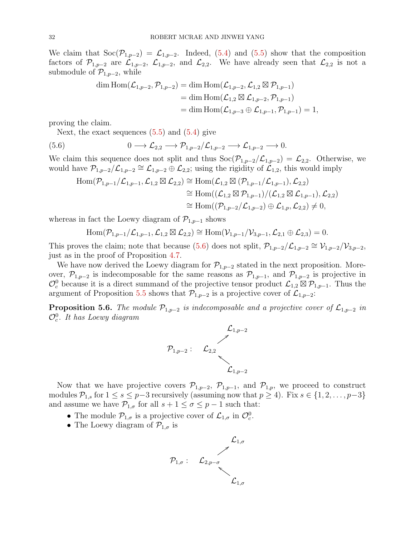We claim that  $\text{Soc}(\mathcal{P}_{1,p-2}) = \mathcal{L}_{1,p-2}$ . Indeed, [\(5.4\)](#page-30-2) and [\(5.5\)](#page-30-4) show that the composition factors of  $\mathcal{P}_{1,p-2}$  are  $\mathcal{L}_{1,p-2}$ ,  $\mathcal{L}_{1,p-2}$ , and  $\mathcal{L}_{2,2}$ . We have already seen that  $\mathcal{L}_{2,2}$  is not a submodule of  $\mathcal{P}_{1,p-2}$ , while

dim Hom(
$$
\mathcal{L}_{1,p-2}
$$
,  $\mathcal{P}_{1,p-2}$ ) = dim Hom( $\mathcal{L}_{1,p-2}$ ,  $\mathcal{L}_{1,2} \boxtimes \mathcal{P}_{1,p-1}$ )  
= dim Hom( $\mathcal{L}_{1,2} \boxtimes \mathcal{L}_{1,p-2}$ ,  $\mathcal{P}_{1,p-1}$ )  
= dim Hom( $\mathcal{L}_{1,p-3} \oplus \mathcal{L}_{1,p-1}$ ,  $\mathcal{P}_{1,p-1}$ ) = 1,

proving the claim.

Next, the exact sequences  $(5.5)$  and  $(5.4)$  give

(5.6) 
$$
0 \longrightarrow \mathcal{L}_{2,2} \longrightarrow \mathcal{P}_{1,p-2}/\mathcal{L}_{1,p-2} \longrightarrow \mathcal{L}_{1,p-2} \longrightarrow 0.
$$

We claim this sequence does not split and thus  $\text{Soc}(\mathcal{P}_{1,p-2}/\mathcal{L}_{1,p-2}) = \mathcal{L}_{2,2}$ . Otherwise, we would have  $\mathcal{P}_{1,p-2}/\mathcal{L}_{1,p-2} \cong \mathcal{L}_{1,p-2} \oplus \mathcal{L}_{2,2}$ ; using the rigidity of  $\mathcal{L}_{1,2}$ , this would imply

<span id="page-31-0"></span>
$$
\begin{aligned} \mathrm{Hom}(\mathcal{P}_{1,p-1}/\mathcal{L}_{1,p-1},\mathcal{L}_{1,2} \boxtimes \mathcal{L}_{2,2}) &\cong \mathrm{Hom}(\mathcal{L}_{1,2} \boxtimes (\mathcal{P}_{1,p-1}/\mathcal{L}_{1,p-1}),\mathcal{L}_{2,2}) \\ &\cong \mathrm{Hom}((\mathcal{L}_{1,2} \boxtimes \mathcal{P}_{1,p-1})/(\mathcal{L}_{1,2} \boxtimes \mathcal{L}_{1,p-1}),\mathcal{L}_{2,2}) \\ &\cong \mathrm{Hom}((\mathcal{P}_{1,p-2}/\mathcal{L}_{1,p-2}) \oplus \mathcal{L}_{1,p},\mathcal{L}_{2,2}) \neq 0, \end{aligned}
$$

whereas in fact the Loewy diagram of  $\mathcal{P}_{1,p-1}$  shows

$$
\operatorname{Hom}(\mathcal{P}_{1,p-1}/\mathcal{L}_{1,p-1},\mathcal{L}_{1,2}\boxtimes\mathcal{L}_{2,2})\cong\operatorname{Hom}(\mathcal{V}_{1,p-1}/\mathcal{V}_{3,p-1},\mathcal{L}_{2,1}\oplus\mathcal{L}_{2,3})=0.
$$

This proves the claim; note that because [\(5.6\)](#page-31-0) does not split,  $\mathcal{P}_{1,p-2}/\mathcal{L}_{1,p-2} \cong \mathcal{V}_{1,p-2}/\mathcal{V}_{3,p-2}$ , just as in the proof of Proposition [4.7.](#page-22-0)

We have now derived the Loewy diagram for  $\mathcal{P}_{1,p-2}$  stated in the next proposition. Moreover,  $\mathcal{P}_{1,p-2}$  is indecomposable for the same reasons as  $\mathcal{P}_{1,p-1}$ , and  $\mathcal{P}_{1,p-2}$  is projective in  $\mathcal{O}_c^0$  because it is a direct summand of the projective tensor product  $\mathcal{L}_{1,2}$   $\boxtimes$   $\mathcal{P}_{1,p-1}$ . Thus the argument of Proposition [5.5](#page-29-0) shows that  $\mathcal{P}_{1,p-2}$  is a projective cover of  $\mathcal{L}_{1,p-2}$ :

**Proposition 5.6.** The module  $\mathcal{P}_{1,p-2}$  is indecomposable and a projective cover of  $\mathcal{L}_{1,p-2}$  in  $\mathcal{O}_c^0$ . It has Loewy diagram



Now that we have projective covers  $\mathcal{P}_{1,p-2}$ ,  $\mathcal{P}_{1,p-1}$ , and  $\mathcal{P}_{1,p}$ , we proceed to construct modules  $\mathcal{P}_{1,s}$  for  $1 \leq s \leq p-3$  recursively (assuming now that  $p \geq 4$ ). Fix  $s \in \{1, 2, \ldots, p-3\}$ and assume we have  $\mathcal{P}_{1,\sigma}$  for all  $s + 1 \leq \sigma \leq p - 1$  such that:

- The module  $\mathcal{P}_{1,\sigma}$  is a projective cover of  $\mathcal{L}_{1,\sigma}$  in  $\mathcal{O}_c^0$ .
- The Loewy diagram of  $\mathcal{P}_{1,\sigma}$  is

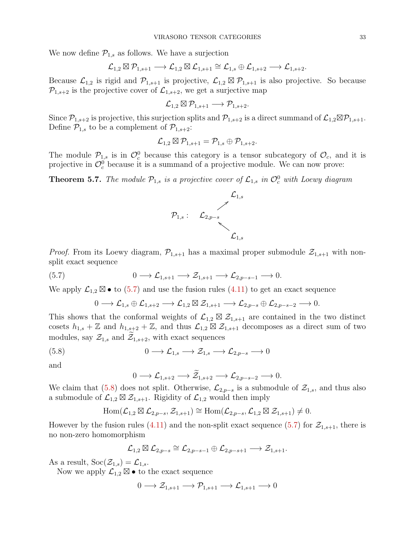We now define  $\mathcal{P}_{1,s}$  as follows. We have a surjection

$$
\mathcal{L}_{1,2}\boxtimes \mathcal{P}_{1,s+1}\longrightarrow \mathcal{L}_{1,2}\boxtimes \mathcal{L}_{1,s+1}\cong \mathcal{L}_{1,s}\oplus \mathcal{L}_{1,s+2}\longrightarrow \mathcal{L}_{1,s+2}.
$$

Because  $\mathcal{L}_{1,2}$  is rigid and  $\mathcal{P}_{1,s+1}$  is projective,  $\mathcal{L}_{1,2} \boxtimes \mathcal{P}_{1,s+1}$  is also projective. So because  $\mathcal{P}_{1,s+2}$  is the projective cover of  $\mathcal{L}_{1,s+2}$ , we get a surjective map

$$
\mathcal{L}_{1,2} \boxtimes \mathcal{P}_{1,s+1} \longrightarrow \mathcal{P}_{1,s+2}.
$$

Since  $\mathcal{P}_{1,s+2}$  is projective, this surjection splits and  $\mathcal{P}_{1,s+2}$  is a direct summand of  $\mathcal{L}_{1,2} \boxtimes \mathcal{P}_{1,s+1}$ . Define  $\mathcal{P}_{1,s}$  to be a complement of  $\mathcal{P}_{1,s+2}$ :

$$
\mathcal{L}_{1,2}\boxtimes \mathcal{P}_{1,s+1}=\mathcal{P}_{1,s}\oplus \mathcal{P}_{1,s+2}.
$$

The module  $\mathcal{P}_{1,s}$  is in  $\mathcal{O}_c^0$  because this category is a tensor subcategory of  $\mathcal{O}_c$ , and it is projective in  $\mathcal{O}_c^0$  because it is a summand of a projective module. We can now prove:

<span id="page-32-0"></span>**Theorem 5.7.** The module  $\mathcal{P}_{1,s}$  is a projective cover of  $\mathcal{L}_{1,s}$  in  $\mathcal{O}_c^0$  with Loewy diagram



*Proof.* From its Loewy diagram,  $\mathcal{P}_{1,s+1}$  has a maximal proper submodule  $\mathcal{Z}_{1,s+1}$  with nonsplit exact sequence

$$
(5.7) \t\t 0 \longrightarrow \mathcal{L}_{1,s+1} \longrightarrow \mathcal{Z}_{1,s+1} \longrightarrow \mathcal{L}_{2,p-s-1} \longrightarrow 0.
$$

We apply  $\mathcal{L}_{1,2} \boxtimes \bullet$  to [\(5.7\)](#page-32-1) and use the fusion rules [\(4.11\)](#page-25-2) to get an exact sequence

<span id="page-32-1"></span>
$$
0 \longrightarrow \mathcal{L}_{1,s} \oplus \mathcal{L}_{1,s+2} \longrightarrow \mathcal{L}_{1,2} \boxtimes \mathcal{Z}_{1,s+1} \longrightarrow \mathcal{L}_{2,p-s} \oplus \mathcal{L}_{2,p-s-2} \longrightarrow 0.
$$

This shows that the conformal weights of  $\mathcal{L}_{1,2} \boxtimes \mathcal{Z}_{1,s+1}$  are contained in the two distinct cosets  $h_{1,s} + \mathbb{Z}$  and  $h_{1,s+2} + \mathbb{Z}$ , and thus  $\mathcal{L}_{1,2} \boxtimes \mathcal{Z}_{1,s+1}$  decomposes as a direct sum of two modules, say  $\mathcal{Z}_{1,s}$  and  $\mathcal{Z}_{1,s+2}$ , with exact sequences

$$
(5.8) \t\t 0 \longrightarrow \mathcal{L}_{1,s} \longrightarrow \mathcal{Z}_{1,s} \longrightarrow \mathcal{L}_{2,p-s} \longrightarrow 0
$$

and

<span id="page-32-2"></span>
$$
0 \longrightarrow \mathcal{L}_{1,s+2} \longrightarrow \widetilde{\mathcal{Z}}_{1,s+2} \longrightarrow \mathcal{L}_{2,p-s-2} \longrightarrow 0.
$$

We claim that [\(5.8\)](#page-32-2) does not split. Otherwise,  $\mathcal{L}_{2,p-s}$  is a submodule of  $\mathcal{Z}_{1,s}$ , and thus also a submodule of  $\mathcal{L}_{1,2} \boxtimes \mathcal{Z}_{1,s+1}$ . Rigidity of  $\mathcal{L}_{1,2}$  would then imply

$$
\operatorname{Hom}(\mathcal{L}_{1,2} \boxtimes \mathcal{L}_{2,p-s}, \mathcal{Z}_{1,s+1}) \cong \operatorname{Hom}(\mathcal{L}_{2,p-s}, \mathcal{L}_{1,2} \boxtimes \mathcal{Z}_{1,s+1}) \neq 0.
$$

However by the fusion rules [\(4.11\)](#page-25-2) and the non-split exact sequence [\(5.7\)](#page-32-1) for  $\mathcal{Z}_{1,s+1}$ , there is no non-zero homomorphism

$$
\mathcal{L}_{1,2}\boxtimes\mathcal{L}_{2,p-s}\cong\mathcal{L}_{2,p-s-1}\oplus\mathcal{L}_{2,p-s+1}\longrightarrow\mathcal{Z}_{1,s+1}.
$$

As a result,  $Soc(\mathcal{Z}_{1,s}) = \mathcal{L}_{1,s}$ .

Now we apply  $\mathcal{L}_{1,2}$   $\boxtimes \bullet$  to the exact sequence

 $0 \longrightarrow \mathcal{Z}_{1,s+1} \longrightarrow \mathcal{P}_{1,s+1} \longrightarrow \mathcal{L}_{1,s+1} \longrightarrow 0$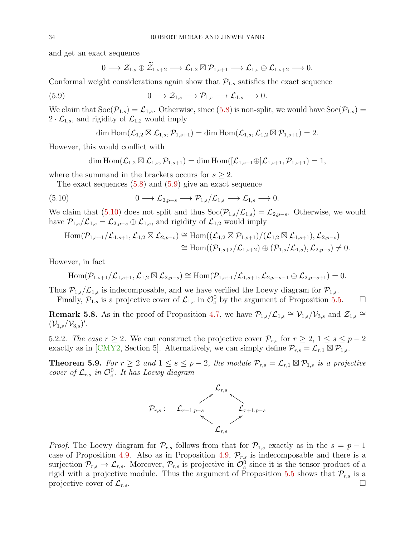and get an exact sequence

<span id="page-33-1"></span>
$$
0 \longrightarrow \mathcal{Z}_{1,s} \oplus \widetilde{\mathcal{Z}}_{1,s+2} \longrightarrow \mathcal{L}_{1,2} \boxtimes \mathcal{P}_{1,s+1} \longrightarrow \mathcal{L}_{1,s} \oplus \mathcal{L}_{1,s+2} \longrightarrow 0.
$$

Conformal weight considerations again show that  $\mathcal{P}_{1,s}$  satisfies the exact sequence

(5.9) 
$$
0 \longrightarrow \mathcal{Z}_{1,s} \longrightarrow \mathcal{P}_{1,s} \longrightarrow \mathcal{L}_{1,s} \longrightarrow 0.
$$

We claim that  $\text{Soc}(\mathcal{P}_{1,s}) = \mathcal{L}_{1,s}$ . Otherwise, since [\(5.8\)](#page-32-2) is non-split, we would have  $\text{Soc}(\mathcal{P}_{1,s})$  $2 \cdot \mathcal{L}_{1,s}$ , and rigidity of  $\mathcal{L}_{1,2}$  would imply

$$
\dim\operatorname{Hom}(\mathcal{L}_{1,2}\boxtimes\mathcal{L}_{1,s},\mathcal{P}_{1,s+1})=\dim\operatorname{Hom}(\mathcal{L}_{1,s},\mathcal{L}_{1,2}\boxtimes\mathcal{P}_{1,s+1})=2.
$$

However, this would conflict with

<span id="page-33-2"></span>
$$
\dim\operatorname{Hom}(\mathcal{L}_{1,2}\boxtimes\mathcal{L}_{1,s},\mathcal{P}_{1,s+1})=\dim\operatorname{Hom}([\mathcal{L}_{1,s-1}\oplus]\mathcal{L}_{1,s+1},\mathcal{P}_{1,s+1})=1,
$$

where the summand in the brackets occurs for  $s \geq 2$ .

The exact sequences [\(5.8\)](#page-32-2) and [\(5.9\)](#page-33-1) give an exact sequence

$$
(5.10) \t\t 0 \longrightarrow \mathcal{L}_{2,p-s} \longrightarrow \mathcal{P}_{1,s}/\mathcal{L}_{1,s} \longrightarrow \mathcal{L}_{1,s} \longrightarrow 0.
$$

We claim that [\(5.10\)](#page-33-2) does not split and thus  $\text{Soc}(\mathcal{P}_{1,s}/\mathcal{L}_{1,s}) = \mathcal{L}_{2,p-s}$ . Otherwise, we would have  $\mathcal{P}_{1,s}/\mathcal{L}_{1,s} = \mathcal{L}_{2,p-s} \oplus \mathcal{L}_{1,s}$ , and rigidity of  $\mathcal{L}_{1,2}$  would imply

$$
\text{Hom}(\mathcal{P}_{1,s+1}/\mathcal{L}_{1,s+1},\mathcal{L}_{1,2} \boxtimes \mathcal{L}_{2,p-s}) \cong \text{Hom}((\mathcal{L}_{1,2} \boxtimes \mathcal{P}_{1,s+1})/(\mathcal{L}_{1,2} \boxtimes \mathcal{L}_{1,s+1}),\mathcal{L}_{2,p-s})
$$
  

$$
\cong \text{Hom}((\mathcal{P}_{1,s+2}/\mathcal{L}_{1,s+2}) \oplus (\mathcal{P}_{1,s}/\mathcal{L}_{1,s}),\mathcal{L}_{2,p-s}) \neq 0.
$$

However, in fact

$$
\mathrm{Hom}(\mathcal{P}_{1,s+1}/\mathcal{L}_{1,s+1},\mathcal{L}_{1,2}\boxtimes\mathcal{L}_{2,p-s})\cong \mathrm{Hom}(\mathcal{P}_{1,s+1}/\mathcal{L}_{1,s+1},\mathcal{L}_{2,p-s-1}\oplus\mathcal{L}_{2,p-s+1})=0.
$$

Thus  $\mathcal{P}_{1,s}/\mathcal{L}_{1,s}$  is indecomposable, and we have verified the Loewy diagram for  $\mathcal{P}_{1,s}$ .

Finally,  $\mathcal{P}_{1,s}$  is a projective cover of  $\mathcal{L}_{1,s}$  in  $\mathcal{O}_c^0$  by the argument of Proposition [5.5.](#page-29-0)  $\Box$ 

**Remark 5.8.** As in the proof of Proposition [4.7,](#page-22-0) we have  $\mathcal{P}_{1,s}/\mathcal{L}_{1,s} \cong \mathcal{V}_{1,s}/\mathcal{V}_{3,s}$  and  $\mathcal{Z}_{1,s} \cong$  $({\cal V}_{1,s}/{\cal V}_{3,s})'$ .

5.2.2. The case  $r \geq 2$ . We can construct the projective cover  $\mathcal{P}_{r,s}$  for  $r \geq 2$ ,  $1 \leq s \leq p-2$ exactly as in [\[CMY2,](#page-51-3) Section 5]. Alternatively, we can simply define  $\mathcal{P}_{r,s} = \mathcal{L}_{r,1} \boxtimes \mathcal{P}_{1,s}$ .

<span id="page-33-0"></span>**Theorem 5.9.** For  $r \geq 2$  and  $1 \leq s \leq p-2$ , the module  $\mathcal{P}_{r,s} = \mathcal{L}_{r,1} \boxtimes \mathcal{P}_{1,s}$  is a projective cover of  $\mathcal{L}_{r,s}$  in  $\mathcal{O}_c^0$ . It has Loewy diagram



*Proof.* The Loewy diagram for  $\mathcal{P}_{r,s}$  follows from that for  $\mathcal{P}_{1,s}$  exactly as in the  $s = p - 1$ case of Proposition [4.9.](#page-23-0) Also as in Proposition [4.9,](#page-23-0)  $\mathcal{P}_{r,s}$  is indecomposable and there is a surjection  $\mathcal{P}_{r,s} \to \mathcal{L}_{r,s}$ . Moreover,  $\mathcal{P}_{r,s}$  is projective in  $\mathcal{O}_c^0$  since it is the tensor product of a rigid with a projective module. Thus the argument of Proposition [5.5](#page-29-0) shows that  $\mathcal{P}_{r,s}$  is a projective cover of  $\mathcal{L}_{r,s}$ .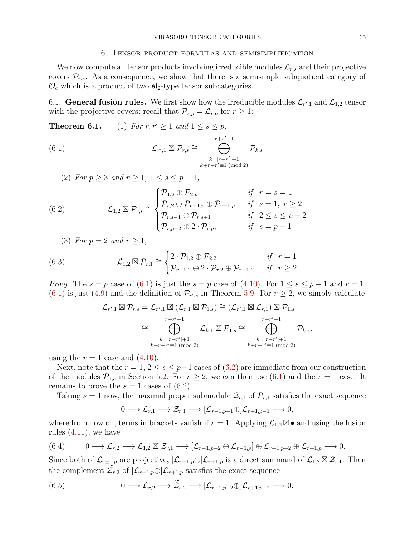#### 6. Tensor product formulas and semisimplification

<span id="page-34-0"></span>We now compute all tensor products involving irreducible modules  $\mathcal{L}_{r,s}$  and their projective covers  $\mathcal{P}_{r,s}$ . As a consequence, we show that there is a semisimple subquotient category of  $\mathcal{O}_c$  which is a product of two  $\mathfrak{sl}_2$ -type tensor subcategories.

<span id="page-34-1"></span>6.1. General fusion rules. We first show how the irreducible modules  $\mathcal{L}_{r',1}$  and  $\mathcal{L}_{1,2}$  tensor with the projective covers; recall that  $\mathcal{P}_{r,p} = \mathcal{L}_{r,p}$  for  $r \geq 1$ :

**Theorem 6.1.** (1) For  $r, r' \geq 1$  and  $1 \leq s \leq p$ ,

(6.1) 
$$
\mathcal{L}_{r',1} \boxtimes \mathcal{P}_{r,s} \cong \bigoplus_{\substack{k=|r-r'|+1\\k+r+r' \equiv 1 \pmod{2}}}^{r+r'-1} \mathcal{P}_{k,s}
$$

<span id="page-34-3"></span><span id="page-34-2"></span>(2) For  $p \geq 3$  and  $r \geq 1$ ,  $1 \leq s \leq p-1$ ,

(6.2) 
$$
\mathcal{L}_{1,2} \boxtimes \mathcal{P}_{r,s} \cong \begin{cases} \mathcal{P}_{1,2} \oplus \mathcal{P}_{2,p} & \text{if } r=s=1\\ \mathcal{P}_{r,2} \oplus \mathcal{P}_{r-1,p} \oplus \mathcal{P}_{r+1,p} & \text{if } s=1, r \geq 2\\ \mathcal{P}_{r,s-1} \oplus \mathcal{P}_{r,s+1} & \text{if } 2 \leq s \leq p-2\\ \mathcal{P}_{r,p-2} \oplus 2 \cdot \mathcal{P}_{r,p}, & \text{if } s=p-1 \end{cases}
$$

(3) For  $p = 2$  and  $r \geq 1$ ,

(6.3) 
$$
\mathcal{L}_{1,2} \boxtimes \mathcal{P}_{r,1} \cong \begin{cases} 2 \cdot \mathcal{P}_{1,2} \oplus \mathcal{P}_{2,2} & \text{if } r = 1 \\ \mathcal{P}_{r-1,2} \oplus 2 \cdot \mathcal{P}_{r,2} \oplus \mathcal{P}_{r+1,2} & \text{if } r \geq 2 \end{cases}
$$

*Proof.* The  $s = p$  case of [\(6.1\)](#page-34-2) is just the  $s = p$  case of [\(4.10\)](#page-25-3). For  $1 \le s \le p - 1$  and  $r = 1$ ,  $(6.1)$  is just  $(4.9)$  and the definition of  $\mathcal{P}_{r',s}$  in Theorem [5.9.](#page-33-0) For  $r \geq 2$ , we simply calculate

<span id="page-34-6"></span>
$$
\mathcal{L}_{r',1} \boxtimes \mathcal{P}_{r,s} = \mathcal{L}_{r',1} \boxtimes (\mathcal{L}_{r,1} \boxtimes \mathcal{P}_{1,s}) \cong (\mathcal{L}_{r',1} \boxtimes \mathcal{L}_{r,1}) \boxtimes \mathcal{P}_{1,s} \cong \bigoplus_{\substack{r+r'-1 \\ k=|r-r'|+1 \\ k+r+r' \equiv 1 \ (\mathrm{mod}\ 2)}}^r \mathcal{L}_{k,1} \boxtimes \mathcal{P}_{1,s} \cong \bigoplus_{\substack{ k=|r-r'|+1 \\ k+r+r' \equiv 1 \ (\mathrm{mod}\ 2)}}^r \mathcal{P}_{k,s},
$$

using the  $r = 1$  case and  $(4.10)$ .

Next, note that the  $r = 1, 2 \le s \le p-1$  cases of  $(6.2)$  are immediate from our construction of the modules  $\mathcal{P}_{1,s}$  in Section [5.2.](#page-30-0) For  $r \geq 2$ , we can then use [\(6.1\)](#page-34-2) and the  $r = 1$  case. It remains to prove the  $s = 1$  cases of  $(6.2)$ .

Taking  $s = 1$  now, the maximal proper submodule  $\mathcal{Z}_{r,1}$  of  $\mathcal{P}_{r,1}$  satisfies the exact sequence

$$
0 \longrightarrow \mathcal{L}_{r,1} \longrightarrow \mathcal{Z}_{r,1} \longrightarrow [\mathcal{L}_{r-1,p-1} \oplus] \mathcal{L}_{r+1,p-1} \longrightarrow 0,
$$

where from now on, terms in brackets vanish if  $r = 1$ . Applying  $\mathcal{L}_{1,2} \boxtimes \bullet$  and using the fusion rules  $(4.11)$ , we have

<span id="page-34-5"></span>
$$
(6.4) \qquad 0 \longrightarrow \mathcal{L}_{r,2} \longrightarrow \mathcal{L}_{1,2} \boxtimes \mathcal{Z}_{r,1} \longrightarrow [\mathcal{L}_{r-1,p-2} \oplus \mathcal{L}_{r-1,p}] \oplus \mathcal{L}_{r+1,p-2} \oplus \mathcal{L}_{r+1,p} \longrightarrow 0.
$$

Since both of  $\mathcal{L}_{r+1,p}$  are projective,  $[\mathcal{L}_{r-1,p} \oplus] \mathcal{L}_{r+1,p}$  is a direct summand of  $\mathcal{L}_{1,2} \boxtimes \mathcal{Z}_{r,1}$ . Then the complement  $\mathcal{Z}_{r,2}$  of  $[\mathcal{L}_{r-1,p} \oplus] \mathcal{L}_{r+1,p}$  satisfies the exact sequence

<span id="page-34-4"></span>(6.5) 
$$
0 \longrightarrow \mathcal{L}_{r,2} \longrightarrow \widetilde{\mathcal{Z}}_{r,2} \longrightarrow [\mathcal{L}_{r-1,p-2} \oplus] \mathcal{L}_{r+1,p-2} \longrightarrow 0.
$$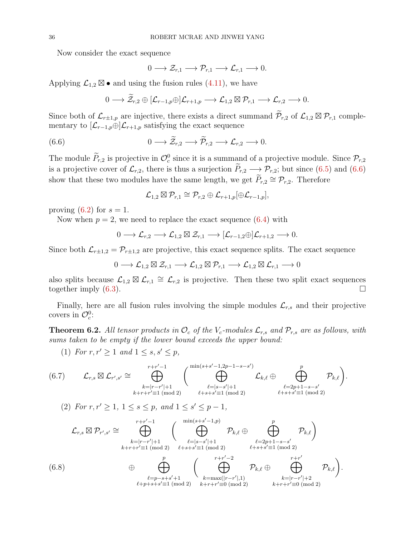Now consider the exact sequence

$$
0 \longrightarrow \mathcal{Z}_{r,1} \longrightarrow \mathcal{P}_{r,1} \longrightarrow \mathcal{L}_{r,1} \longrightarrow 0.
$$

Applying  $\mathcal{L}_{1,2} \boxtimes \bullet$  and using the fusion rules [\(4.11\)](#page-25-2), we have

$$
0 \longrightarrow \widetilde{\mathcal{Z}}_{r,2} \oplus [\mathcal{L}_{r-1,p} \oplus] \mathcal{L}_{r+1,p} \longrightarrow \mathcal{L}_{1,2} \boxtimes \mathcal{P}_{r,1} \longrightarrow \mathcal{L}_{r,2} \longrightarrow 0.
$$

Since both of  $\mathcal{L}_{r\pm1,p}$  are injective, there exists a direct summand  $\widetilde{\mathcal{P}}_{r,2}$  of  $\mathcal{L}_{1,2} \boxtimes \mathcal{P}_{r,1}$  complementary to  $[\mathcal{L}_{r-1,p} \oplus] \mathcal{L}_{r+1,p}$  satisfying the exact sequence

(6.6) 
$$
0 \longrightarrow \widetilde{\mathcal{Z}}_{r,2} \longrightarrow \widetilde{\mathcal{P}}_{r,2} \longrightarrow \mathcal{L}_{r,2} \longrightarrow 0.
$$

The module  $P_{r,2}$  is projective in  $\mathcal{O}_c^0$  since it is a summand of a projective module. Since  $\mathcal{P}_{r,2}$ is a projective cover of  $\mathcal{L}_{r,2}$ , there is thus a surjection  $\widetilde{P}_{r,2} \longrightarrow \mathcal{P}_{r,2}$ ; but since [\(6.5\)](#page-34-4) and [\(6.6\)](#page-35-1) show that these two modules have the same length, we get  $\widetilde{P}_{r,2} \cong \mathcal{P}_{r,2}$ . Therefore

<span id="page-35-1"></span>
$$
\mathcal{L}_{1,2}\boxtimes \mathcal{P}_{r,1}\cong \mathcal{P}_{r,2}\oplus \mathcal{L}_{r+1,p}[\oplus \mathcal{L}_{r-1,p}],
$$

proving  $(6.2)$  for  $s = 1$ .

Now when  $p = 2$ , we need to replace the exact sequence  $(6.4)$  with

$$
0 \longrightarrow \mathcal{L}_{r,2} \longrightarrow \mathcal{L}_{1,2} \boxtimes \mathcal{Z}_{r,1} \longrightarrow [\mathcal{L}_{r-1,2} \oplus] \mathcal{L}_{r+1,2} \longrightarrow 0.
$$

Since both  $\mathcal{L}_{r\pm1,2} = \mathcal{P}_{r\pm1,2}$  are projective, this exact sequence splits. The exact sequence

$$
0 \longrightarrow \mathcal{L}_{1,2} \boxtimes \mathcal{Z}_{r,1} \longrightarrow \mathcal{L}_{1,2} \boxtimes \mathcal{P}_{r,1} \longrightarrow \mathcal{L}_{1,2} \boxtimes \mathcal{L}_{r,1} \longrightarrow 0
$$

also splits because  $\mathcal{L}_{1,2} \boxtimes \mathcal{L}_{r,1} \cong \mathcal{L}_{r,2}$  is projective. Then these two split exact sequences together imply  $(6.3)$ .

Finally, here are all fusion rules involving the simple modules  $\mathcal{L}_{r,s}$  and their projective covers in  $\mathcal{O}_c^0$ :

<span id="page-35-0"></span>**Theorem 6.2.** All tensor products in  $\mathcal{O}_c$  of the  $V_c$ -modules  $\mathcal{L}_{r,s}$  and  $\mathcal{P}_{r,s}$  are as follows, with sums taken to be empty if the lower bound exceeds the upper bound:

(1) For  $r, r' > 1$  and  $1 \leq s, s' \leq p$ ,

<span id="page-35-3"></span><span id="page-35-2"></span>(6.7) 
$$
\mathcal{L}_{r,s} \boxtimes \mathcal{L}_{r',s'} \cong \bigoplus_{k=|r-r'|+1}^{r+r'-1} \left( \bigoplus_{\substack{\ell=s-s'|+1 \\ \ell+s+s'\equiv 1 \pmod{2}}}^{min(s+s'-1,2p-1-s-s')} \mathcal{L}_{k,\ell} \oplus \bigoplus_{\substack{\ell=2p+1-s-s' \\ \ell+s+s'\equiv 1 \pmod{2}}}^{p} \mathcal{P}_{k,\ell} \right).
$$
  
\n(2) For  $r, r' \geq 1, 1 \leq s \leq p$ , and  $1 \leq s' \leq p-1$ ,  
\n
$$
\mathcal{L}_{r,s} \boxtimes \mathcal{P}_{r',s'} \cong \bigoplus_{\substack{r+r'-1 \\ k+r+r'\equiv 1 \pmod{2}}}^{r+r'-1} \left( \bigoplus_{\substack{\ell=s-s'|+1 \\ \ell=s-s'|+1}}^{min(s+s'-1,2p-1-s-s')} \mathcal{P}_{k,\ell} \oplus \bigoplus_{\substack{\ell=2p+1-s-s' \\ \ell+s+s'\equiv 1 \pmod{2}}}^{p} \mathcal{P}_{k,\ell} \right)
$$
  
\n(6.8) 
$$
\oplus \bigoplus_{\substack{\ell=p-s+s'+1 \\ \ell=p-s+s'+1 \\ \ell+p+s+s'\equiv 1 \pmod{2}}}^{p} \left( \bigoplus_{\substack{k=\max(|r-r'|,1) \\ k=\max(|r-r'|,1)}}^{r+r'-2} \mathcal{P}_{k,\ell} \oplus \bigoplus_{\substack{k=|r-r'|+2 \\ k=|r-r'|+2}}^{r+r'} \mathcal{P}_{k,\ell} \right).
$$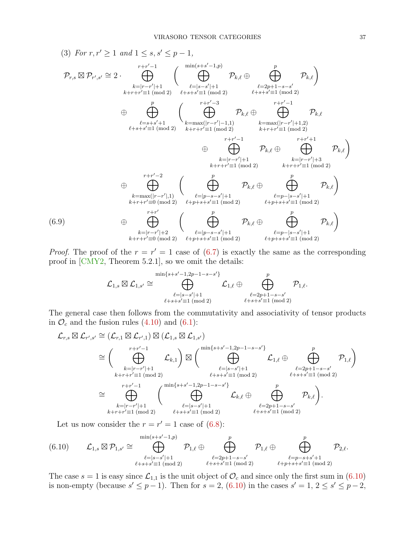$$
(3) \ For r, r' \geq 1 \ and \ 1 \leq s, s' \leq p - 1,
$$
\n
$$
\mathcal{P}_{r,s} \boxtimes \mathcal{P}_{r',s'} \cong 2 \cdot \bigoplus_{k=r-r'+1}^{r+r'-1} \left( \bigoplus_{\substack{\ell=s-s'+1\\ \ell=s-s'+1}}^{min(s+s'-1,p)} \mathcal{P}_{k,\ell} \oplus \bigoplus_{\substack{\ell=s-s'+1\\ \ell+s+s'=1 \pmod{2}}}^{r} \mathcal{P}_{k,\ell} \oplus \bigoplus_{\substack{\ell+s+s'=1\\ \ell=s+s'+1}}^{r} \mathcal{P}_{k,\ell}
$$
\n
$$
\oplus \bigoplus_{\substack{\ell=s+s'+1\\ \ell+s+s'=1 \pmod{2}}}^{r} \left( \bigoplus_{\substack{k=\max(|r-r'|-1,1)\\ \ell+r+r'=1 \pmod{2}}}^{r+r'-3} \mathcal{P}_{k,\ell} \oplus \bigoplus_{\substack{k+r+r'=1\\ \ell+r+r'=1 \pmod{2}}}^{r+r'-1} \mathcal{P}_{k,\ell}
$$
\n
$$
\oplus \bigoplus_{\substack{k=r-r'|+1\\ \ell+r+r'=1 \pmod{2}}}^{r+r'-2} \mathcal{P}_{k,\ell} \oplus \bigoplus_{\substack{k+r+r'=1 \pmod{2} \\ \ell+r+r'=1 \pmod{2}}}^{r+r'-2} \mathcal{P}_{k,\ell} \oplus \bigoplus_{\substack{k=r-r'|+3\\ \ell+r+r'=1 \pmod{2}}}^{r} \mathcal{P}_{k,\ell}
$$
\n
$$
(6.9) \oplus \bigoplus_{\substack{k=\max(|r-r'|,1)\\ \ell+r+r'=1 \pmod{2}}}^{r+r'} \left( \bigoplus_{\substack{\ell=p-s-s'+1\\ \ell+p+s+s'=1 \pmod{2}}}^{p} \mathcal{P}_{k,\ell} \oplus \bigoplus_{\substack{\ell=p-s-s'+1\\ \ell+p+s+s'=1 \pmod{2}}}^{p} \mathcal{P}_{k,\ell}
$$
\n
$$
(6.9) \oplus \bigoplus_{\substack{k=r-r'|+2\\ \ell+r+r'=0 \pmod{2}}}^{r+r'} \left( \bigoplus_{\substack{\ell=p-s-s'+1\\ \ell+p+s+s'=1 \pmod{2}}}^{p} \mathcal{P}_{k,\ell} \oplus \bigoplus_{\substack{\ell=p-|s-s'+1\\ \ell+p+s+s'=1 \
$$

<span id="page-36-1"></span>*Proof.* The proof of the  $r = r' = 1$  case of [\(6.7\)](#page-35-2) is exactly the same as the corresponding proof in [\[CMY2,](#page-51-3) Theorem 5.2.1], so we omit the details:

$$
\mathcal{L}_{1,s} \boxtimes \mathcal{L}_{1,s'} \cong \bigoplus_{\substack{\ell=|s-s'|+1\\ \ell+s+s' \equiv 1 \ (\mathrm{mod}\ 2)}}^{\min\{s+s'-1,2p-1-s-s'\}} \mathcal{L}_{1,\ell} \oplus \bigoplus_{\substack{\ell=2p+1-s-s'\\ \ell+s+s' \equiv 1 \ (\mathrm{mod}\ 2)}}^p \mathcal{P}_{1,\ell}.
$$

The general case then follows from the commutativity and associativity of tensor products in  $\mathcal{O}_c$  and the fusion rules [\(4.10\)](#page-25-3) and [\(6.1\)](#page-34-2):

$$
\mathcal{L}_{r,s} \boxtimes \mathcal{L}_{r',s'} \cong (\mathcal{L}_{r,1} \boxtimes \mathcal{L}_{r',1}) \boxtimes (\mathcal{L}_{1,s} \boxtimes \mathcal{L}_{1,s'})
$$
\n
$$
\cong \left(\bigoplus_{\substack{k=|r-r'|+1\\k+r+r'=1 \pmod{2}}}^{r+r'-1} \mathcal{L}_{k,1}\right) \boxtimes \left(\bigoplus_{\substack{\ell=|s-s'|+1\\ell+s+s'\equiv 1 \pmod{2}}}^{min\{s+s'-1,2p-1-s-s'\}} \mathcal{L}_{1,\ell} \oplus \bigoplus_{\substack{\ell=2p+1-s-s'\\ell+s+s'\equiv 1 \pmod{2}}}^{p} \mathcal{P}_{1,\ell}\right)
$$
\n
$$
\cong \bigoplus_{\substack{k=|r-r'|+1\\k+r+r'\equiv 1 \pmod{2}}}^{r+r'-1} \left(\bigoplus_{\substack{\ell=|s-s'|+1\\ell=s-s'|+1}}^{min\{s+s'-1,2p-1-s-s'\}} \mathcal{L}_{k,\ell} \oplus \bigoplus_{\substack{\ell=2p+1-s-s'\\ell+s+s'\equiv 1 \pmod{2}}}^{p} \mathcal{P}_{k,\ell}\right).
$$

Let us now consider the  $r = r' = 1$  case of [\(6.8\)](#page-35-3):

<span id="page-36-0"></span>
$$
(6.10) \qquad \mathcal{L}_{1,s} \boxtimes \mathcal{P}_{1,s'} \cong \bigoplus_{\substack{\ell=|s-s'|+1\\ \ell+s+s'\equiv 1\;(\text{mod}\;2)}}^{\min(s+s'-1,p)} \mathcal{P}_{1,\ell} \oplus \bigoplus_{\substack{\ell=2p+1-s-s'\\ \ell+s+s'\equiv 1\;(\text{mod}\;2)}}^p \mathcal{P}_{1,\ell} \oplus \bigoplus_{\substack{\ell=p-s+s'+1\\ \ell+p+s+s'\equiv 1\;(\text{mod}\;2)}}^p \mathcal{P}_{2,\ell}.
$$

The case  $s = 1$  is easy since  $\mathcal{L}_{1,1}$  is the unit object of  $\mathcal{O}_c$  and since only the first sum in [\(6.10\)](#page-36-0) is non-empty (because  $s' \leq p-1$ ). Then for  $s = 2$ , [\(6.10\)](#page-36-0) in the cases  $s' = 1$ ,  $2 \leq s' \leq p-2$ ,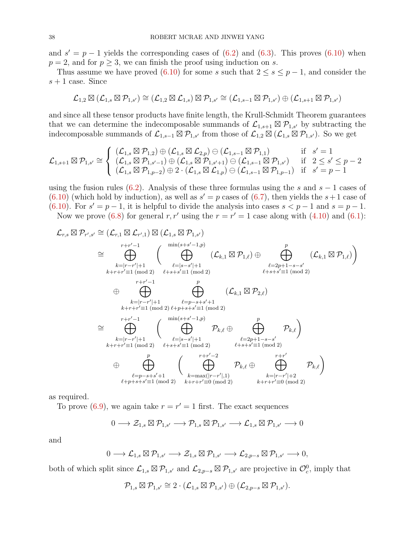and  $s' = p - 1$  yields the corresponding cases of  $(6.2)$  and  $(6.3)$ . This proves  $(6.10)$  when  $p = 2$ , and for  $p \geq 3$ , we can finish the proof using induction on s.

Thus assume we have proved [\(6.10\)](#page-36-0) for some s such that  $2 \leq s \leq p-1$ , and consider the  $s + 1$  case. Since

$$
\mathcal{L}_{1,2}\boxtimes(\mathcal{L}_{1,s}\boxtimes\mathcal{P}_{1,s'})\cong(\mathcal{L}_{1,2}\boxtimes\mathcal{L}_{1,s})\boxtimes\mathcal{P}_{1,s'}\cong(\mathcal{L}_{1,s-1}\boxtimes\mathcal{P}_{1,s'})\oplus(\mathcal{L}_{1,s+1}\boxtimes\mathcal{P}_{1,s'})
$$

and since all these tensor products have finite length, the Krull-Schmidt Theorem guarantees that we can determine the indecomposable summands of  $\mathcal{L}_{1,s+1} \boxtimes \mathcal{P}_{1,s'}$  by subtracting the indecomposable summands of  $\mathcal{L}_{1,s-1} \boxtimes \mathcal{P}_{1,s'}$  from those of  $\mathcal{L}_{1,2} \boxtimes (\mathcal{L}_{1,s} \boxtimes \mathcal{P}_{1,s'})$ . So we get

$$
\mathcal{L}_{1,s+1}\boxtimes \mathcal{P}_{1,s'}\cong \left\{\begin{array}{ll} (\mathcal{L}_{1,s}\boxtimes \mathcal{P}_{1,2})\oplus (\mathcal{L}_{1,s}\boxtimes \mathcal{L}_{2,p})\ominus (\mathcal{L}_{1,s-1}\boxtimes \mathcal{P}_{1,1}) & \text{if} \hspace{0.2cm} s'=1\\ (\mathcal{L}_{1,s}\boxtimes \mathcal{P}_{1,s'-1})\oplus (\mathcal{L}_{1,s}\boxtimes \mathcal{P}_{1,s'+1})\ominus (\mathcal{L}_{1,s-1}\boxtimes \mathcal{P}_{1,s'}) & \text{if} \hspace{0.2cm} 2\leq s'\leq p-2\\ (\mathcal{L}_{1,s}\boxtimes \mathcal{P}_{1,p-2})\oplus 2\cdot (\mathcal{L}_{1,s}\boxtimes \mathcal{L}_{1,p})\ominus (\mathcal{L}_{1,s-1}\boxtimes \mathcal{P}_{1,p-1}) & \text{if} \hspace{0.2cm} s'=p-1 \end{array} \right.
$$

using the fusion rules [\(6.2\)](#page-34-3). Analysis of these three formulas using the s and  $s - 1$  cases of  $(6.10)$  (which hold by induction), as well as  $s' = p$  cases of  $(6.7)$ , then yields the  $s+1$  case of [\(6.10\)](#page-36-0). For  $s' = p - 1$ , it is helpful to divide the analysis into cases  $s < p - 1$  and  $s = p - 1$ .

Now we prove [\(6.8\)](#page-35-3) for general r, r' using the  $r = r' = 1$  case along with [\(4.10\)](#page-25-3) and [\(6.1\)](#page-34-2):

$$
\mathcal{L}_{r,s} \boxtimes \mathcal{P}_{r',s'} \cong (\mathcal{L}_{r,1} \boxtimes \mathcal{L}_{r',1}) \boxtimes (\mathcal{L}_{1,s} \boxtimes \mathcal{P}_{1,s'})
$$
\n
$$
\cong \bigoplus_{\substack{k=|r-r'|+1\\k+r+r'=1 \pmod{2}}}^r \left( \bigoplus_{\substack{\ell=|s-s'|+1\\ \ell+s+s'\equiv 1 \pmod{2}}}^{\min(s+s'-1,p)} (\mathcal{L}_{k,1} \boxtimes \mathcal{P}_{1,\ell}) \oplus \bigoplus_{\substack{\ell=2p+1-s-s'\\ \ell+s+s'\equiv 1 \pmod{2}}}^r (\mathcal{L}_{k,1} \boxtimes \mathcal{P}_{1,\ell}) \right)
$$
\n
$$
\oplus \bigoplus_{\substack{k=|r-r'|+1\\k+r+r'\equiv 1 \pmod{2}}}^r \bigoplus_{\substack{\ell=p-s+s'+1\\ \ell+p+s+s'\equiv 1 \pmod{2}}}^r (\mathcal{L}_{k,1} \boxtimes \mathcal{P}_{2,\ell})
$$
\n
$$
\cong \bigoplus_{\substack{k=|r-r'|+1\\k+r+r'\equiv 1 \pmod{2}}}^r \left( \bigoplus_{\substack{\ell=|s-s'|+1\\ \ell=s-s'\mid+1}}^r \mathcal{P}_{k,\ell} \oplus \bigoplus_{\substack{\ell=2p+1-s-s'\\ \ell+s+s'\equiv 1 \pmod{2}}}^r \mathcal{P}_{k,\ell} \right)
$$
\n
$$
\oplus \bigoplus_{\substack{\ell=p-s+s'+1\\ \ell=p-s+s'+1}}^r \left( \bigoplus_{\substack{k=\max(|r-r'|,1)\\ \ell+m+s+s'\equiv 1 \pmod{2}}}^r \mathcal{P}_{k,\ell} \oplus \bigoplus_{\substack{\ell=r-r'+2\\ \ell+p+s+s'\equiv 1 \pmod{2}}}^r \mathcal{P}_{k,\ell} \oplus \bigoplus_{\substack{k=|r-r'|+2\\ \ell+p+s+s'\equiv 1 \pmod{2}}}^r \mathcal{P}_{k,\ell}
$$

as required.

To prove [\(6.9\)](#page-36-1), we again take  $r = r' = 1$  first. The exact sequences

$$
0 \longrightarrow \mathcal{Z}_{1,s} \boxtimes \mathcal{P}_{1,s'} \longrightarrow \mathcal{P}_{1,s} \boxtimes \mathcal{P}_{1,s'} \longrightarrow \mathcal{L}_{1,s} \boxtimes \mathcal{P}_{1,s'} \longrightarrow 0
$$

and

$$
0\longrightarrow{\mathcal L}_{1,s}\boxtimes{\mathcal P}_{1,s'}\longrightarrow{\mathcal Z}_{1,s}\boxtimes{\mathcal P}_{1,s'}\longrightarrow{\mathcal L}_{2,p-s}\boxtimes{\mathcal P}_{1,s'}\longrightarrow0,
$$

both of which split since  $\mathcal{L}_{1,s} \boxtimes \mathcal{P}_{1,s'}$  and  $\mathcal{L}_{2,p-s} \boxtimes \mathcal{P}_{1,s'}$  are projective in  $\mathcal{O}_c^0$ , imply that

$$
\mathcal{P}_{1,s}\boxtimes \mathcal{P}_{1,s'}\cong 2\cdot (\mathcal{L}_{1,s}\boxtimes \mathcal{P}_{1,s'})\oplus (\mathcal{L}_{2,p-s}\boxtimes \mathcal{P}_{1,s'}).
$$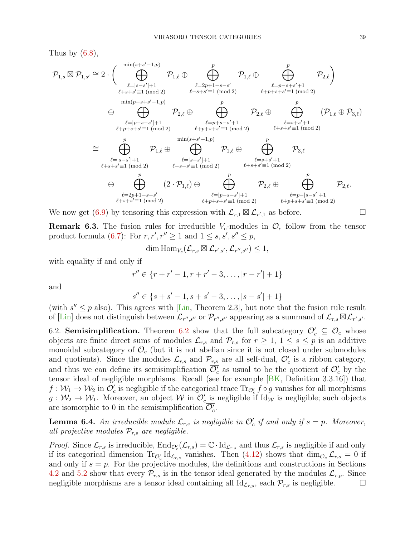Thus by  $(6.8)$ ,

$$
\begin{array}{l} \mathcal{P}_{1,s}\boxtimes\mathcal{P}_{1,s'}\cong 2\cdot\Big(\bigoplus_{\ell=|s-s'|+1}^{\min(s+s'-1,p)}\mathcal{P}_{1,\ell}\oplus\bigoplus_{\ell=p+1-s-s'}^p\mathcal{P}_{1,\ell}\oplus\bigoplus_{\ell=p-s+s'+1}^p\mathcal{P}_{2,\ell}\Big)\\ \oplus\bigoplus_{\substack{\min(p-s+s'-1,p)\\ \ell=p-s-s'|+1}}^{\min(p-s+s'-1,p)}\mathcal{P}_{2,\ell}\oplus\bigoplus_{\substack{\ell=p+s-s'+1\\ \ell+p+s+s'\equiv 1\,(\mathrm{mod}\;2)\\ \ell+p+s+s'\equiv 1\,(\mathrm{mod}\;2)\\ \ell+p+s+s'\equiv 1\,(\mathrm{mod}\;2)\end{array}\qquad\begin{array}{l} p\\ \ell=p+s-s'+1\\ \ell=s+s'+1\\ \ell+s+s'\equiv 1\,(\mathrm{mod}\;2)\\ \ell+s+s'\equiv 1\,(\mathrm{mod}\;2)\\ \ell+s+s'\equiv 1\,(\mathrm{mod}\;2)\\ \ell+s+s'\equiv 1\,(\mathrm{mod}\;2)\end{array}\qquad\begin{array}{l} p\\ \ell+s+s'\equiv 1\,(\mathrm{mod}\;2)\\ \ell+s+s'\equiv 1\,(\mathrm{mod}\;2)\\ \ell+s+s'\equiv 1\,(\mathrm{mod}\;2)\\ \ell+s+s'\equiv 1\,(\mathrm{mod}\;2)\end{array}\qquad\begin{array}{l} p\\ \ell=s+s'+1\\ \ell=s+s'+1\\ \ell=s+s'+1\\ \ell+s+s'\equiv 1\,(\mathrm{mod}\;2)\end{array}\qquad\begin{array}{l} p\\ \mathcal{P}_{2,\ell}\oplus\bigoplus_{\substack{\ell=s+s'+1\\ \ell=s+s'\equiv 1\,(\mathrm{mod}\;2)\\ \ell+p+s+s'\equiv 1\,(\mathrm{mod}\;2)\end{array}}\qquad\begin{array}{l} p\\ \mathcal{P}_{2,\ell}\oplus\bigoplus_{\substack{\ell=p-s-s'|+1\\ \ell=p-s-s'|+1\\ \ell+p+s+s'\equiv 1\,(\mathrm{mod}\;2)\end{array}}\mathcal{P}_{2,\ell}\oplus\bigoplus_{\substack{\ell=p-s-s'|+1\\ \ell+p+s+s'\equiv 1\,(\mathrm{mod}\;2)\end{array}\qquad\begin{array}{l} p\\ \mathcal{P}_{2,\ell}\oplus\bigoplus_{\substack{\ell=p-s-s'|+1\\ \ell+p+s+s'\equiv
$$

We now get [\(6.9\)](#page-36-1) by tensoring this expression with  $\mathcal{L}_{r,1} \boxtimes \mathcal{L}_{r',1}$  as before.

**Remark 6.3.** The fusion rules for irreducible  $V_c$ -modules in  $\mathcal{O}_c$  follow from the tensor product formula [\(6.7\)](#page-35-2): For  $r, r', r'' \ge 1$  and  $1 \le s, s', s'' \le p$ ,

$$
\dim \mathrm{Hom}_{V_c}(\mathcal{L}_{r,s} \boxtimes \mathcal{L}_{r',s'}, \mathcal{L}_{r'',s''}) \leq 1,
$$

with equality if and only if

s

$$
r'' \in \{r + r' - 1, r + r' - 3, \dots, |r - r'| + 1\}
$$

and

$$
s'' \in \{s + s' - 1, s + s' - 3, \dots, |s - s'| + 1\}
$$

(with  $s'' \leq p$  also). This agrees with [\[Lin,](#page-53-4) Theorem 2.3], but note that the fusion rule result of [\[Lin\]](#page-53-4) does not distinguish between  $\mathcal{L}_{r'',s''}$  or  $\mathcal{P}_{r'',s''}$  appearing as a summand of  $\mathcal{L}_{r,s} \boxtimes \mathcal{L}_{r',s'}$ .

<span id="page-38-0"></span>[6.2](#page-35-0). **Semisimplification.** Theorem 6.2 show that the full subcategory  $\mathcal{O}'_c \subseteq \mathcal{O}_c$  whose objects are finite direct sums of modules  $\mathcal{L}_{r,s}$  and  $\mathcal{P}_{r,s}$  for  $r \geq 1, 1 \leq s \leq p$  is an additive monoidal subcategory of  $\mathcal{O}_c$  (but it is not abelian since it is not closed under submodules and quotients). Since the modules  $\mathcal{L}_{r,s}$  and  $\mathcal{P}_{r,s}$  are all self-dual,  $\mathcal{O}'_c$  is a ribbon category, and thus we can define its semisimplification  $\overline{\mathcal{O}'_c}$  as usual to be the quotient of  $\mathcal{O}'_c$  by the tensor ideal of negligible morphisms. Recall (see for example [\[BK,](#page-51-19) Definition 3.3.16]) that  $f: \mathcal{W}_1 \to \mathcal{W}_2$  in  $\mathcal{O}'_c$  is negligible if the categorical trace  $\text{Tr}_{\mathcal{O}'_c} f \circ g$  vanishes for all morphisms  $g: \mathcal{W}_2 \to \mathcal{W}_1$ . Moreover, an object  $\mathcal W$  in  $\mathcal O_c'$  is negligible if Id<sub>W</sub> is negligible; such objects are isomorphic to 0 in the semisimplification  $\overline{\mathcal{O}'_c}$ .

**Lemma 6.4.** An irreducible module  $\mathcal{L}_{r,s}$  is negligible in  $\mathcal{O}'_c$  if and only if  $s = p$ . Moreover, all projective modules  $\mathcal{P}_{r,s}$  are negligible.

*Proof.* Since  $\mathcal{L}_{r,s}$  is irreducible,  $\text{End}_{\mathcal{O}_c}(\mathcal{L}_{r,s}) = \mathbb{C} \cdot \text{Id}_{\mathcal{L}_{r,s}}$  and thus  $\mathcal{L}_{r,s}$  is negligible if and only if its categorical dimension  $\text{Tr}_{\mathcal{O}_c'} \text{Id}_{\mathcal{L}_{r,s}}$  vanishes. Then [\(4.12\)](#page-25-4) shows that  $\dim_{\mathcal{O}_c} \mathcal{L}_{r,s} = 0$  if and only if  $s = p$ . For the projective modules, the definitions and constructions in Sections [4.2](#page-20-0) and [5.2](#page-30-0) show that every  $\mathcal{P}_{r,s}$  is in the tensor ideal generated by the modules  $\mathcal{L}_{r,p}$ . Since negligible morphisms are a tensor ideal containing all  $\overline{Id}_{\mathcal{L}_{r,p}}$ , each  $\overline{\mathcal{P}}_{r,s}$  is negligible.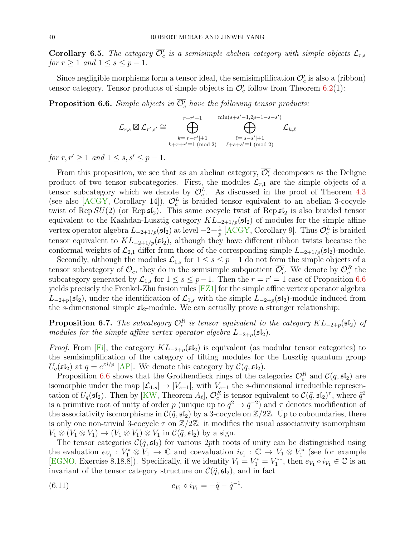**Corollary 6.5.** The category  $\overline{\mathcal{O}'_c}$  is a semisimple abelian category with simple objects  $\mathcal{L}_{r,s}$ for  $r \geq 1$  and  $1 \leq s \leq p-1$ .

Since negligible morphisms form a tensor ideal, the semisimplification  $\overline{\mathcal{O}'_c}$  is also a (ribbon) tensor category. Tensor products of simple objects in  $\overline{\mathcal{O}'_c}$  follow from Theorem [6.2\(](#page-35-0)1):

<span id="page-39-0"></span>**Proposition 6.6.** Simple objects in  $\overline{\mathcal{O}'_c}$  have the following tensor products:

$$
\mathcal{L}_{r,s}\boxtimes\mathcal{L}_{r',s'}\cong\bigoplus_{\substack{k=|r-r'|+1\\k+r+r'\equiv 1\,\,(\text{mod}\,\,2)}}^{\scriptstyle r+r'-1}\bigoplus_{\substack{\ell=|s-s'|+1\\ \ell+s+s'\equiv 1\,\,(\text{mod}\,\,2)}}^{\scriptstyle \min(s+s'-1,2p-1-s-s')}\mathcal{L}_{k,\ell}
$$

for  $r, r' > 1$  and  $1 \le s, s' \le p - 1$ .

From this proposition, we see that as an abelian category,  $\overline{\mathcal{O}'_c}$  decomposes as the Deligne product of two tensor subcategories. First, the modules  $\mathcal{L}_{r,1}$  are the simple objects of a tensor subcategory which we denote by  $\mathcal{O}_c^L$ . As discussed in the proof of Theorem [4.3](#page-20-1) (see also [\[ACGY,](#page-51-11) Corollary 14]),  $\mathcal{O}_c^L$  is braided tensor equivalent to an abelian 3-cocycle twist of Rep  $SU(2)$  (or Rep  $\mathfrak{sl}_2$ ). This same cocycle twist of Rep  $\mathfrak{sl}_2$  is also braided tensor equivalent to the Kazhdan-Lusztig category  $KL_{-2+1/p}(\mathfrak{sl}_2)$  of modules for the simple affine vertex operator algebra  $L_{-2+1/p}(\mathfrak{sl}_2)$  at level  $-2+\frac{1}{p}$  [\[ACGY,](#page-51-11) Corollary 9]. Thus  $\mathcal{O}_c^L$  is braided tensor equivalent to  $KL_{-2+1/p}(\mathfrak{sl}_2)$ , although they have different ribbon twists because the conformal weights of  $\mathcal{L}_{2,1}$  differ from those of the corresponding simple  $L_{-2+1/p}(\mathfrak{sl}_2)$ -module.

Secondly, although the modules  $\mathcal{L}_{1,s}$  for  $1 \leq s \leq p-1$  do not form the simple objects of a tensor subcategory of  $\mathcal{O}_c$ , they do in the semisimple subquotient  $\overline{\mathcal{O}'_c}$ . We denote by  $\mathcal{O}_c^R$  the subcategory generated by  $\mathcal{L}_{1,s}$  for  $1 \leq s \leq p-1$ . Then the  $r = r' = 1$  case of Proposition [6.6](#page-39-0) yields precisely the Frenkel-Zhu fusion rules [\[FZ1\]](#page-52-0) for the simple affine vertex operator algebra  $L_{-2+p}(\mathfrak{sl}_2)$ , under the identification of  $\mathcal{L}_{1,s}$  with the simple  $L_{-2+p}(\mathfrak{sl}_2)$ -module induced from the s-dimensional simple  $\mathfrak{sl}_2$ -module. We can actually prove a stronger relationship:

**Proposition 6.7.** The subcategory  $\mathcal{O}_c^R$  is tensor equivalent to the category  $KL_{-2+p}(\mathfrak{sl}_2)$  of modules for the simple affine vertex operator algebra  $L_{-2+p}(\mathfrak{sl}_2)$ .

*Proof.* From [\[Fi\]](#page-52-22), the category  $KL_{-2+p}(\mathfrak{sl}_2)$  is equivalent (as modular tensor categories) to the semisimplification of the category of tilting modules for the Lusztig quantum group  $U_q(\mathfrak{sl}_2)$  at  $q = e^{\pi i/p}$  [\[AP\]](#page-51-20). We denote this category by  $\mathcal{C}(q, \mathfrak{sl}_2)$ .

Proposition [6.6](#page-39-0) shows that the Grothendieck rings of the categories  $\mathcal{O}_c^R$  and  $\mathcal{C}(q, \mathfrak{sl}_2)$  are isomorphic under the map  $[\mathcal{L}_{1,s}] \to [V_{s-1}]$ , with  $V_{s-1}$  the s-dimensional irreducible representation of  $U_q(\mathfrak{sl}_2)$ . Then by [\[KW,](#page-53-11) Theorem  $A_\ell$ ],  $\mathcal{O}_c^R$  is tensor equivalent to  $\mathcal{C}(\tilde{q}, \mathfrak{sl}_2)^\tau$ , where  $\tilde{q}^2$ is a primitive root of unity of order p (unique up to  $\tilde{q}^2 \to \tilde{q}^{-2}$ ) and  $\tau$  denotes modification of the associativity isomorphisms in  $\mathcal{C}(\tilde{q}, \mathfrak{sl}_2)$  by a 3-cocycle on  $\mathbb{Z}/2\mathbb{Z}$ . Up to coboundaries, there is only one non-trivial 3-cocycle  $\tau$  on  $\mathbb{Z}/2\mathbb{Z}$ : it modifies the usual associativity isomorphism  $V_1 \otimes (V_1 \otimes V_1) \rightarrow (V_1 \otimes V_1) \otimes V_1$  in  $\mathcal{C}(\tilde{q}, \mathfrak{sl}_2)$  by a sign.

The tensor categories  $\mathcal{C}(\tilde{q}, \mathfrak{sl}_2)$  for various 2pth roots of unity can be distinguished using the evaluation  $e_{V_1}: V_1^* \otimes V_1 \to \mathbb{C}$  and coevaluation  $i_{V_1}: \mathbb{C} \to V_1 \otimes V_1^*$  (see for example [\[EGNO,](#page-52-21) Exercise 8.18.8]). Specifically, if we identify  $V_1 = V_1^* = V_1^{**}$ , then  $e_{V_1} \circ i_{V_1} \in \mathbb{C}$  is an invariant of the tensor category structure on  $\mathcal{C}(\tilde{q}, \mathfrak{sl}_2)$ , and in fact

<span id="page-39-1"></span>(6.11) 
$$
e_{V_1} \circ i_{V_1} = -\tilde{q} - \tilde{q}^{-1}.
$$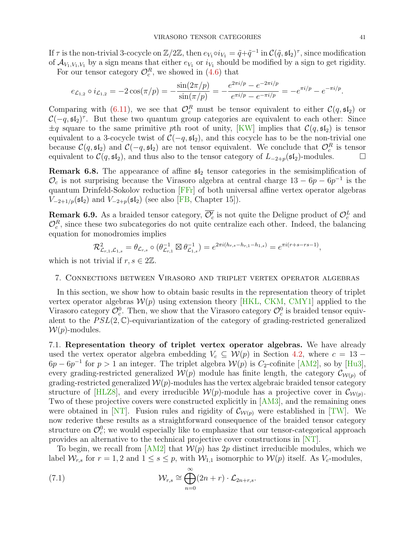If  $\tau$  is the non-trivial 3-cocycle on  $\mathbb{Z}/2\mathbb{Z}$ , then  $e_{V_1} \circ i_{V_1} = \tilde{q} + \tilde{q}^{-1}$  in  $\mathcal{C}(\tilde{q}, \mathfrak{sl}_2)^\tau$ , since modification of  $\mathcal{A}_{V_1,V_1,V_1}$  by a sign means that either  $e_{V_1}$  or  $i_{V_1}$  should be modified by a sign to get rigidity.

For our tensor category  $\mathcal{O}_c^R$ , we showed in [\(4.6\)](#page-20-3) that

$$
e_{\mathcal{L}_{1,2}} \circ i_{\mathcal{L}_{1,2}} = -2\cos(\pi/p) = -\frac{\sin(2\pi/p)}{\sin(\pi/p)} = -\frac{e^{2\pi i/p} - e^{-2\pi i/p}}{e^{\pi i/p} - e^{-\pi i/p}} = -e^{\pi i/p} - e^{-\pi i/p}.
$$

Comparing with [\(6.11\)](#page-39-1), we see that  $\mathcal{O}_c^R$  must be tensor equivalent to either  $\mathcal{C}(q, \mathfrak{sl}_2)$  or  $C(-q, \mathfrak{sl}_2)$ <sup>T</sup>. But these two quantum group categories are equivalent to each other: Since  $\pm q$  square to the same primitive pth root of unity, [\[KW\]](#page-53-11) implies that  $\mathcal{C}(q, \mathfrak{s}l_2)$  is tensor equivalent to a 3-cocycle twist of  $\mathcal{C}(-q, \mathfrak{sl}_2)$ , and this cocycle has to be the non-trivial one because  $\mathcal{C}(q,\mathfrak{sl}_2)$  and  $\mathcal{C}(-q,\mathfrak{sl}_2)$  are not tensor equivalent. We conclude that  $\mathcal{O}_c^R$  is tensor equivalent to  $\mathcal{C}(q, \mathfrak{sl}_2)$ , and thus also to the tensor category of  $L_{-2+p}(\mathfrak{sl}_2)$ -modules.  $\Box$ 

**Remark 6.8.** The appearance of affine  $sI_2$  tensor categories in the semisimplification of  $\mathcal{O}_c$  is not surprising because the Virasoro algebra at central charge  $13 - 6p - 6p^{-1}$  is the quantum Drinfeld-Sokolov reduction [\[FFr\]](#page-52-14) of both universal affine vertex operator algebras  $V_{-2+1/p}(\mathfrak{sl}_2)$  and  $V_{-2+p}(\mathfrak{sl}_2)$  (see also [\[FB,](#page-52-15) Chapter 15]).

**Remark 6.9.** As a braided tensor category,  $\overline{\mathcal{O}'_c}$  is not quite the Deligne product of  $\mathcal{O}_c^L$  and  $\mathcal{O}_c^R$ , since these two subcategories do not quite centralize each other. Indeed, the balancing equation for monodromies implies

$$
\mathcal{R}^2_{\mathcal{L}_{r,1},\mathcal{L}_{1,s}} = \theta_{\mathcal{L}_{r,s}} \circ (\theta_{\mathcal{L}_{r,1}}^{-1} \boxtimes \theta_{\mathcal{L}_{1,s}}^{-1}) = e^{2\pi i (h_{r,s} - h_{r,1} - h_{1,s})} = e^{\pi i (r+s-rs-1)},
$$

which is not trivial if  $r, s \in 2\mathbb{Z}$ .

### <span id="page-40-0"></span>7. Connections between Virasoro and triplet vertex operator algebras

In this section, we show how to obtain basic results in the representation theory of triplet vertex operator algebras  $W(p)$  using extension theory [\[HKL,](#page-52-17) [CKM,](#page-51-15) [CMY1\]](#page-51-16) applied to the Virasoro category  $\mathcal{O}_c^0$ . Then, we show that the Virasoro category  $\mathcal{O}_c^0$  is braided tensor equivalent to the  $PSL(2,\mathbb{C})$ -equivariantization of the category of grading-restricted generalized  $W(p)$ -modules.

<span id="page-40-1"></span>7.1. Representation theory of triplet vertex operator algebras. We have already used the vertex operator algebra embedding  $V_c \subseteq \mathcal{W}(p)$  in Section [4.2,](#page-20-0) where  $c = 13 6p - 6p^{-1}$  for  $p > 1$  an integer. The triplet algebra  $\mathcal{W}(p)$  is  $C_2$ -cofinite [\[AM2\]](#page-51-7), so by [\[Hu3\]](#page-52-23), every grading-restricted generalized  $W(p)$  module has finite length, the category  $\mathcal{C}_{W(p)}$  of grading-restricted generalized  $W(p)$ -modules has the vertex algebraic braided tensor category structure of [\[HLZ8\]](#page-53-1), and every irreducible  $W(p)$ -module has a projective cover in  $\mathcal{C}_{W(p)}$ . Two of these projective covers were constructed explicitly in [\[AM3\]](#page-51-8), and the remaining ones were obtained in [\[NT\]](#page-54-3). Fusion rules and rigidity of  $\mathcal{C}_{W(p)}$  were established in [\[TW\]](#page-54-4). We now rederive these results as a straightforward consequence of the braided tensor category structure on  $\mathcal{O}_c^0$ ; we would especially like to emphasize that our tensor-categorical approach provides an alternative to the technical projective cover constructions in [\[NT\]](#page-54-3).

To begin, we recall from  $|AM2|$  that  $W(p)$  has 2p distinct irreducible modules, which we label  $W_{r,s}$  for  $r = 1, 2$  and  $1 \leq s \leq p$ , with  $W_{1,1}$  isomorphic to  $W(p)$  itself. As  $V_c$ -modules,

<span id="page-40-2"></span> $\infty$ 

(7.1) 
$$
\mathcal{W}_{r,s} \cong \bigoplus_{n=0} (2n+r) \cdot \mathcal{L}_{2n+r,s}.
$$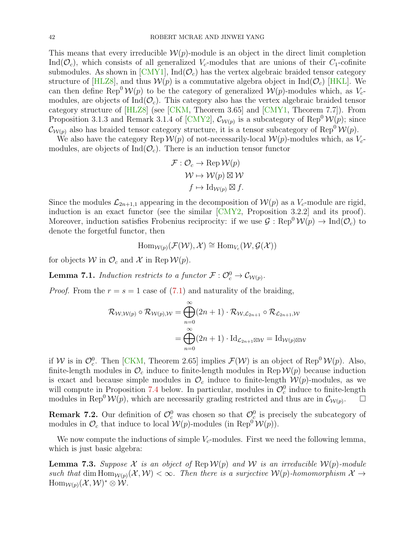This means that every irreducible  $W(p)$ -module is an object in the direct limit completion Ind( $\mathcal{O}_c$ ), which consists of all generalized  $V_c$ -modules that are unions of their  $C_1$ -cofinite submodules. As shown in  $[CMY1]$ ,  $Ind(\mathcal{O}_c)$  has the vertex algebraic braided tensor category structure of  $[\text{HLZ8}]$ , and thus  $\mathcal{W}(p)$  is a commutative algebra object in Ind $(\mathcal{O}_c)$  [\[HKL\]](#page-52-17). We can then define Rep<sup>0</sup>  $W(p)$  to be the category of generalized  $W(p)$ -modules which, as  $V_c$ modules, are objects of  $Ind(\mathcal{O}_c)$ . This category also has the vertex algebraic braided tensor category structure of [\[HLZ8\]](#page-53-1) (see [\[CKM,](#page-51-15) Theorem 3.65] and [\[CMY1,](#page-51-16) Theorem 7.7]). From Proposition 3.1.3 and Remark 3.1.4 of [\[CMY2\]](#page-51-3),  $\mathcal{C}_{W(p)}$  is a subcategory of Rep<sup>0</sup>  $\mathcal{W}(p)$ ; since  $\mathcal{C}_{\mathcal{W}(p)}$  also has braided tensor category structure, it is a tensor subcategory of Rep<sup>0</sup>  $\mathcal{W}(p)$ .

We also have the category Rep  $\mathcal{W}(p)$  of not-necessarily-local  $\mathcal{W}(p)$ -modules which, as  $V_c$ modules, are objects of  $\text{Ind}(\mathcal{O}_c)$ . There is an induction tensor functor

$$
\mathcal{F}: \mathcal{O}_c \to \text{Rep}\,\mathcal{W}(p)
$$

$$
\mathcal{W} \mapsto \mathcal{W}(p) \boxtimes \mathcal{W}
$$

$$
f \mapsto \text{Id}_{\mathcal{W}(p)} \boxtimes f.
$$

Since the modules  $\mathcal{L}_{2n+1,1}$  appearing in the decomposition of  $\mathcal{W}(p)$  as a  $V_c$ -module are rigid, induction is an exact functor (see the similar [\[CMY2,](#page-51-3) Proposition 3.2.2] and its proof). Moreover, induction satisfies Frobenius reciprocity: if we use  $\mathcal{G}: \text{Rep}^0 \mathcal{W}(p) \to \text{Ind}(\mathcal{O}_c)$  to denote the forgetful functor, then

$$
\operatorname{Hom}_{\mathcal{W}(p)}(\mathcal{F}(\mathcal{W}),\mathcal{X})\cong \operatorname{Hom}_{V_c}(\mathcal{W},\mathcal{G}(\mathcal{X}))
$$

for objects W in  $\mathcal{O}_c$  and X in Rep  $\mathcal{W}(p)$ .

<span id="page-41-0"></span>**Lemma 7.1.** Induction restricts to a functor  $\mathcal{F}: \mathcal{O}_c^0 \to \mathcal{C}_{\mathcal{W}(p)}$ .

*Proof.* From the  $r = s = 1$  case of [\(7.1\)](#page-40-2) and naturality of the braiding,

$$
\mathcal{R}_{\mathcal{W},\mathcal{W}(p)} \circ \mathcal{R}_{\mathcal{W}(p),\mathcal{W}} = \bigoplus_{n=0}^{\infty} (2n+1) \cdot \mathcal{R}_{\mathcal{W},\mathcal{L}_{2n+1}} \circ \mathcal{R}_{\mathcal{L}_{2n+1},\mathcal{W}}
$$

$$
= \bigoplus_{n=0}^{\infty} (2n+1) \cdot \mathrm{Id}_{\mathcal{L}_{2n+1} \boxtimes \mathcal{W}} = \mathrm{Id}_{\mathcal{W}(p) \boxtimes \mathcal{W}}
$$

if W is in  $\mathcal{O}_c^0$ . Then [\[CKM,](#page-51-15) Theorem 2.65] implies  $\mathcal{F}(\mathcal{W})$  is an object of Rep<sup>0</sup>  $\mathcal{W}(p)$ . Also, finite-length modules in  $\mathcal{O}_c$  induce to finite-length modules in Rep  $\mathcal{W}(p)$  because induction is exact and because simple modules in  $\mathcal{O}_c$  induce to finite-length  $\mathcal{W}(p)$ -modules, as we will compute in Proposition [7.4](#page-42-0) below. In particular, modules in  $\mathcal{O}_c^0$  induce to finite-length modules in Rep<sup>0</sup>  $\mathcal{W}(p)$ , which are necessarily grading restricted and thus are in  $\mathcal{C}_{\mathcal{W}(p)}$ .  $\Box$ 

**Remark 7.2.** Our definition of  $\mathcal{O}_c^0$  was chosen so that  $\mathcal{O}_c^0$  is precisely the subcategory of modules in  $\mathcal{O}_c$  that induce to local  $\mathcal{W}(p)$ -modules (in Rep<sup>0</sup> $\mathcal{W}(p)$ ).

We now compute the inductions of simple  $V_c$ -modules. First we need the following lemma, which is just basic algebra:

**Lemma 7.3.** Suppose X is an object of Rep  $W(p)$  and W is an irreducible  $W(p)$ -module such that dim Hom $_{W(p)}(\mathcal{X}, \mathcal{W}) < \infty$ . Then there is a surjective  $\mathcal{W}(p)$ -homomorphism  $\mathcal{X} \to$  $\mathrm{Hom}_{\mathcal{W}(p)}(\mathcal{X},\mathcal{W})^*\otimes \mathcal{W}.$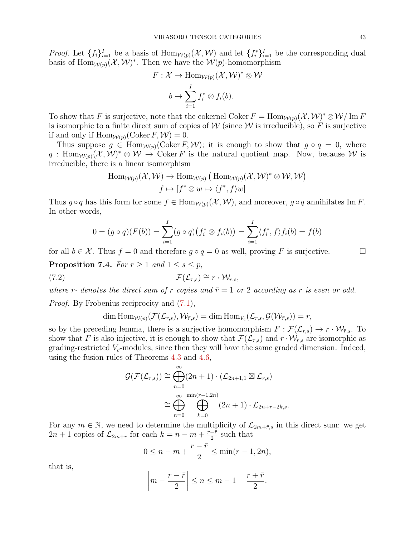*Proof.* Let  $\{f_i\}_{i=1}^I$  be a basis of  $\text{Hom}_{\mathcal{W}(p)}(\mathcal{X}, \mathcal{W})$  and let  $\{f_i^*\}_{i=1}^I$  be the corresponding dual basis of  $\text{Hom}_{\mathcal{W}(p)}(\mathcal{X}, \mathcal{W})^*$ . Then we have the  $\mathcal{W}(p)$ -homomorphism

$$
F: \mathcal{X} \to \text{Hom}_{\mathcal{W}(p)}(\mathcal{X}, \mathcal{W})^* \otimes \mathcal{W}
$$

$$
b \mapsto \sum_{i=1}^I f_i^* \otimes f_i(b).
$$

To show that F is surjective, note that the cokernel Coker  $F = \text{Hom}_{W(p)}(\mathcal{X}, \mathcal{W})^* \otimes \mathcal{W}/\text{Im } F$ is isomorphic to a finite direct sum of copies of  $W$  (since  $W$  is irreducible), so F is surjective if and only if  $\text{Hom}_{\mathcal{W}(p)}(\text{Coker } F, \mathcal{W}) = 0.$ 

Thus suppose  $g \in \text{Hom}_{\mathcal{W}(p)}(\text{Coker } F, \mathcal{W})$ ; it is enough to show that  $g \circ q = 0$ , where  $q: \text{Hom}_{\mathcal{W}(p)}(\mathcal{X}, \mathcal{W})^* \otimes \mathcal{W} \to \text{Coker } F$  is the natural quotient map. Now, because W is irreducible, there is a linear isomorphism

$$
\text{Hom}_{\mathcal{W}(p)}(\mathcal{X},\mathcal{W}) \to \text{Hom}_{\mathcal{W}(p)}\left(\text{Hom}_{\mathcal{W}(p)}(\mathcal{X},\mathcal{W})^* \otimes \mathcal{W},\mathcal{W}\right) f \mapsto [f^* \otimes w \mapsto \langle f^*, f \rangle w]
$$

Thus  $g \circ q$  has this form for some  $f \in \text{Hom}_{W(p)}(\mathcal{X}, \mathcal{W})$ , and moreover,  $g \circ q$  annihilates Im F. In other words,

$$
0 = (g \circ q)(F(b)) = \sum_{i=1}^{I} (g \circ q)(f_i^* \otimes f_i(b)) = \sum_{i=1}^{I} \langle f_i^*, f \rangle f_i(b) = f(b)
$$

for all  $b \in \mathcal{X}$ . Thus  $f = 0$  and therefore  $q \circ q = 0$  as well, proving F is surjective.

<span id="page-42-0"></span>**Proposition 7.4.** For  $r \geq 1$  and  $1 \leq s \leq p$ ,

(7.2) 
$$
\mathcal{F}(\mathcal{L}_{r,s}) \cong r \cdot \mathcal{W}_{\bar{r},s},
$$

where r· denotes the direct sum of r copies and  $\bar{r}=1$  or 2 according as r is even or odd.

*Proof.* By Frobenius reciprocity and  $(7.1)$ ,

<span id="page-42-1"></span>
$$
\dim \mathrm{Hom}_{\mathcal{W}(p)}(\mathcal{F}(\mathcal{L}_{r,s}),\mathcal{W}_{\bar{r},s}) = \dim \mathrm{Hom}_{V_c}(\mathcal{L}_{r,s},\mathcal{G}(\mathcal{W}_{\bar{r},s})) = r,
$$

so by the preceding lemma, there is a surjective homomorphism  $F : \mathcal{F}(\mathcal{L}_{r,s}) \to r \cdot \mathcal{W}_{\bar{r},s}$ . To show that F is also injective, it is enough to show that  $\mathcal{F}(\mathcal{L}_{r,s})$  and  $r \cdot \mathcal{W}_{\bar{r},s}$  are isomorphic as grading-restricted  $V_c$ -modules, since then they will have the same graded dimension. Indeed, using the fusion rules of Theorems [4.3](#page-20-1) and [4.6,](#page-22-1)

$$
\mathcal{G}(\mathcal{F}(\mathcal{L}_{r,s})) \cong \bigoplus_{n=0}^{\infty} (2n+1) \cdot (\mathcal{L}_{2n+1,1} \boxtimes \mathcal{L}_{r,s})
$$

$$
\cong \bigoplus_{n=0}^{\infty} \bigoplus_{k=0}^{\min(r-1,2n)} (2n+1) \cdot \mathcal{L}_{2n+r-2k,s}.
$$

For any  $m \in \mathbb{N}$ , we need to determine the multiplicity of  $\mathcal{L}_{2m+\bar{r},s}$  in this direct sum: we get  $2n+1$  copies of  $\mathcal{L}_{2m+\bar{r}}$  for each  $k=n-m+\frac{r-\bar{r}}{2}$  $\frac{-\bar{r}}{2}$  such that

$$
0 \le n - m + \frac{r - \bar{r}}{2} \le \min(r - 1, 2n),
$$

that is,

$$
\left| m - \frac{r - \bar{r}}{2} \right| \le n \le m - 1 + \frac{r + \bar{r}}{2}.
$$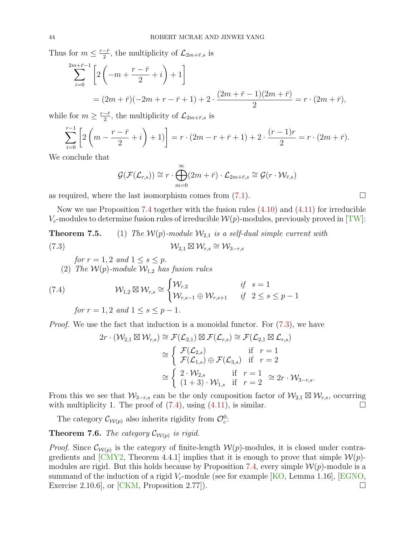Thus for  $m \leq \frac{r-\bar{r}}{2}$  $\frac{-\bar{r}}{2}$ , the multiplicity of  $\mathcal{L}_{2m+\bar{r},s}$  is

$$
\sum_{i=0}^{2m+\bar{r}-1} \left[ 2\left( -m+\frac{r-\bar{r}}{2}+i \right) + 1 \right]
$$
  
=  $(2m+\bar{r})(-2m+r-\bar{r}+1) + 2 \cdot \frac{(2m+\bar{r}-1)(2m+\bar{r})}{2} = r \cdot (2m+\bar{r}),$ 

while for  $m \geq \frac{r-\bar{r}}{2}$  $\frac{-\bar{r}}{2}$ , the multiplicity of  $\mathcal{L}_{2m+\bar{r},s}$  is

$$
\sum_{i=0}^{r-1} \left[ 2\left(m - \frac{r - \bar{r}}{2} + i\right) + 1) \right] = r \cdot (2m - r + \bar{r} + 1) + 2 \cdot \frac{(r-1)r}{2} = r \cdot (2m + \bar{r}).
$$

We conclude that

<span id="page-43-0"></span>
$$
\mathcal{G}(\mathcal{F}(\mathcal{L}_{r,s})) \cong r \cdot \bigoplus_{m=0}^{\infty} (2m+\bar{r}) \cdot \mathcal{L}_{2m+\bar{r},s} \cong \mathcal{G}(r \cdot \mathcal{W}_{\bar{r},s})
$$

as required, where the last isomorphism comes from  $(7.1)$ .

Now we use Proposition [7.4](#page-42-0) together with the fusion rules [\(4.10\)](#page-25-3) and [\(4.11\)](#page-25-2) for irreducible  $V_c$ -modules to determine fusion rules of irreducible  $W(p)$ -modules, previously proved in [\[TW\]](#page-54-4):

**Theorem 7.5.** (1) The  $W(p)$ -module  $W_{2,1}$  is a self-dual simple current with (7.3)  $\mathcal{W}_{2,1} \boxtimes \mathcal{W}_{r,s} \cong \mathcal{W}_{3-r,s}$ 

for  $r = 1, 2$  and  $1 \leq s \leq p$ . (2) The  $\mathcal{W}(p)$ -module  $\mathcal{W}_{1,2}$  has fusion rules

(7.4) 
$$
\mathcal{W}_{1,2} \boxtimes \mathcal{W}_{r,s} \cong \begin{cases} \mathcal{W}_{r,2} & \text{if } s = 1 \\ \mathcal{W}_{r,s-1} \oplus \mathcal{W}_{r,s+1} & \text{if } 2 \leq s \leq p-1 \end{cases}
$$

<span id="page-43-1"></span>for  $r = 1, 2$  and  $1 \le s \le p - 1$ .

Proof. We use the fact that induction is a monoidal functor. For [\(7.3\)](#page-43-0), we have

$$
2r \cdot (\mathcal{W}_{2,1} \boxtimes \mathcal{W}_{r,s}) \cong \mathcal{F}(\mathcal{L}_{2,1}) \boxtimes \mathcal{F}(\mathcal{L}_{r,s}) \cong \mathcal{F}(\mathcal{L}_{2,1} \boxtimes \mathcal{L}_{r,s})
$$
  
\n
$$
\cong \begin{cases} \mathcal{F}(\mathcal{L}_{2,s}) & \text{if } r = 1 \\ \mathcal{F}(\mathcal{L}_{1,s}) \oplus \mathcal{F}(\mathcal{L}_{3,s}) & \text{if } r = 2 \end{cases}
$$
  
\n
$$
\cong \begin{cases} 2 \cdot \mathcal{W}_{2,s} & \text{if } r = 1 \\ (1+3) \cdot \mathcal{W}_{1,s} & \text{if } r = 2 \end{cases} \cong 2r \cdot \mathcal{W}_{3-r,s}.
$$

From this we see that  $\mathcal{W}_{3-r,s}$  can be the only composition factor of  $\mathcal{W}_{2,1} \boxtimes \mathcal{W}_{r,s}$ , occurring with multiplicity 1. The proof of  $(7.4)$ , using  $(4.11)$ , is similar.

The category  $\mathcal{C}_{\mathcal{W}(p)}$  also inherits rigidity from  $\mathcal{O}_c^0$ :

**Theorem 7.6.** The category  $\mathcal{C}_{\mathcal{W}(p)}$  is rigid.

*Proof.* Since  $\mathcal{C}_{\mathcal{W}(p)}$  is the category of finite-length  $\mathcal{W}(p)$ -modules, it is closed under contra-gredients and [\[CMY2,](#page-51-3) Theorem 4.4.1] implies that it is enough to prove that simple  $\mathcal{W}(p)$ -modules are rigid. But this holds because by Proposition [7.4,](#page-42-0) every simple  $\mathcal{W}(p)$ -module is a summand of the induction of a rigid  $V_c$ -module (see for example [\[KO,](#page-53-17) Lemma 1.16], [\[EGNO,](#page-52-21) Exercise 2.10.6, or  $\lfloor CKM, \text{ Proposition 2.77} \rfloor$ .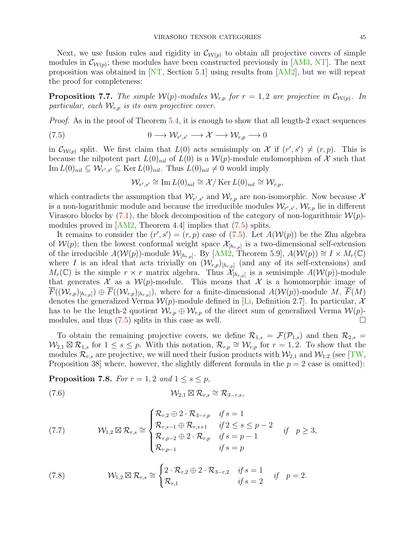Next, we use fusion rules and rigidity in  $\mathcal{C}_{W(p)}$  to obtain all projective covers of simple modules in  $\mathcal{C}_{\mathcal{W}(p)}$ ; these modules have been constructed previously in [\[AM3,](#page-51-8) [NT\]](#page-54-3). The next proposition was obtained in [\[NT,](#page-54-3) Section 5.1] using results from [\[AM2\]](#page-51-7), but we will repeat the proof for completeness:

<span id="page-44-4"></span>**Proposition 7.7.** The simple  $W(p)$ -modules  $W_{r,p}$  for  $r = 1, 2$  are projective in  $\mathcal{C}_{W(p)}$ . In particular, each  $\mathcal{W}_{r,p}$  is its own projective cover.

Proof. As in the proof of Theorem [5.4,](#page-27-0) it is enough to show that all length-2 exact sequences

$$
(7.5) \t\t 0 \longrightarrow \mathcal{W}_{r',s'} \longrightarrow \mathcal{X} \longrightarrow \mathcal{W}_{r,p} \longrightarrow 0
$$

in  $\mathcal{C}_{\mathcal{W}(p)}$  split. We first claim that  $L(0)$  acts semisimply on X if  $(r', s') \neq (r, p)$ . This is because the nilpotent part  $L(0)_{nil}$  of  $L(0)$  is a  $W(p)$ -module endomorphism of X such that  $\text{Im } L(0)_{nil} \subseteq \mathcal{W}_{r',s'} \subseteq \text{Ker } L(0)_{nil}$ . Thus  $L(0)_{nil} \neq 0$  would imply

<span id="page-44-0"></span>
$$
\mathcal{W}_{r',s'} \cong \text{Im } L(0)_{nil} \cong \mathcal{X}/\text{Ker } L(0)_{nil} \cong \mathcal{W}_{r,p},
$$

which contradicts the assumption that  $\mathcal{W}_{r',s'}$  and  $\mathcal{W}_{r,p}$  are non-isomorphic. Now because X is a non-logarithmic module and because the irreducible modules  $\mathcal{W}_{r',s'}$ ,  $\mathcal{W}_{r,p}$  lie in different Virasoro blocks by  $(7.1)$ , the block decomposition of the category of non-logarithmic  $W(p)$ modules proved in  $[AM2, Theorem 4.4]$  implies that  $(7.5)$  splits.

It remains to consider the  $(r', s') = (r, p)$  case of  $(7.5)$ . Let  $A(\mathcal{W}(p))$  be the Zhu algebra of  $W(p)$ ; then the lowest conformal weight space  $\mathcal{X}_{[h_{r,p}]}$  is a two-dimensional self-extension of the irreducible  $A(\mathcal{W}(p))$ -module  $\mathcal{W}_{[h_r,p]}$ . By [\[AM2,](#page-51-7) Theorem 5.9],  $A(\mathcal{W}(p)) \cong I \times M_r(\mathbb{C})$ where I is an ideal that acts trivially on  $(\mathcal{W}_{r,p})_{[h_{r,p}]}$  (and any of its self-extensions) and  $M_r(\mathbb{C})$  is the simple  $r \times r$  matrix algebra. Thus  $\mathcal{X}_{[h_{r,p}]}$  is a semisimple  $A(\mathcal{W}(p))$ -module that generates X as a  $W(p)$ -module. This means that X is a homomorphic image of  $\overline{F}((\mathcal{W}_{r,p})_{[h_r,p]}) \oplus \overline{F}((\mathcal{W}_{r,p})_{[h_r,p]}),$  where for a finite-dimensional  $A(\mathcal{W}(p))$ -module M,  $\overline{F}(M)$ denotes the generalized Verma  $W(p)$ -module defined in [\[Li,](#page-53-8) Definition 2.7]. In particular, X has to be the length-2 quotient  $\mathcal{W}_{r,p} \oplus \mathcal{W}_{r,p}$  of the direct sum of generalized Verma  $\mathcal{W}(p)$ modules, and thus  $(7.5)$  splits in this case as well.

To obtain the remaining projective covers, we define  $\mathcal{R}_{1,s} = \mathcal{F}(\mathcal{P}_{1,s})$  and then  $\mathcal{R}_{2,s} =$  $\mathcal{W}_{2,1} \boxtimes \mathcal{R}_{1,s}$  for  $1 \leq s \leq p$ . With this notation,  $\mathcal{R}_{r,p} \cong \mathcal{W}_{r,p}$  for  $r = 1,2$ . To show that the modules  $\mathcal{R}_{r,s}$  are projective, we will need their fusion products with  $\mathcal{W}_{2,1}$  and  $\mathcal{W}_{1,2}$  (see [\[TW,](#page-54-4) Proposition 38] where, however, the slightly different formula in the  $p = 2$  case is omitted):

**Proposition 7.8.** For  $r = 1, 2$  and  $1 \leq s \leq p$ ,

<span id="page-44-1"></span>(7.6) 
$$
\mathcal{W}_{2,1} \boxtimes \mathcal{R}_{r,s} \cong \mathcal{R}_{3-r,s},
$$

<span id="page-44-2"></span>(7.7) 
$$
\mathcal{W}_{1,2} \boxtimes \mathcal{R}_{r,s} \cong \begin{cases} \mathcal{R}_{r,2} \oplus 2 \cdot \mathcal{R}_{3-r,p} & \text{if } s = 1 \\ \mathcal{R}_{r,s-1} \oplus \mathcal{R}_{r,s+1} & \text{if } 2 \leq s \leq p-2 \\ \mathcal{R}_{r,p-2} \oplus 2 \cdot \mathcal{R}_{r,p} & \text{if } s = p-1 \end{cases} \text{if } p \geq 3,
$$

<span id="page-44-3"></span>(7.8) 
$$
\mathcal{W}_{1,2} \boxtimes \mathcal{R}_{r,s} \cong \begin{cases} 2 \cdot \mathcal{R}_{r,2} \oplus 2 \cdot \mathcal{R}_{3-r,2} & \text{if } s = 1 \\ \mathcal{R}_{r,1} & \text{if } s = 2 \end{cases} \text{ if } p = 2.
$$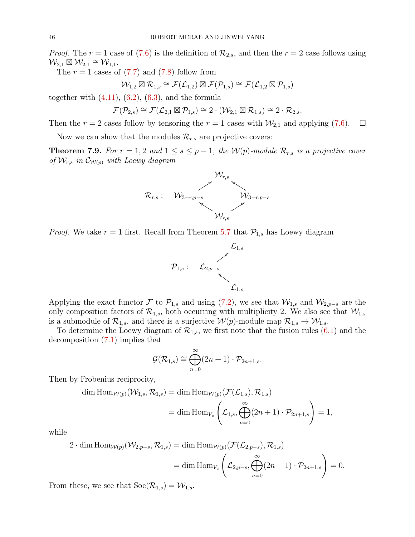*Proof.* The  $r = 1$  case of [\(7.6\)](#page-44-1) is the definition of  $\mathcal{R}_{2,s}$ , and then the  $r = 2$  case follows using  $\mathcal{W}_{2,1} \overset{\circ}{\boxtimes} \mathcal{W}_{2,1} \cong \mathcal{W}_{1,1}.$ 

The  $r = 1$  cases of  $(7.7)$  and  $(7.8)$  follow from

$$
\mathcal{W}_{1,2}\boxtimes \mathcal{R}_{1,s}\cong \mathcal{F}(\mathcal{L}_{1,2})\boxtimes \mathcal{F}(\mathcal{P}_{1,s})\cong \mathcal{F}(\mathcal{L}_{1,2}\boxtimes \mathcal{P}_{1,s})
$$

together with  $(4.11)$ ,  $(6.2)$ ,  $(6.3)$ , and the formula

$$
\mathcal{F}(\mathcal{P}_{2,s}) \cong \mathcal{F}(\mathcal{L}_{2,1} \boxtimes \mathcal{P}_{1,s}) \cong 2 \cdot (\mathcal{W}_{2,1} \boxtimes \mathcal{R}_{1,s}) \cong 2 \cdot \mathcal{R}_{2,s}.
$$

Then the  $r = 2$  cases follow by tensoring the  $r = 1$  cases with  $\mathcal{W}_{2,1}$  and applying [\(7.6\)](#page-44-1).  $\Box$ 

Now we can show that the modules  $\mathcal{R}_{r,s}$  are projective covers:

**Theorem 7.9.** For  $r = 1, 2$  and  $1 \leq s \leq p-1$ , the  $W(p)$ -module  $\mathcal{R}_{r,s}$  is a projective cover of  $\mathcal{W}_{r,s}$  in  $\mathcal{C}_{\mathcal{W}(p)}$  with Loewy diagram



*Proof.* We take  $r = 1$  first. Recall from Theorem [5.7](#page-32-0) that  $\mathcal{P}_{1,s}$  has Loewy diagram



Applying the exact functor F to  $\mathcal{P}_{1,s}$  and using [\(7.2\)](#page-42-1), we see that  $\mathcal{W}_{1,s}$  and  $\mathcal{W}_{2,p-s}$  are the only composition factors of  $\mathcal{R}_{1,s}$ , both occurring with multiplicity 2. We also see that  $\mathcal{W}_{1,s}$ is a submodule of  $\mathcal{R}_{1,s}$ , and there is a surjective  $\mathcal{W}(p)$ -module map  $\mathcal{R}_{1,s} \to \mathcal{W}_{1,s}$ .

To determine the Loewy diagram of  $\mathcal{R}_{1,s}$ , we first note that the fusion rules  $(6.1)$  and the decomposition [\(7.1\)](#page-40-2) implies that

$$
\mathcal{G}(\mathcal{R}_{1,s}) \cong \bigoplus_{n=0}^{\infty} (2n+1) \cdot \mathcal{P}_{2n+1,s}.
$$

Then by Frobenius reciprocity,

dim Hom<sub>W(p)</sub>(
$$
W_{1,s}
$$
,  $\mathcal{R}_{1,s}$ ) = dim Hom<sub>W(p)</sub>( $\mathcal{F}(\mathcal{L}_{1,s})$ ,  $\mathcal{R}_{1,s}$ )  
= dim Hom<sub>V<sub>c</sub></sub> $\left(\mathcal{L}_{1,s}, \bigoplus_{n=0}^{\infty} (2n+1) \cdot \mathcal{P}_{2n+1,s}\right) = 1,$ 

while

$$
2 \cdot \dim \text{Hom}_{\mathcal{W}(p)}(\mathcal{W}_{2,p-s}, \mathcal{R}_{1,s}) = \dim \text{Hom}_{\mathcal{W}(p)}(\mathcal{F}(\mathcal{L}_{2,p-s}), \mathcal{R}_{1,s})
$$
  
= 
$$
\dim \text{Hom}_{V_c}\left(\mathcal{L}_{2,p-s}, \bigoplus_{n=0}^{\infty} (2n+1) \cdot \mathcal{P}_{2n+1,s}\right) = 0.
$$

From these, we see that  $\text{Soc}(\mathcal{R}_{1,s}) = \mathcal{W}_{1,s}$ .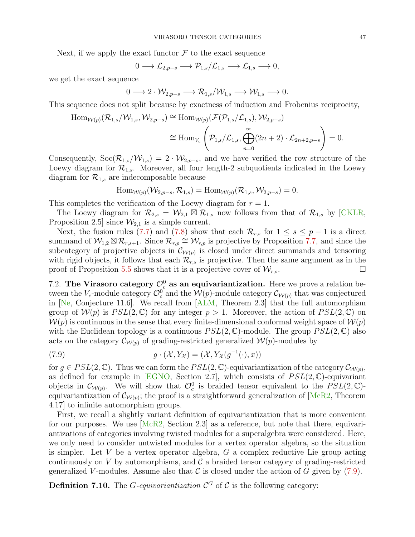Next, if we apply the exact functor  $\mathcal F$  to the exact sequence

$$
0 \longrightarrow \mathcal{L}_{2,p-s} \longrightarrow \mathcal{P}_{1,s} / \mathcal{L}_{1,s} \longrightarrow \mathcal{L}_{1,s} \longrightarrow 0,
$$

we get the exact sequence

$$
0 \longrightarrow 2 \cdot \mathcal{W}_{2,p-s} \longrightarrow \mathcal{R}_{1,s} / \mathcal{W}_{1,s} \longrightarrow \mathcal{W}_{1,s} \longrightarrow 0.
$$

This sequence does not split because by exactness of induction and Frobenius reciprocity,

$$
\text{Hom}_{\mathcal{W}(p)}(\mathcal{R}_{1,s}/\mathcal{W}_{1,s},\mathcal{W}_{2,p-s}) \cong \text{Hom}_{\mathcal{W}(p)}(\mathcal{F}(\mathcal{P}_{1,s}/\mathcal{L}_{1,s}),\mathcal{W}_{2,p-s})
$$

$$
\cong \text{Hom}_{V_c}\left(\mathcal{P}_{1,s}/\mathcal{L}_{1,s},\bigoplus_{n=0}^{\infty}(2n+2)\cdot \mathcal{L}_{2n+2,p-s}\right) = 0.
$$

Consequently,  $\text{Soc}(\mathcal{R}_{1,s}/\mathcal{W}_{1,s}) = 2 \cdot \mathcal{W}_{2,p-s}$ , and we have verified the row structure of the Loewy diagram for  $\mathcal{R}_{1,s}$ . Moreover, all four length-2 subquotients indicated in the Loewy diagram for  $\mathcal{R}_{1,s}$  are indecomposable because

$$
\operatorname{Hom}_{\mathcal{W}(p)}(\mathcal{W}_{2,p-s},\mathcal{R}_{1,s})=\operatorname{Hom}_{\mathcal{W}(p)}(\mathcal{R}_{1,s},\mathcal{W}_{2,p-s})=0.
$$

This completes the verification of the Loewy diagram for  $r = 1$ .

The Loewy diagram for  $\mathcal{R}_{2,s} = \mathcal{W}_{2,1} \boxtimes \mathcal{R}_{1,s}$  now follows from that of  $\mathcal{R}_{1,s}$  by [\[CKLR,](#page-51-21) Proposition 2.5 since  $\mathcal{W}_{2,1}$  is a simple current.

Next, the fusion rules [\(7.7\)](#page-44-2) and [\(7.8\)](#page-44-3) show that each  $\mathcal{R}_{r,s}$  for  $1 \leq s \leq p-1$  is a direct summand of  $W_{1,2} \boxtimes \mathcal{R}_{r,s+1}$ . Since  $\mathcal{R}_{r,p} \cong W_{r,p}$  is projective by Proposition [7.7,](#page-44-4) and since the subcategory of projective objects in  $\mathcal{C}_{W(p)}$  is closed under direct summands and tensoring with rigid objects, it follows that each  $\mathcal{R}_{r,s}$  is projective. Then the same argument as in the proof of Proposition [5.5](#page-29-0) shows that it is a projective cover of  $\mathcal{W}_{r,s}$ .

<span id="page-46-0"></span>7.2. The Virasoro category  $\mathcal{O}_c^0$  as an equivariantization. Here we prove a relation between the  $V_c$ -module category  $\mathcal{O}_c^0$  and the  $\mathcal{W}(p)$ -module category  $\mathcal{C}_{\mathcal{W}(p)}$  that was conjectured in [\[Ne,](#page-54-10) Conjecture 11.6]. We recall from [\[ALM,](#page-51-17) Theorem 2.3] that the full automorphism group of  $W(p)$  is  $PSL(2,\mathbb{C})$  for any integer  $p > 1$ . Moreover, the action of  $PSL(2,\mathbb{C})$  on  $\mathcal{W}(p)$  is continuous in the sense that every finite-dimensional conformal weight space of  $\mathcal{W}(p)$ with the Euclidean topology is a continuous  $PSL(2,\mathbb{C})$ -module. The group  $PSL(2,\mathbb{C})$  also acts on the category  $\mathcal{C}_{W(p)}$  of grading-restricted generalized  $W(p)$ -modules by

<span id="page-46-1"></span>(7.9) 
$$
g \cdot (\mathcal{X}, Y_{\mathcal{X}}) = (\mathcal{X}, Y_{\mathcal{X}}(g^{-1}(\cdot), x))
$$

for  $g \in PSL(2,\mathbb{C})$ . Thus we can form the  $PSL(2,\mathbb{C})$ -equivariantization of the category  $\mathcal{C}_{\mathcal{W}(p)}$ , as defined for example in [\[EGNO,](#page-52-21) Section 2.7], which consists of  $PSL(2,\mathbb{C})$ -equivariant objects in  $\mathcal{C}_{\mathcal{W}(p)}$ . We will show that  $\mathcal{O}_c^0$  is braided tensor equivalent to the  $PSL(2,\mathbb{C})$ equivariantization of  $\mathcal{C}_{W(p)}$ ; the proof is a straightforward generalization of [\[McR2,](#page-53-12) Theorem 4.17] to infinite automorphism groups.

First, we recall a slightly variant definition of equivariantization that is more convenient for our purposes. We use  $[McR2, Section 2.3]$  as a reference, but note that there, equivariantizations of categories involving twisted modules for a superalgebra were considered. Here, we only need to consider untwisted modules for a vertex operator algebra, so the situation is simpler. Let  $V$  be a vertex operator algebra,  $G$  a complex reductive Lie group acting continuously on  $V$  by automorphisms, and  $\mathcal C$  a braided tensor category of grading-restricted generalized V-modules. Assume also that  $\mathcal C$  is closed under the action of  $G$  given by  $(7.9)$ .

**Definition 7.10.** The *G*-equivariantization  $\mathcal{C}^G$  of C is the following category: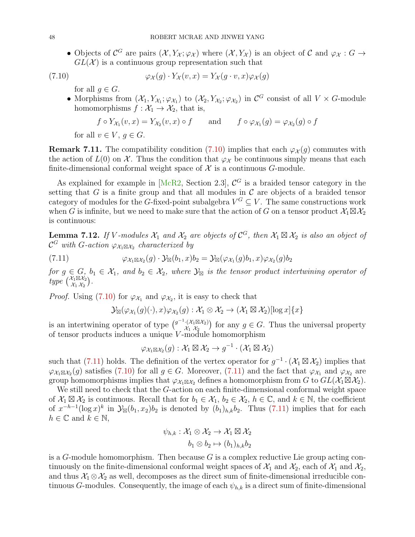• Objects of  $\mathcal{C}^G$  are pairs  $(\mathcal{X}, Y_{\mathcal{X}}; \varphi_{\mathcal{X}})$  where  $(\mathcal{X}, Y_{\mathcal{X}})$  is an object of  $\mathcal{C}$  and  $\varphi_{\mathcal{X}} : G \to$  $GL(\mathcal{X})$  is a continuous group representation such that

(7.10) 
$$
\varphi_{\mathcal{X}}(g) \cdot Y_{\mathcal{X}}(v,x) = Y_{\mathcal{X}}(g \cdot v,x) \varphi_{\mathcal{X}}(g)
$$

for all  $g \in G$ .

• Morphisms from  $(\mathcal{X}_1, Y_{\mathcal{X}_1}; \varphi_{\mathcal{X}_1})$  to  $(\mathcal{X}_2, Y_{\mathcal{X}_2}; \varphi_{\mathcal{X}_2})$  in  $\mathcal{C}^G$  consist of all  $V \times G$ -module homomorphisms  $f: \mathcal{X}_1 \to \mathcal{X}_2$ , that is,

<span id="page-47-0"></span>
$$
f \circ Y_{\mathcal{X}_1}(v, x) = Y_{\mathcal{X}_2}(v, x) \circ f
$$
 and  $f \circ \varphi_{\mathcal{X}_1}(g) = \varphi_{\mathcal{X}_2}(g) \circ f$ 

for all  $v \in V$ ,  $q \in G$ .

**Remark 7.11.** The compatibility condition [\(7.10\)](#page-47-0) implies that each  $\varphi_{\mathcal{X}}(q)$  commutes with the action of  $L(0)$  on X. Thus the condition that  $\varphi_{\mathcal{X}}$  be continuous simply means that each finite-dimensional conformal weight space of  $\mathcal X$  is a continuous  $G$ -module.

As explained for example in  $[McR2, Section 2.3], \mathcal{C}^G$  is a braided tensor category in the setting that G is a finite group and that all modules in  $\mathcal C$  are objects of a braided tensor category of modules for the G-fixed-point subalgebra  $V^G \subseteq V$ . The same constructions work when G is infinite, but we need to make sure that the action of G on a tensor product  $\mathcal{X}_1 \boxtimes \mathcal{X}_2$ is continuous:

<span id="page-47-2"></span>**Lemma 7.12.** If V-modules  $\mathcal{X}_1$  and  $\mathcal{X}_2$  are objects of  $\mathcal{C}^G$ , then  $\mathcal{X}_1 \boxtimes \mathcal{X}_2$  is also an object of  $\mathcal{C}^G$  with G-action  $\varphi_{\mathcal{X}_1 \boxtimes \mathcal{X}_2}$  characterized by

(7.11) 
$$
\varphi_{\mathcal{X}_1 \boxtimes \mathcal{X}_2}(g) \cdot \mathcal{Y}_{\boxtimes}(b_1, x) b_2 = \mathcal{Y}_{\boxtimes}(\varphi_{\mathcal{X}_1}(g) b_1, x) \varphi_{\mathcal{X}_2}(g) b_2
$$

for  $g \in G$ ,  $b_1 \in \mathcal{X}_1$ , and  $b_2 \in \mathcal{X}_2$ , where  $\mathcal{Y}_{\boxtimes}$  is the tensor product intertwining operator of  $\chi type\left(\begin{matrix} \mathcal{X}_1\boxtimes\mathcal{X}_2\ \mathcal{X}_2\end{matrix}\right)$  $\mathcal{X}_1 \boxtimes \mathcal{X}_2 \ \mathcal{X}_1 \ \mathcal{X}_2$  ) .

*Proof.* Using [\(7.10\)](#page-47-0) for  $\varphi_{\mathcal{X}_1}$  and  $\varphi_{\mathcal{X}_2}$ , it is easy to check that

<span id="page-47-1"></span>
$$
\mathcal{Y}_{\boxtimes}(\varphi_{\mathcal{X}_1}(g)(\cdot),x)\varphi_{\mathcal{X}_2}(g): \mathcal{X}_1 \otimes \mathcal{X}_2 \to (\mathcal{X}_1 \boxtimes \mathcal{X}_2)[\log x]\{x\}
$$

is an intertwining operator of type  $\binom{g^{-1} \cdot (\mathcal{X}_1 \boxtimes \mathcal{X}_2)}{\mathcal{X}_2}$  $(\mathcal{X}_1 \boxtimes \mathcal{X}_2)$  for any  $g \in G$ . Thus the universal property of tensor products induces a unique V -module homomorphism

$$
\varphi_{\mathcal{X}_1 \boxtimes \mathcal{X}_2}(g) : \mathcal{X}_1 \boxtimes \mathcal{X}_2 \to g^{-1} \cdot (\mathcal{X}_1 \boxtimes \mathcal{X}_2)
$$

such that [\(7.11\)](#page-47-1) holds. The definition of the vertex operator for  $g^{-1} \cdot (\mathcal{X}_1 \boxtimes \mathcal{X}_2)$  implies that  $\varphi_{\mathcal{X}_1 \boxtimes \mathcal{X}_2}(g)$  satisfies [\(7.10\)](#page-47-0) for all  $g \in G$ . Moreover, [\(7.11\)](#page-47-1) and the fact that  $\varphi_{\mathcal{X}_1}$  and  $\varphi_{\mathcal{X}_2}$  are group homomorphisms implies that  $\varphi_{\mathcal{X}_1 \boxtimes \mathcal{X}_2}$  defines a homomorphism from G to  $GL(\mathcal{X}_1 \boxtimes \mathcal{X}_2)$ .

We still need to check that the  $G$ -action on each finite-dimensional conformal weight space of  $X_1 \boxtimes X_2$  is continuous. Recall that for  $b_1 \in X_1$ ,  $b_2 \in X_2$ ,  $h \in \mathbb{C}$ , and  $k \in \mathbb{N}$ , the coefficient of  $x^{-h-1}(\log x)^k$  in  $\mathcal{Y}_{\boxtimes}(b_1,x_2)b_2$  is denoted by  $(b_1)_{h,k}b_2$ . Thus  $(7.11)$  implies that for each  $h \in \mathbb{C}$  and  $k \in \mathbb{N}$ ,

$$
\psi_{h,k}: \mathcal{X}_1 \otimes \mathcal{X}_2 \to \mathcal{X}_1 \boxtimes \mathcal{X}_2
$$

$$
b_1 \otimes b_2 \mapsto (b_1)_{h,k} b_2
$$

is a  $G$ -module homomorphism. Then because  $G$  is a complex reductive Lie group acting continuously on the finite-dimensional conformal weight spaces of  $\mathcal{X}_1$  and  $\mathcal{X}_2$ , each of  $\mathcal{X}_1$  and  $\mathcal{X}_2$ , and thus  $X_1 \otimes X_2$  as well, decomposes as the direct sum of finite-dimensional irreducible continuous G-modules. Consequently, the image of each  $\psi_{h,k}$  is a direct sum of finite-dimensional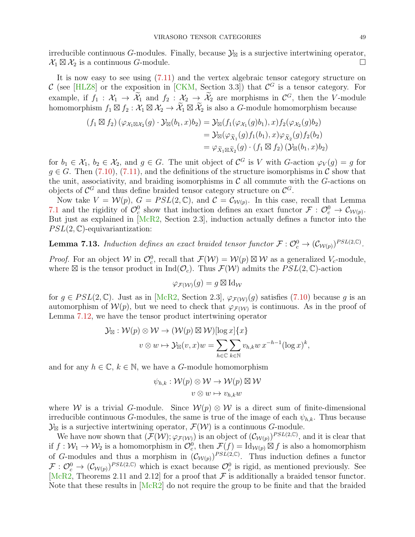irreducible continuous G-modules. Finally, because  $\mathcal{Y}_{\boxtimes}$  is a surjective intertwining operator,  $X_1 \boxtimes X_2$  is a continuous G-module.

It is now easy to see using [\(7.11\)](#page-47-1) and the vertex algebraic tensor category structure on C (see [\[HLZ8\]](#page-53-1) or the exposition in [\[CKM,](#page-51-15) Section 3.3]) that  $\mathcal{C}^G$  is a tensor category. For example, if  $f_1 : \mathcal{X}_1 \to \tilde{\mathcal{X}}_1$  and  $f_2 : \mathcal{X}_2 \to \tilde{\mathcal{X}}_2$  are morphisms in  $\mathcal{C}^G$ , then the V-module homomorphism  $f_1 \boxtimes f_2 : \mathcal{X}_1 \boxtimes \mathcal{X}_2 \to \widetilde{\mathcal{X}}_1 \boxtimes \widetilde{\mathcal{X}}_2$  is also a G-module homomorphism because

$$
(f_1 \boxtimes f_2) (\varphi_{\mathcal{X}_1 \boxtimes \mathcal{X}_2}(g) \cdot \mathcal{Y}_{\boxtimes}(b_1, x)b_2) = \mathcal{Y}_{\boxtimes}(f_1(\varphi_{\mathcal{X}_1}(g)b_1), x) f_2(\varphi_{\mathcal{X}_2}(g)b_2)
$$
  
= 
$$
\mathcal{Y}_{\boxtimes}(\varphi_{\widetilde{X}_1}(g)f_1(b_1), x) \varphi_{\widetilde{X}_2}(g) f_2(b_2)
$$
  
= 
$$
\varphi_{\widetilde{X}_1 \boxtimes \widetilde{X}_2}(g) \cdot (f_1 \boxtimes f_2) (\mathcal{Y}_{\boxtimes}(b_1, x)b_2)
$$

for  $b_1 \in \mathcal{X}_1$ ,  $b_2 \in \mathcal{X}_2$ , and  $g \in G$ . The unit object of  $\mathcal{C}^G$  is V with G-action  $\varphi_V(g) = g$  for  $q \in G$ . Then [\(7.10\)](#page-47-0), [\(7.11\)](#page-47-1), and the definitions of the structure isomorphisms in C show that the unit, associativity, and braiding isomorphisms in  $\mathcal C$  all commute with the G-actions on objects of  $\mathcal{C}^G$  and thus define braided tensor category structure on  $\mathcal{C}^G$ .

Now take  $V = \mathcal{W}(p)$ ,  $G = PSL(2, \mathbb{C})$ , and  $\mathcal{C} = \mathcal{C}_{\mathcal{W}(p)}$ . In this case, recall that Lemma [7.1](#page-41-0) and the rigidity of  $\mathcal{O}_c^0$  show that induction defines an exact functor  $\mathcal{F}: \mathcal{O}_c^0 \to \mathcal{C}_{\mathcal{W}(p)}$ . But just as explained in [\[McR2,](#page-53-12) Section 2.3], induction actually defines a functor into the  $PSL(2,\mathbb{C})$ -equivariantization:

<span id="page-48-0"></span>**Lemma 7.13.** Induction defines an exact braided tensor functor  $\mathcal{F}: \mathcal{O}_c^0 \to (\mathcal{C}_{\mathcal{W}(p)})^{PSL(2,\mathbb{C})}$ .

*Proof.* For an object W in  $\mathcal{O}_c^0$ , recall that  $\mathcal{F}(\mathcal{W}) = \mathcal{W}(p) \boxtimes \mathcal{W}$  as a generalized  $V_c$ -module, where  $\boxtimes$  is the tensor product in Ind( $\mathcal{O}_c$ ). Thus  $\mathcal{F}(\mathcal{W})$  admits the  $PSL(2,\mathbb{C})$ -action

$$
\varphi_{\mathcal{F}(\mathcal{W})}(g) = g \boxtimes \mathrm{Id}_{\mathcal{W}}
$$

for  $g \in PSL(2,\mathbb{C})$ . Just as in [\[McR2,](#page-53-12) Section 2.3],  $\varphi_{\mathcal{F}(W)}(g)$  satisfies [\(7.10\)](#page-47-0) because g is an automorphism of  $W(p)$ , but we need to check that  $\varphi_{\mathcal{F}(W)}$  is continuous. As in the proof of Lemma [7.12,](#page-47-2) we have the tensor product intertwining operator

$$
\mathcal{Y}_{\boxtimes}: \mathcal{W}(p) \otimes \mathcal{W} \to (\mathcal{W}(p) \boxtimes \mathcal{W})[\log x] \{x\}
$$

$$
v \otimes w \mapsto \mathcal{Y}_{\boxtimes}(v, x)w = \sum_{h \in \mathbb{C}} \sum_{k \in \mathbb{N}} v_{h,k} w x^{-h-1} (\log x)^k,
$$

and for any  $h \in \mathbb{C}$ ,  $k \in \mathbb{N}$ , we have a *G*-module homomorphism

$$
\psi_{h,k}: \mathcal{W}(p) \otimes \mathcal{W} \to \mathcal{W}(p) \boxtimes \mathcal{W}
$$

$$
v \otimes w \mapsto v_{h,k}w
$$

where W is a trivial G-module. Since  $W(p) \otimes W$  is a direct sum of finite-dimensional irreducible continuous G-modules, the same is true of the image of each  $\psi_{h,k}$ . Thus because  $\mathcal{Y}_{\boxtimes}$  is a surjective intertwining operator,  $\mathcal{F}(\mathcal{W})$  is a continuous G-module.

We have now shown that  $(\mathcal{F}(W); \varphi_{\mathcal{F}(W)})$  is an object of  $(\mathcal{C}_{W(p)})^{PSL(2,\mathbb{C})}$ , and it is clear that if  $f: \mathcal{W}_1 \to \mathcal{W}_2$  is a homomorphism in  $\mathcal{O}_c^0$ , then  $\mathcal{F}(f) = \text{Id}_{\mathcal{W}(p)} \boxtimes f$  is also a homomorphism of G-modules and thus a morphism in  $(\mathcal{C}_{\mathcal{W}(p)})^{PSL(2,\mathbb{C})}$ . Thus induction defines a functor  $\mathcal{F}: \mathcal{O}_c^0 \to (\mathcal{C}_{\mathcal{W}(p)})^{PSL(2,\mathbb{C})}$  which is exact because  $\mathcal{O}_c^0$  is rigid, as mentioned previously. See [\[McR2,](#page-53-12) Theorems 2.11 and 2.12] for a proof that  $\mathcal F$  is additionally a braided tensor functor. Note that these results in [\[McR2\]](#page-53-12) do not require the group to be finite and that the braided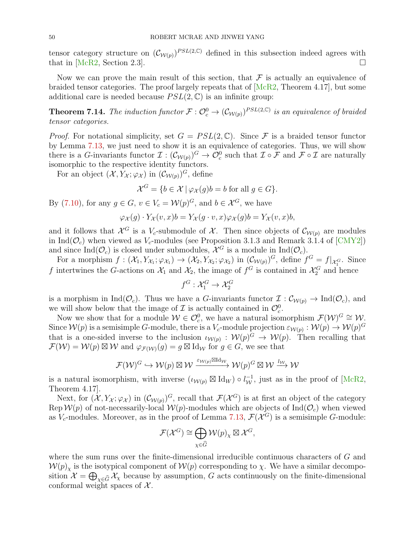tensor category structure on  $(\mathcal{C}_{W(p)})^{PSL(2,\mathbb{C})}$  defined in this subsection indeed agrees with that in [\[McR2,](#page-53-12) Section 2.3].

Now we can prove the main result of this section, that  $\mathcal F$  is actually an equivalence of braided tensor categories. The proof largely repeats that of  $[McR2, Theorem 4.17]$ , but some additional care is needed because  $PSL(2, \mathbb{C})$  is an infinite group:

<span id="page-49-0"></span>**Theorem 7.14.** The induction functor  $\mathcal{F}: \mathcal{O}_c^0 \to (\mathcal{C}_{\mathcal{W}(p)})^{PSL(2,\mathbb{C})}$  is an equivalence of braided tensor categories.

*Proof.* For notational simplicity, set  $G = PSL(2, \mathbb{C})$ . Since F is a braided tensor functor by Lemma [7.13,](#page-48-0) we just need to show it is an equivalence of categories. Thus, we will show there is a G-invariants functor  $\mathcal{I}: (\mathcal{C}_{\mathcal{W}(p)})^G \to \mathcal{O}_c^0$  such that  $\mathcal{I} \circ \mathcal{F}$  and  $\mathcal{F} \circ \mathcal{I}$  are naturally isomorphic to the respective identity functors.

For an object  $(\mathcal{X}, Y_{\mathcal{X}}; \varphi_{\mathcal{X}})$  in  $(\mathcal{C}_{\mathcal{W}(p)})^G$ , define

$$
\mathcal{X}^G = \{ b \in \mathcal{X} \mid \varphi_{\mathcal{X}}(g)b = b \text{ for all } g \in G \}.
$$

By [\(7.10\)](#page-47-0), for any  $g \in G$ ,  $v \in V_c = \mathcal{W}(p)^G$ , and  $b \in \mathcal{X}^G$ , we have

$$
\varphi_{\mathcal{X}}(g) \cdot Y_{\mathcal{X}}(v, x)b = Y_{\mathcal{X}}(g \cdot v, x)\varphi_{\mathcal{X}}(g)b = Y_{\mathcal{X}}(v, x)b,
$$

and it follows that  $\mathcal{X}^G$  is a  $V_c$ -submodule of  $\mathcal{X}$ . Then since objects of  $\mathcal{C}_{\mathcal{W}(p)}$  are modules in  $\text{Ind}(\mathcal{O}_c)$  when viewed as  $V_c$ -modules (see Proposition 3.1.3 and Remark 3.1.4 of [\[CMY2\]](#page-51-3)) and since  $\text{Ind}(\mathcal{O}_c)$  is closed under submodules,  $\mathcal{X}^G$  is a module in  $\text{Ind}(\mathcal{O}_c)$ .

For a morphism  $f: (\mathcal{X}_1, Y_{\mathcal{X}_1}; \varphi_{\mathcal{X}_1}) \to (\mathcal{X}_2, Y_{\mathcal{X}_2}; \varphi_{\mathcal{X}_2})$  in  $(\mathcal{C}_{\mathcal{W}(p)})^G$ , define  $f^G = f|_{\mathcal{X}_1^G}$ . Since f intertwines the G-actions on  $\mathcal{X}_1$  and  $\mathcal{X}_2$ , the image of  $f^G$  is contained in  $\mathcal{X}_2^G$  and hence

$$
f^G: \mathcal{X}_1^G \to \mathcal{X}_2^G
$$

is a morphism in  $\text{Ind}(\mathcal{O}_c)$ . Thus we have a G-invariants functor  $\mathcal{I} : \mathcal{C}_{\mathcal{W}(p)} \to \text{Ind}(\mathcal{O}_c)$ , and we will show below that the image of  $\mathcal I$  is actually contained in  $\mathcal O_c^0$ .

Now we show that for a module  $W \in \mathcal{O}_c^0$ , we have a natural isomorphism  $\mathcal{F}(W)^G \cong \mathcal{W}$ . Since  $W(p)$  is a semisimple G-module, there is a  $V_c$ -module projection  $\varepsilon_{W(p)}: W(p) \to W(p)^G$ that is a one-sided inverse to the inclusion  $\iota_{\mathcal{W}(p)} : \mathcal{W}(p)^G \to \mathcal{W}(p)$ . Then recalling that  $\mathcal{F}(\mathcal{W}) = \mathcal{W}(p) \boxtimes \mathcal{W}$  and  $\varphi_{\mathcal{F}(\mathcal{W})}(g) = g \boxtimes \mathrm{Id}_{\mathcal{W}}$  for  $g \in G$ , we see that

$$
\mathcal{F}(\mathcal{W})^G \hookrightarrow \mathcal{W}(p) \boxtimes \mathcal{W} \xrightarrow{\varepsilon_{\mathcal{W}(p)} \boxtimes \mathrm{Id}_\mathcal{W}} \mathcal{W}(p)^G \boxtimes \mathcal{W} \xrightarrow{l_{\mathcal{W}}} \mathcal{W}
$$

is a natural isomorphism, with inverse  $(\iota_{\mathcal{W}(p)} \boxtimes \mathrm{Id}_W) \circ l_{\mathcal{W}}^{-1}$ , just as in the proof of [\[McR2,](#page-53-12) Theorem 4.17].

Next, for  $(\mathcal{X}, Y_{\mathcal{X}}; \varphi_{\mathcal{X}})$  in  $(\mathcal{C}_{\mathcal{W}(p)})^G$ , recall that  $\mathcal{F}(\mathcal{X}^G)$  is at first an object of the category Rep  $W(p)$  of not-necessarily-local  $W(p)$ -modules which are objects of Ind( $\mathcal{O}_c$ ) when viewed as  $V_c$ -modules. Moreover, as in the proof of Lemma [7.13,](#page-48-0)  $\mathcal{F}(\mathcal{X}^G)$  is a semisimple G-module:

$$
\mathcal{F}(\mathcal{X}^G) \cong \bigoplus_{\chi \in \widehat{G}} \mathcal{W}(p)_{\chi} \boxtimes \mathcal{X}^G,
$$

where the sum runs over the finite-dimensional irreducible continuous characters of G and  $W(p)_{\chi}$  is the isotypical component of  $W(p)$  corresponding to  $\chi$ . We have a similar decomposition  $\mathcal{X} = \bigoplus_{\chi \in \widehat{G}} \mathcal{X}_{\chi}$  because by assumption, G acts continuously on the finite-dimensional conformal weight spaces of  $\mathcal{X}$ .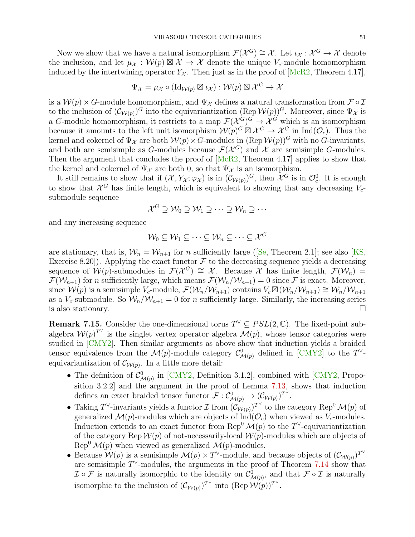Now we show that we have a natural isomorphism  $\mathcal{F}(\mathcal{X}^G) \cong \mathcal{X}$ . Let  $\iota_{\mathcal{X}} : \mathcal{X}^G \to \mathcal{X}$  denote the inclusion, and let  $\mu_{\mathcal{X}}: \mathcal{W}(p) \boxtimes \mathcal{X} \to \mathcal{X}$  denote the unique  $V_c$ -module homomorphism induced by the intertwining operator  $Y_{\mathcal{X}}$ . Then just as in the proof of [\[McR2,](#page-53-12) Theorem 4.17],

$$
\Psi_{\mathcal{X}} = \mu_{\mathcal{X}} \circ (\mathrm{Id}_{\mathcal{W}(p)} \boxtimes \iota_{\mathcal{X}}) : \mathcal{W}(p) \boxtimes \mathcal{X}^G \to \mathcal{X}
$$

is a  $W(p) \times G$ -module homomorphism, and  $\Psi_{\mathcal{X}}$  defines a natural transformation from  $\mathcal{F} \circ \mathcal{I}$ to the inclusion of  $(\mathcal{C}_{\mathcal{W}(p)})^G$  into the equivariantization  $(\text{Rep } \mathcal{W}(p))^G$ . Moreover, since  $\Psi_{\mathcal{X}}$  is a G-module homomorphism, it restricts to a map  $\mathcal{F}(\mathcal{X}^G)^G \to \mathcal{X}^G$  which is an isomorphism because it amounts to the left unit isomorphism  $W(p)^G \boxtimes \mathcal{X}^G \to \mathcal{X}^G$  in  $\text{Ind}(\mathcal{O}_c)$ . Thus the kernel and cokernel of  $\Psi_{\mathcal{X}}$  are both  $\mathcal{W}(p) \times G$ -modules in  $(\text{Rep } \mathcal{W}(p))^G$  with no  $G$ -invariants, and both are semisimple as G-modules because  $\mathcal{F}(\mathcal{X}^G)$  and X are semisimple G-modules. Then the argument that concludes the proof of  $[MeR2, Theorem 4.17]$  applies to show that the kernel and cokernel of  $\Psi_{\mathcal{X}}$  are both 0, so that  $\Psi_{\mathcal{X}}$  is an isomorphism.

It still remains to show that if  $(\mathcal{X}, Y_{\mathcal{X}}; \varphi_{\mathcal{X}})$  is in  $(\mathcal{C}_{\mathcal{W}(p)})^G$ , then  $\mathcal{X}^G$  is in  $\mathcal{O}_c^0$ . It is enough to show that  $\mathcal{X}^G$  has finite length, which is equivalent to showing that any decreasing  $V_c$ submodule sequence

$$
\mathcal{X}^G\supseteq\mathcal{W}_0\supseteq\mathcal{W}_1\supseteq\dots\supseteq\mathcal{W}_n\supseteq\dotsb
$$

and any increasing sequence

$$
\mathcal{W}_0 \subseteq \mathcal{W}_1 \subseteq \cdots \subseteq \mathcal{W}_n \subseteq \cdots \subseteq \mathcal{X}^G
$$

arestationary, that is,  $W_n = W_{n+1}$  for n sufficiently large ([\[Se,](#page-54-11) Theorem 2.1]; see also [\[KS,](#page-53-18) Exercise 8.20]). Applying the exact functor  $\mathcal F$  to the decreasing sequence yields a decreasing sequence of  $W(p)$ -submodules in  $\mathcal{F}(\mathcal{X}^G) \cong \mathcal{X}$ . Because X has finite length,  $\mathcal{F}(\mathcal{W}_n) =$  $\mathcal{F}(\mathcal{W}_{n+1})$  for n sufficiently large, which means  $\mathcal{F}(\mathcal{W}_n/\mathcal{W}_{n+1}) = 0$  since  $\mathcal F$  is exact. Moreover, since  $\mathcal{W}(p)$  is a semisimple  $V_c$ -module,  $\mathcal{F}(\mathcal{W}_n/\mathcal{W}_{n+1})$  contains  $V_c \boxtimes (\mathcal{W}_n/\mathcal{W}_{n+1}) \cong \mathcal{W}_n/\mathcal{W}_{n+1}$ as a  $V_c$ -submodule. So  $\mathcal{W}_n/\mathcal{W}_{n+1} = 0$  for *n* sufficiently large. Similarly, the increasing series is also stationary.

**Remark 7.15.** Consider the one-dimensional torus  $T^{\vee} \subseteq PSL(2,\mathbb{C})$ . The fixed-point subalgebra  $W(p)^{T\vee}$  is the singlet vertex operator algebra  $\mathcal{M}(p)$ , whose tensor categories were studied in [\[CMY2\]](#page-51-3). Then similar arguments as above show that induction yields a braided tensor equivalence from the  $\mathcal{M}(p)$ -module category  $\mathcal{C}^0_{\mathcal{M}(p)}$  defined in [\[CMY2\]](#page-51-3) to the  $T^{\vee}$ equivariantization of  $\mathcal{C}_{\mathcal{W}(p)}$ . In a little more detail:

- The definition of  $C^0_{\mathcal{M}(p)}$  in [\[CMY2,](#page-51-3) Definition 3.1.2], combined with [CMY2, Propo-sition 3.2.2] and the argument in the proof of Lemma [7.13,](#page-48-0) shows that induction defines an exact braided tensor functor  $\mathcal{F}: C^0_{\mathcal{M}(p)} \to (\mathcal{C}_{\mathcal{W}(p)})^{T^{\vee}}$ .
- Taking T<sup> $\vee$ </sup>-invariants yields a functor I from  $(\mathcal{C}_{\mathcal{W}(p)})^{T^{\vee}}$  to the category Rep<sup>0</sup>  $\mathcal{M}(p)$  of generalized  $\mathcal{M}(p)$ -modules which are objects of Ind $(\mathcal{O}_c)$  when viewed as  $V_c$ -modules. Induction extends to an exact functor from  $\text{Rep}^0 \mathcal{M}(p)$  to the T<sup> $\vee$ </sup>-equivariantization of the category Rep  $W(p)$  of not-necessarily-local  $W(p)$ -modules which are objects of  $\text{Rep}^0 \mathcal{M}(p)$  when viewed as generalized  $\mathcal{M}(p)$ -modules.
- Because  $W(p)$  is a semisimple  $\mathcal{M}(p) \times T^{\vee}$ -module, and because objects of  $(\mathcal{C}_{W(p)})^{T^{\vee}}$ are semisimple  $T^{\vee}$ -modules, the arguments in the proof of Theorem [7.14](#page-49-0) show that  $\mathcal{I} \circ \mathcal{F}$  is naturally isomorphic to the identity on  $\mathcal{C}^0_{\mathcal{M}(p)}$ , and that  $\mathcal{F} \circ \mathcal{I}$  is naturally isomorphic to the inclusion of  $(\mathcal{C}_{\mathcal{W}(p)})^{T^{\vee}}$  into  $(\text{Rep } \mathcal{W}(p))^{T^{\vee}}$ .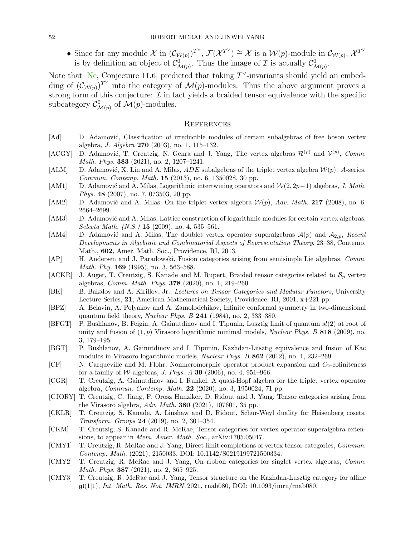• Since for any module X in  $(\mathcal{C}_{\mathcal{W}(p)})^{T^{\vee}}, \mathcal{F}(\mathcal{X}^{T^{\vee}}) \cong \mathcal{X}$  is a  $\mathcal{W}(p)$ -module in  $\mathcal{C}_{\mathcal{W}(p)}, \mathcal{X}^{T^{\vee}}$ is by definition an object of  $\mathcal{C}^0_{\mathcal{M}(p)}$ . Thus the image of  $\mathcal I$  is actually  $\mathcal{C}^0_{\mathcal{M}(p)}$ .

Note that [\[Ne,](#page-54-10) Conjecture 11.6] predicted that taking  $T^{\vee}$ -invariants should yield an embedding of  $(\mathcal{C}_{\mathcal{W}(p)})^{T^{\vee}}$  into the category of  $\mathcal{M}(p)$ -modules. Thus the above argument proves a strong form of this conjecture:  $\tilde{\mathcal{I}}$  in fact yields a braided tensor equivalence with the specific subcategory  $\mathcal{C}^0_{\mathcal{M}(p)}$  of  $\mathcal{M}(p)$ -modules.

#### <span id="page-51-0"></span>**REFERENCES**

- <span id="page-51-4"></span>[Ad] D. Adamović, Classification of irreducible modules of certain subalgebras of free boson vertex algebra, J. Algebra 270 (2003), no. 1, 115–132.
- <span id="page-51-11"></span>[ACGY] D. Adamović, T. Creutzig, N. Genra and J. Yang, The vertex algebras  $\mathcal{R}^{(p)}$  and  $\mathcal{V}^{(p)}$ , Comm. Math. Phys. 383 (2021), no. 2, 1207–1241.
- <span id="page-51-17"></span>[ALM] D. Adamović, X. Lin and A. Milas, ADE subalgebras of the triplet vertex algebra  $\mathcal{W}(p)$ : A-series, Commun. Contemp. Math. 15 (2013), no. 6, 1350028, 30 pp.
- <span id="page-51-5"></span>[AM1] D. Adamović and A. Milas, Logarithmic intertwining operators and  $\mathcal{W}(2, 2p-1)$  algebras, J. Math. Phys. 48 (2007), no. 7, 073503, 20 pp.
- <span id="page-51-7"></span>[AM2] D. Adamović and A. Milas, On the triplet vertex algebra  $\mathcal{W}(p)$ , Adv. Math. 217 (2008), no. 6, 2664–2699.
- <span id="page-51-8"></span>[AM3] D. Adamović and A. Milas, Lattice construction of logarithmic modules for certain vertex algebras, Selecta Math. (N.S.) 15 (2009), no. 4, 535–561.
- <span id="page-51-14"></span>[AM4] D. Adamović and A. Milas, The doublet vertex operator superalgebras  $\mathcal{A}(p)$  and  $\mathcal{A}_{2,p}$ , Recent Developments in Algebraic and Combinatorial Aspects of Representation Theory, 23–38, Contemp. Math., 602, Amer. Math. Soc., Providence, RI, 2013.
- <span id="page-51-20"></span>[AP] H. Andersen and J. Paradowski, Fusion categories arising from semisimple Lie algebras, Comm. Math. Phy. **169** (1995), no. 3, 563-588.
- <span id="page-51-10"></span>[ACKR] J. Auger, T. Creutzig, S. Kanade and M. Rupert, Braided tensor categories related to  $\mathcal{B}_p$  vertex algebras, Comm. Math. Phys. 378 (2020), no. 1, 219–260.
- <span id="page-51-19"></span>[BK] B. Bakalov and A. Kirillov, Jr., Lectures on Tensor Categories and Modular Functors, University Lecture Series, 21, American Mathematical Society, Providence, RI, 2001, x+221 pp.
- <span id="page-51-1"></span>[BPZ] A. Belavin, A. Polyakov and A. Zamolodchikov, Infinite conformal symmetry in two-dimensional quantum field theory, Nuclear Phys. B 241 (1984), no. 2, 333–380.
- <span id="page-51-12"></span>[BFGT] P. Bushlanov, B. Feigin, A. Gainutdinov and I. Tipunin, Lusztig limit of quantum sl(2) at root of unity and fusion of  $(1, p)$  Virasoro logarithmic minimal models, *Nuclear Phys. B* 818 (2009), no. 3, 179–195.
- <span id="page-51-13"></span>[BGT] P. Bushlanov, A. Gainutdinov and I. Tipunin, Kazhdan-Lusztig equivalence and fusion of Kac modules in Virasoro logarithmic models, Nuclear Phys. B 862 (2012), no. 1, 232–269.
- <span id="page-51-6"></span> $[CF]$  N. Carqueville and M. Flohr, Nonmeromorphic operator product expansion and  $C_2$ -cofiniteness for a family of W-algebras, *J. Phys. A* **39** (2006), no. 4, 951–966.
- <span id="page-51-9"></span>[CGR] T. Creutzig, A. Gainutdinov and I. Runkel, A quasi-Hopf algebra for the triplet vertex operator algebra, Commun. Contemp. Math. 22 (2020), no. 3, 1950024, 71 pp.
- <span id="page-51-2"></span>[CJORY] T. Creutzig, C. Jiang, F. Orosz Hunziker, D. Ridout and J. Yang, Tensor categories arising from the Virasoro algebra, Adv. Math. 380 (2021), 107601, 35 pp.
- <span id="page-51-21"></span>[CKLR] T. Creutzig, S. Kanade, A. Linshaw and D. Ridout, Schur-Weyl duality for Heisenberg cosets, Transform. Groups 24 (2019), no. 2, 301–354.
- <span id="page-51-15"></span>[CKM] T. Creutzig, S. Kanade and R. McRae, Tensor categories for vertex operator superalgebra extensions, to appear in *Mem. Amer. Math. Soc.*, arXiv:1705.05017.
- <span id="page-51-16"></span>[CMY1] T. Creutzig, R. McRae and J. Yang, Direct limit completions of vertex tensor categories, Commun. Contemp. Math. (2021), 2150033, DOI: 10.1142/S0219199721500334.
- <span id="page-51-3"></span>[CMY2] T. Creutzig, R. McRae and J. Yang, On ribbon categories for singlet vertex algebras, Comm. Math. Phys. 387 (2021), no. 2, 865–925.
- <span id="page-51-18"></span>[CMY3] T. Creutzig, R. McRae and J. Yang, Tensor structure on the Kazhdan-Lusztig category for affine  $\mathfrak{gl}(1|1)$ , *Int. Math. Res. Not. IMRN* 2021, rnab080, DOI: 10.1093/imrn/rnab080.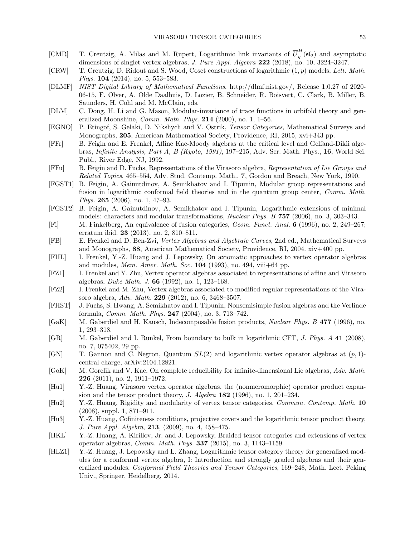- <span id="page-52-6"></span>[CMR] T. Creutzig, A. Milas and M. Rupert, Logarithmic link invariants of  $\overline{U}_q^H$  $\frac{d}{q}$  ( $\mathfrak{sl}_2$ ) and asymptotic dimensions of singlet vertex algebras, J. Pure Appl. Algebra 222 (2018), no. 10, 3224-3247.
- <span id="page-52-11"></span>[CRW] T. Creutzig, D. Ridout and S. Wood, Coset constructions of logarithmic  $(1, p)$  models, Lett. Math. Phys. 104 (2014), no. 5, 553–583.
- <span id="page-52-19"></span>[DLMF] NIST Digital Library of Mathematical Functions, http://dlmf.nist.gov/, Release 1.0.27 of 2020- 06-15, F. Olver, A. Olde Daalhuis, D. Lozier, B. Schneider, R. Boisvert, C. Clark, B. Miller, B. Saunders, H. Cohl and M. McClain, eds.
- <span id="page-52-1"></span>[DLM] C. Dong, H. Li and G. Mason, Modular-invariance of trace functions in orbifold theory and generalized Moonshine, Comm. Math. Phys.  $214$  (2000), no. 1, 1–56.
- <span id="page-52-21"></span>[EGNO] P. Etingof, S. Gelaki, D. Nikshych and V. Ostrik, Tensor Categories, Mathematical Surveys and Monographs, 205, American Mathematical Society, Providence, RI, 2015, xvi+343 pp.
- <span id="page-52-14"></span>[FFr] B. Feigin and E. Frenkel, Affine Kac-Moody algebras at the critical level and Gelfand-Dikii algebras, Infinite Analysis, Part A, B (Kyoto, 1991), 197–215, Adv. Ser. Math. Phys., 16, World Sci. Publ., River Edge, NJ, 1992.
- <span id="page-52-18"></span>[FFu] B. Feigin and D. Fuchs, Representations of the Virasoro algebra, Representation of Lie Groups and Related Topics, 465–554, Adv. Stud. Contemp. Math., 7, Gordon and Breach, New York, 1990.
- <span id="page-52-8"></span>[FGST1] B. Feigin, A. Gainutdinov, A. Semikhatov and I. Tipunin, Modular group representations and fusion in logarithmic conformal field theories and in the quantum group center, Comm. Math. Phys. 265 (2006), no. 1, 47–93.
- <span id="page-52-9"></span>[FGST2] B. Feigin, A. Gainutdinov, A. Semikhatov and I. Tipunin, Logarithmic extensions of minimal models: characters and modular transformations, Nuclear Phys. B 757 (2006), no. 3, 303–343.
- <span id="page-52-22"></span>[Fi] M. Finkelberg, An equivalence of fusion categories, Geom. Funct. Anal. 6 (1996), no. 2, 249–267; erratum ibid. 23 (2013), no. 2, 810–811.
- <span id="page-52-15"></span>[FB] E. Frenkel and D. Ben-Zvi, Vertex Algebras and Algebraic Curves, 2nd ed., Mathematical Surveys and Monographs, 88, American Mathematical Society, Providence, RI, 2004. xiv+400 pp.
- <span id="page-52-13"></span>[FHL] I. Frenkel, Y.-Z. Huang and J. Lepowsky, On axiomatic approaches to vertex operator algebras and modules, Mem. Amer. Math. Soc. 104 (1993), no. 494, viii+64 pp.
- <span id="page-52-0"></span>[FZ1] I. Frenkel and Y. Zhu, Vertex operator algebras associated to representations of affine and Virasoro algebras, Duke Math. J. 66 (1992), no. 1, 123–168.
- <span id="page-52-5"></span>[FZ2] I. Frenkel and M. Zhu, Vertex algebras associated to modified regular representations of the Virasoro algebra, Adv. Math. 229 (2012), no. 6, 3468–3507.
- <span id="page-52-7"></span>[FHST] J. Fuchs, S. Hwang, A. Semikhatov and I. Tipunin, Nonsemisimple fusion algebras and the Verlinde formula, Comm. Math. Phys. 247 (2004), no. 3, 713–742.
- <span id="page-52-12"></span>[GaK] M. Gaberdiel and H. Kausch, Indecomposable fusion products, Nuclear Phys. B 477 (1996), no. 1, 293–318.
- <span id="page-52-10"></span>[GR] M. Gaberdiel and I. Runkel, From boundary to bulk in logarithmic CFT, J. Phys. A 41 (2008), no. 7, 075402, 29 pp.
- <span id="page-52-16"></span>[GN] T. Gannon and C. Negron, Quantum  $SL(2)$  and logarithmic vertex operator algebras at  $(p, 1)$ central charge, arXiv:2104.12821.
- <span id="page-52-20"></span>[GoK] M. Gorelik and V. Kac, On complete reducibility for infinite-dimensional Lie algebras, Adv. Math. 226 (2011), no. 2, 1911–1972.
- <span id="page-52-2"></span>[Hu1] Y.-Z. Huang, Virasoro vertex operator algebras, the (nonmeromorphic) operator product expansion and the tensor product theory, J. Algebra  $182$  (1996), no. 1, 201–234.
- <span id="page-52-3"></span>[Hu2] Y.-Z. Huang, Rigidity and modularity of vertex tensor categories, *Commun. Contemp. Math.* 10 (2008), suppl. 1, 871–911.
- <span id="page-52-23"></span>[Hu3] Y.-Z. Huang, Cofiniteness conditions, projective covers and the logarithmic tensor product theory, J. Pure Appl. Algebra, 213, (2009), no. 4, 458–475.
- <span id="page-52-17"></span>[HKL] Y.-Z. Huang, A. Kirillov, Jr. and J. Lepowsky, Braided tensor categories and extensions of vertex operator algebras, Comm. Math. Phys. 337 (2015), no. 3, 1143–1159.
- <span id="page-52-4"></span>[HLZ1] Y.-Z. Huang, J. Lepowsky and L. Zhang, Logarithmic tensor category theory for generalized modules for a conformal vertex algebra, I: Introduction and strongly graded algebras and their generalized modules, Conformal Field Theories and Tensor Categories, 169–248, Math. Lect. Peking Univ., Springer, Heidelberg, 2014.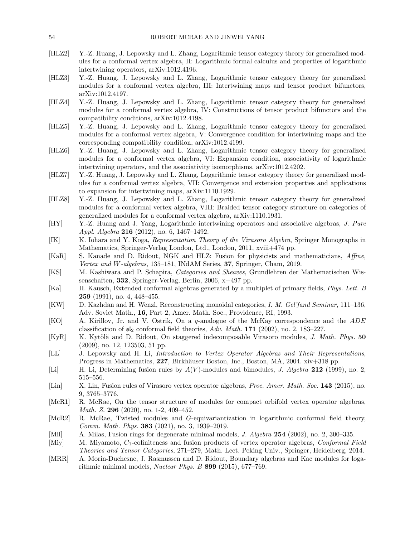- <span id="page-53-15"></span>[HLZ2] Y.-Z. Huang, J. Lepowsky and L. Zhang, Logarithmic tensor category theory for generalized modules for a conformal vertex algebra, II: Logarithmic formal calculus and properties of logarithmic intertwining operators, arXiv:1012.4196.
- <span id="page-53-0"></span>[HLZ3] Y.-Z. Huang, J. Lepowsky and L. Zhang, Logarithmic tensor category theory for generalized modules for a conformal vertex algebra, III: Intertwining maps and tensor product bifunctors, arXiv:1012.4197.
- [HLZ4] Y.-Z. Huang, J. Lepowsky and L. Zhang, Logarithmic tensor category theory for generalized modules for a conformal vertex algebra, IV: Constructions of tensor product bifunctors and the compatibility conditions, arXiv:1012.4198.
- [HLZ5] Y.-Z. Huang, J. Lepowsky and L. Zhang, Logarithmic tensor category theory for generalized modules for a conformal vertex algebra, V: Convergence condition for intertwining maps and the corresponding compatibility condition, arXiv:1012.4199.
- [HLZ6] Y.-Z. Huang, J. Lepowsky and L. Zhang, Logarithmic tensor category theory for generalized modules for a conformal vertex algebra, VI: Expansion condition, associativity of logarithmic intertwining operators, and the associativity isomorphisms, arXiv:1012.4202.
- [HLZ7] Y.-Z. Huang, J. Lepowsky and L. Zhang, Logarithmic tensor category theory for generalized modules for a conformal vertex algebra, VII: Convergence and extension properties and applications to expansion for intertwining maps, arXiv:1110.1929.
- <span id="page-53-1"></span>[HLZ8] Y.-Z. Huang, J. Lepowsky and L. Zhang, Logarithmic tensor category theory for generalized modules for a conformal vertex algebra, VIII: Braided tensor category structure on categories of generalized modules for a conformal vertex algebra, arXiv:1110.1931.
- <span id="page-53-9"></span>[HY] Y.-Z. Huang and J. Yang, Logarithmic intertwining operators and associative algebras, J. Pure Appl. Algebra 216 (2012), no. 6, 1467–1492.
- <span id="page-53-14"></span>[IK] K. Iohara and Y. Koga, Representation Theory of the Virasoro Algebra, Springer Monographs in Mathematics, Springer-Verlag London, Ltd., London, 2011, xviii+474 pp.
- <span id="page-53-10"></span>[KaR] S. Kanade and D. Ridout, NGK and HLZ: Fusion for physicists and mathematicians, Affine, Vertex and W-algebras, 135–181, INdAM Series, 37, Springer, Cham, 2019.
- <span id="page-53-18"></span>[KS] M. Kashiwara and P. Schapira, Categories and Sheaves, Grundlehren der Mathematischen Wissenschaften, 332, Springer-Verlag, Berlin, 2006, x+497 pp.
- <span id="page-53-5"></span>[Ka] H. Kausch, Extended conformal algebras generated by a multiplet of primary fields, Phys. Lett. B 259 (1991), no. 4, 448–455.
- <span id="page-53-11"></span>[KW] D. Kazhdan and H. Wenzl, Reconstructing monoidal categories, I. M. Gel'fand Seminar, 111–136, Adv. Soviet Math., 16, Part 2, Amer. Math. Soc., Providence, RI, 1993.
- <span id="page-53-17"></span>[KO] A. Kirillov, Jr. and V. Ostrik, On a q-analogue of the McKay correspondence and the ADE classification of  $\mathfrak{sl}_2$  conformal field theories, Adv. Math. 171 (2002), no. 2, 183–227.
- <span id="page-53-6"></span>[KyR] K. Kytölä and D. Ridout, On staggered indecomposable Virasoro modules, J. Math. Phys. 50 (2009), no. 12, 123503, 51 pp.
- <span id="page-53-13"></span>[LL] J. Lepowsky and H. Li, Introduction to Vertex Operator Algebras and Their Representations, Progress in Mathematics, 227, Birkhäuser Boston, Inc., Boston, MA, 2004. xiv+318 pp.
- <span id="page-53-8"></span>[Li] H. Li, Determining fusion rules by  $A(V)$ -modules and bimodules, J. Algebra 212 (1999), no. 2, 515–556.
- <span id="page-53-4"></span>[Lin] X. Lin, Fusion rules of Virasoro vertex operator algebras, Proc. Amer. Math. Soc. 143 (2015), no. 9, 3765–3776.
- <span id="page-53-2"></span>[McR1] R. McRae, On the tensor structure of modules for compact orbifold vertex operator algebras, Math. Z. 296 (2020), no. 1-2, 409–452.
- <span id="page-53-12"></span>[McR2] R. McRae, Twisted modules and G-equivariantization in logarithmic conformal field theory, Comm. Math. Phys. 383 (2021), no. 3, 1939–2019.
- <span id="page-53-3"></span>[Mil] A. Milas, Fusion rings for degenerate minimal models, J. Algebra 254 (2002), no. 2, 300–335.
- <span id="page-53-16"></span>[Miy] M. Miyamoto,  $C_1$ -cofiniteness and fusion products of vertex operator algebras, *Conformal Field* Theories and Tensor Categories, 271–279, Math. Lect. Peking Univ., Springer, Heidelberg, 2014.
- <span id="page-53-7"></span>[MRR] A. Morin-Duchesne, J. Rasmussen and D. Ridout, Boundary algebras and Kac modules for logarithmic minimal models, Nuclear Phys. B 899 (2015), 677–769.